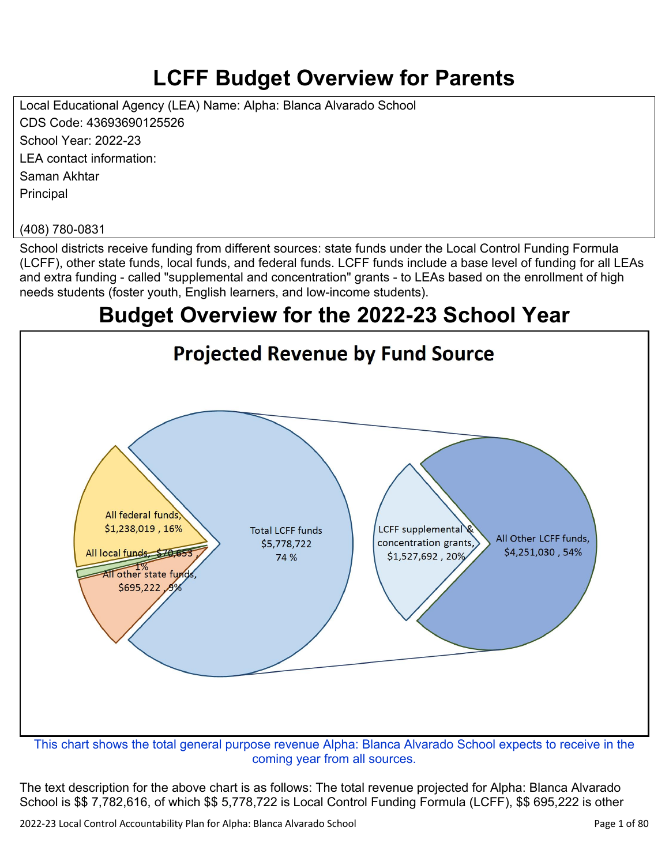# **LCFF Budget Overview for Parents**

Local Educational Agency (LEA) Name: Alpha: Blanca Alvarado School CDS Code: 43693690125526 School Year: 2022-23 LEA contact information: Saman Akhtar **Principal** 

#### (408) 780-0831

School districts receive funding from different sources: state funds under the Local Control Funding Formula (LCFF), other state funds, local funds, and federal funds. LCFF funds include a base level of funding for all LEAs and extra funding - called "supplemental and concentration" grants - to LEAs based on the enrollment of high needs students (foster youth, English learners, and low-income students).

## **Budget Overview for the 2022-23 School Year**



coming year from all sources.

The text description for the above chart is as follows: The total revenue projected for Alpha: Blanca Alvarado School is \$\$ 7,782,616, of which \$\$ 5,778,722 is Local Control Funding Formula (LCFF), \$\$ 695,222 is other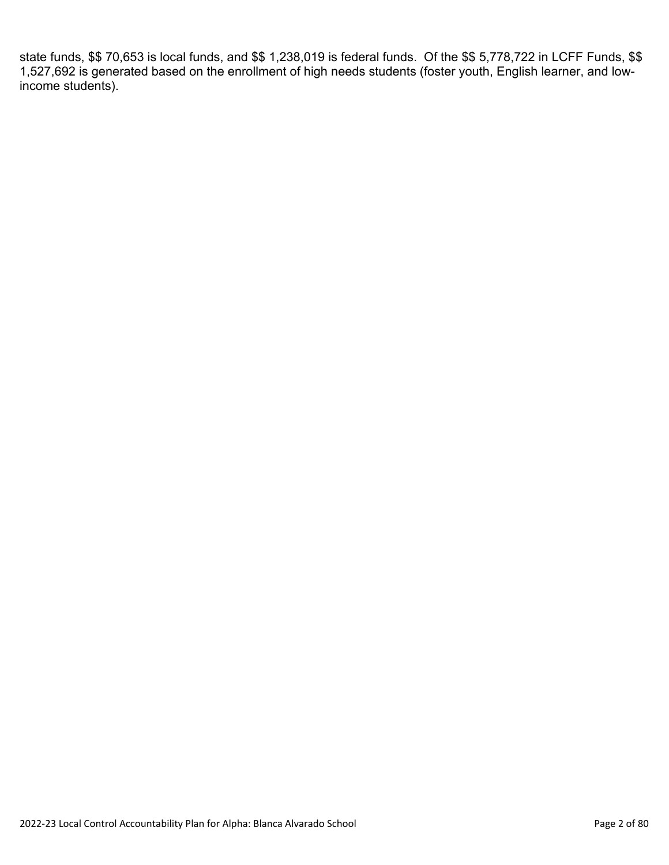state funds, \$\$ 70,653 is local funds, and \$\$ 1,238,019 is federal funds. Of the \$\$ 5,778,722 in LCFF Funds, \$\$ 1,527,692 is generated based on the enrollment of high needs students (foster youth, English learner, and lowincome students).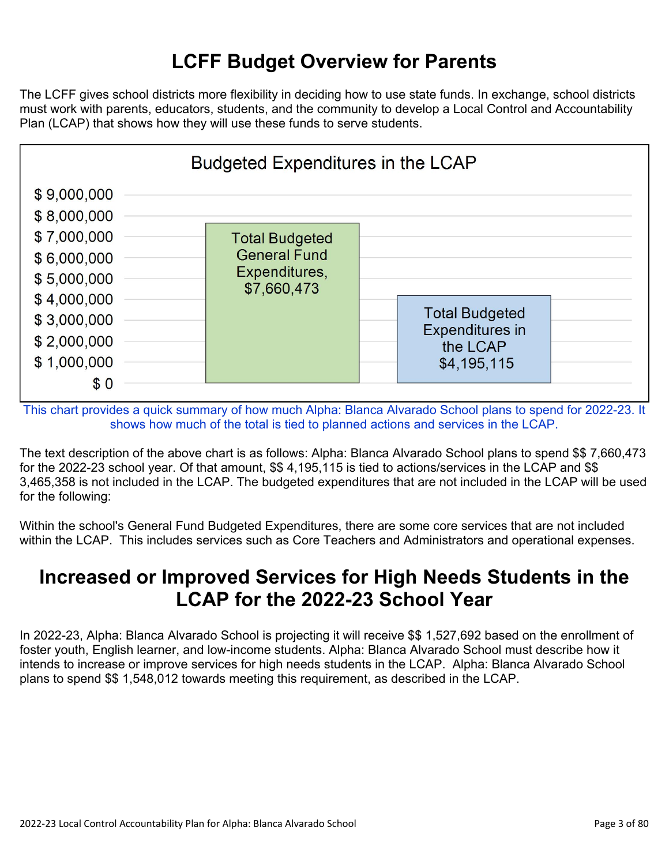## **LCFF Budget Overview for Parents**

The LCFF gives school districts more flexibility in deciding how to use state funds. In exchange, school districts must work with parents, educators, students, and the community to develop a Local Control and Accountability Plan (LCAP) that shows how they will use these funds to serve students.



This chart provides a quick summary of how much Alpha: Blanca Alvarado School plans to spend for 2022-23. It shows how much of the total is tied to planned actions and services in the LCAP.

The text description of the above chart is as follows: Alpha: Blanca Alvarado School plans to spend \$\$ 7,660,473 for the 2022-23 school year. Of that amount, \$\$ 4,195,115 is tied to actions/services in the LCAP and \$\$ 3,465,358 is not included in the LCAP. The budgeted expenditures that are not included in the LCAP will be used for the following:

Within the school's General Fund Budgeted Expenditures, there are some core services that are not included within the LCAP. This includes services such as Core Teachers and Administrators and operational expenses.

### **Increased or Improved Services for High Needs Students in the LCAP for the 2022-23 School Year**

In 2022-23, Alpha: Blanca Alvarado School is projecting it will receive \$\$ 1,527,692 based on the enrollment of foster youth, English learner, and low-income students. Alpha: Blanca Alvarado School must describe how it intends to increase or improve services for high needs students in the LCAP. Alpha: Blanca Alvarado School plans to spend \$\$ 1,548,012 towards meeting this requirement, as described in the LCAP.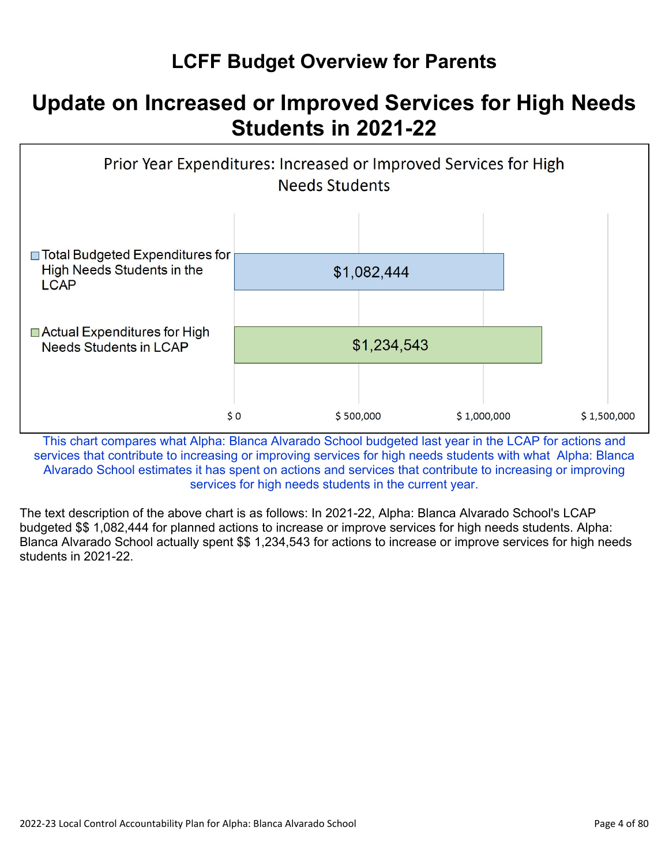## **LCFF Budget Overview for Parents**

## **Update on Increased or Improved Services for High Needs Students in 2021-22**



This chart compares what Alpha: Blanca Alvarado School budgeted last year in the LCAP for actions and services that contribute to increasing or improving services for high needs students with what Alpha: Blanca Alvarado School estimates it has spent on actions and services that contribute to increasing or improving services for high needs students in the current year.

The text description of the above chart is as follows: In 2021-22, Alpha: Blanca Alvarado School's LCAP budgeted \$\$ 1,082,444 for planned actions to increase or improve services for high needs students. Alpha: Blanca Alvarado School actually spent \$\$ 1,234,543 for actions to increase or improve services for high needs students in 2021-22.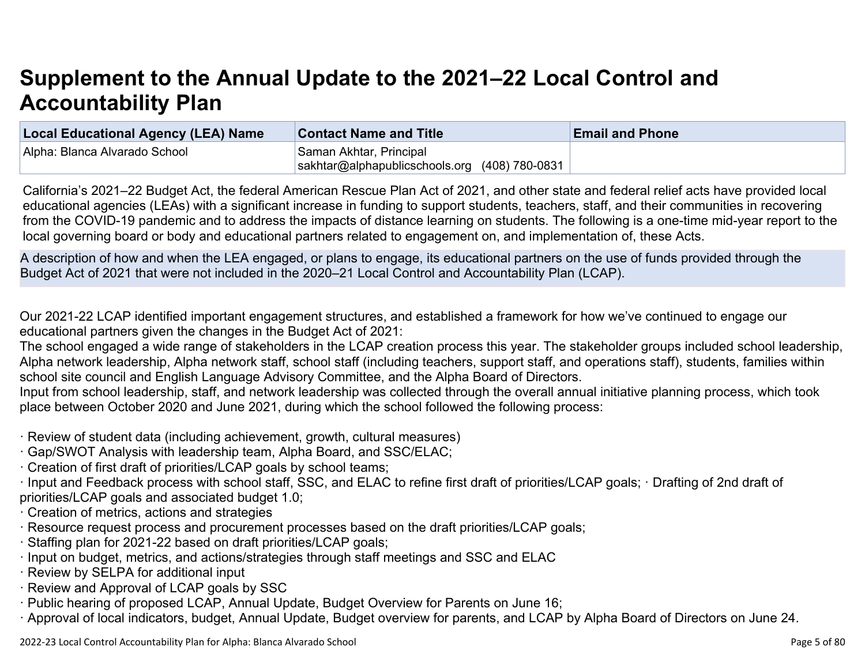# **Supplement to the Annual Update to the 2021–22 Local Control and Accountability Plan**

| <b>Local Educational Agency (LEA) Name</b> | <b>Contact Name and Title</b>                 | <b>Email and Phone</b> |
|--------------------------------------------|-----------------------------------------------|------------------------|
| Alpha: Blanca Alvarado School              | Saman Akhtar, Principal                       |                        |
|                                            | sakhtar@alphapublicschools.org (408) 780-0831 |                        |

California's 2021–22 Budget Act, the federal American Rescue Plan Act of 2021, and other state and federal relief acts have provided local educational agencies (LEAs) with a significant increase in funding to support students, teachers, staff, and their communities in recovering from the COVID-19 pandemic and to address the impacts of distance learning on students. The following is a one-time mid-year report to the local governing board or body and educational partners related to engagement on, and implementation of, these Acts.

A description of how and when the LEA engaged, or plans to engage, its educational partners on the use of funds provided through the Budget Act of 2021 that were not included in the 2020–21 Local Control and Accountability Plan (LCAP).

Our 2021-22 LCAP identified important engagement structures, and established a framework for how we've continued to engage our educational partners given the changes in the Budget Act of 2021:

The school engaged a wide range of stakeholders in the LCAP creation process this year. The stakeholder groups included school leadership, Alpha network leadership, Alpha network staff, school staff (including teachers, support staff, and operations staff), students, families within school site council and English Language Advisory Committee, and the Alpha Board of Directors.

Input from school leadership, staff, and network leadership was collected through the overall annual initiative planning process, which took place between October 2020 and June 2021, during which the school followed the following process:

- · Review of student data (including achievement, growth, cultural measures)
- · Gap/SWOT Analysis with leadership team, Alpha Board, and SSC/ELAC;
- · Creation of first draft of priorities/LCAP goals by school teams;
- · Input and Feedback process with school staff, SSC, and ELAC to refine first draft of priorities/LCAP goals; · Drafting of 2nd draft of priorities/LCAP goals and associated budget 1.0;
- · Creation of metrics, actions and strategies
- · Resource request process and procurement processes based on the draft priorities/LCAP goals;
- · Staffing plan for 2021-22 based on draft priorities/LCAP goals;
- · Input on budget, metrics, and actions/strategies through staff meetings and SSC and ELAC
- · Review by SELPA for additional input
- · Review and Approval of LCAP goals by SSC
- · Public hearing of proposed LCAP, Annual Update, Budget Overview for Parents on June 16;
- · Approval of local indicators, budget, Annual Update, Budget overview for parents, and LCAP by Alpha Board of Directors on June 24.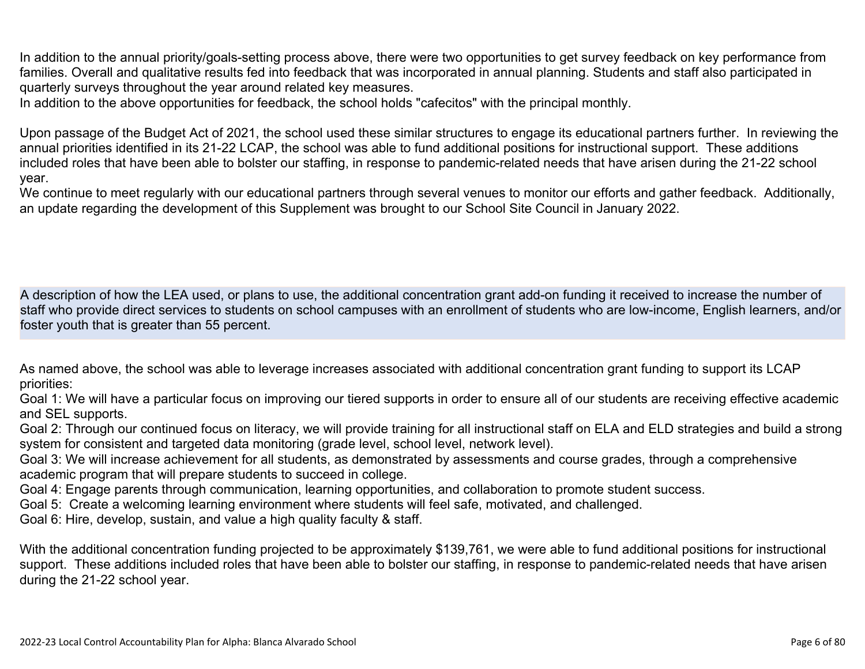In addition to the annual priority/goals-setting process above, there were two opportunities to get survey feedback on key performance from families. Overall and qualitative results fed into feedback that was incorporated in annual planning. Students and staff also participated in quarterly surveys throughout the year around related key measures.

In addition to the above opportunities for feedback, the school holds "cafecitos" with the principal monthly.

Upon passage of the Budget Act of 2021, the school used these similar structures to engage its educational partners further. In reviewing the annual priorities identified in its 21-22 LCAP, the school was able to fund additional positions for instructional support. These additions included roles that have been able to bolster our staffing, in response to pandemic-related needs that have arisen during the 21-22 school year.

We continue to meet regularly with our educational partners through several venues to monitor our efforts and gather feedback. Additionally, an update regarding the development of this Supplement was brought to our School Site Council in January 2022.

A description of how the LEA used, or plans to use, the additional concentration grant add-on funding it received to increase the number of staff who provide direct services to students on school campuses with an enrollment of students who are low-income, English learners, and/or foster youth that is greater than 55 percent.

As named above, the school was able to leverage increases associated with additional concentration grant funding to support its LCAP priorities:

Goal 1: We will have a particular focus on improving our tiered supports in order to ensure all of our students are receiving effective academic and SEL supports.

Goal 2: Through our continued focus on literacy, we will provide training for all instructional staff on ELA and ELD strategies and build a strong system for consistent and targeted data monitoring (grade level, school level, network level).

Goal 3: We will increase achievement for all students, as demonstrated by assessments and course grades, through a comprehensive academic program that will prepare students to succeed in college.

Goal 4: Engage parents through communication, learning opportunities, and collaboration to promote student success.

Goal 5: Create a welcoming learning environment where students will feel safe, motivated, and challenged.

Goal 6: Hire, develop, sustain, and value a high quality faculty & staff.

With the additional concentration funding projected to be approximately \$139,761, we were able to fund additional positions for instructional support. These additions included roles that have been able to bolster our staffing, in response to pandemic-related needs that have arisen during the 21-22 school year.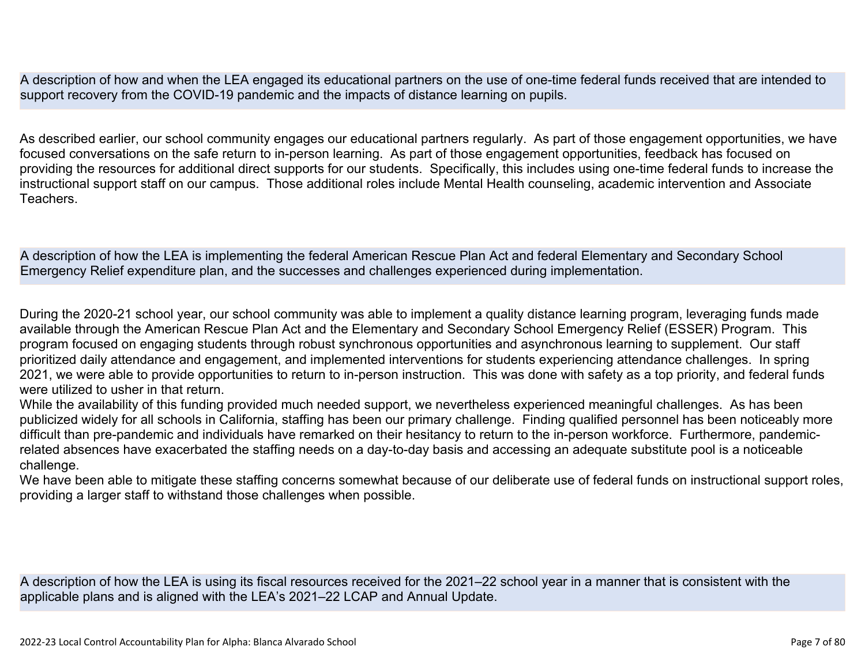A description of how and when the LEA engaged its educational partners on the use of one-time federal funds received that are intended to support recovery from the COVID-19 pandemic and the impacts of distance learning on pupils.

As described earlier, our school community engages our educational partners regularly. As part of those engagement opportunities, we have focused conversations on the safe return to in-person learning. As part of those engagement opportunities, feedback has focused on providing the resources for additional direct supports for our students. Specifically, this includes using one-time federal funds to increase the instructional support staff on our campus. Those additional roles include Mental Health counseling, academic intervention and Associate **Teachers** 

A description of how the LEA is implementing the federal American Rescue Plan Act and federal Elementary and Secondary School Emergency Relief expenditure plan, and the successes and challenges experienced during implementation.

During the 2020-21 school year, our school community was able to implement a quality distance learning program, leveraging funds made available through the American Rescue Plan Act and the Elementary and Secondary School Emergency Relief (ESSER) Program. This program focused on engaging students through robust synchronous opportunities and asynchronous learning to supplement. Our staff prioritized daily attendance and engagement, and implemented interventions for students experiencing attendance challenges. In spring 2021, we were able to provide opportunities to return to in-person instruction. This was done with safety as a top priority, and federal funds were utilized to usher in that return.

While the availability of this funding provided much needed support, we nevertheless experienced meaningful challenges. As has been publicized widely for all schools in California, staffing has been our primary challenge. Finding qualified personnel has been noticeably more difficult than pre-pandemic and individuals have remarked on their hesitancy to return to the in-person workforce. Furthermore, pandemicrelated absences have exacerbated the staffing needs on a day-to-day basis and accessing an adequate substitute pool is a noticeable challenge.

We have been able to mitigate these staffing concerns somewhat because of our deliberate use of federal funds on instructional support roles, providing a larger staff to withstand those challenges when possible.

A description of how the LEA is using its fiscal resources received for the 2021–22 school year in a manner that is consistent with the applicable plans and is aligned with the LEA's 2021–22 LCAP and Annual Update.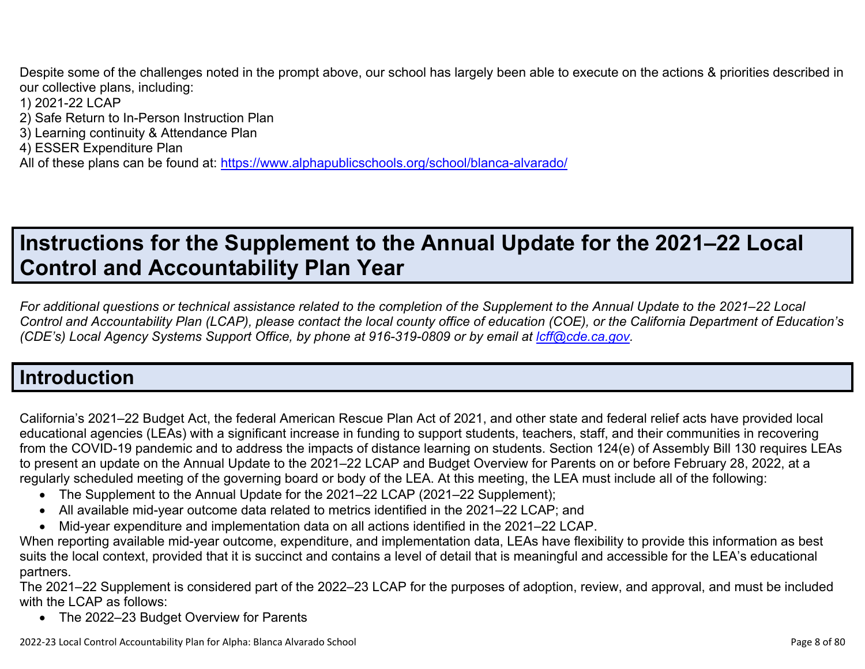Despite some of the challenges noted in the prompt above, our school has largely been able to execute on the actions & priorities described in our collective plans, including:

- 1) 2021-22 LCAP
- 2) Safe Return to In-Person Instruction Plan
- 3) Learning continuity & Attendance Plan
- 4) ESSER Expenditure Plan

All of these plans can be found at:<https://www.alphapublicschools.org/school/blanca-alvarado/>

# **Instructions for the Supplement to the Annual Update for the 2021–22 Local Control and Accountability Plan Year**

*For additional questions or technical assistance related to the completion of the Supplement to the Annual Update to the 2021–22 Local Control and Accountability Plan (LCAP), please contact the local county office of education (COE), or the California Department of Education's (CDE's) Local Agency Systems Support Office, by phone at 916-319-0809 or by email at <i>[lcff@cde.ca.gov](mailto:lcff@cde.ca.gov)*.

## **Introduction**

California's 2021–22 Budget Act, the federal American Rescue Plan Act of 2021, and other state and federal relief acts have provided local educational agencies (LEAs) with a significant increase in funding to support students, teachers, staff, and their communities in recovering from the COVID-19 pandemic and to address the impacts of distance learning on students. Section 124(e) of Assembly Bill 130 requires LEAs to present an update on the Annual Update to the 2021–22 LCAP and Budget Overview for Parents on or before February 28, 2022, at a regularly scheduled meeting of the governing board or body of the LEA. At this meeting, the LEA must include all of the following:

- The Supplement to the Annual Update for the 2021–22 LCAP (2021–22 Supplement);
- All available mid-year outcome data related to metrics identified in the 2021–22 LCAP; and
- Mid-year expenditure and implementation data on all actions identified in the 2021–22 LCAP.

When reporting available mid-year outcome, expenditure, and implementation data, LEAs have flexibility to provide this information as best suits the local context, provided that it is succinct and contains a level of detail that is meaningful and accessible for the LEA's educational partners.

The 2021–22 Supplement is considered part of the 2022–23 LCAP for the purposes of adoption, review, and approval, and must be included with the LCAP as follows:

• The 2022–23 Budget Overview for Parents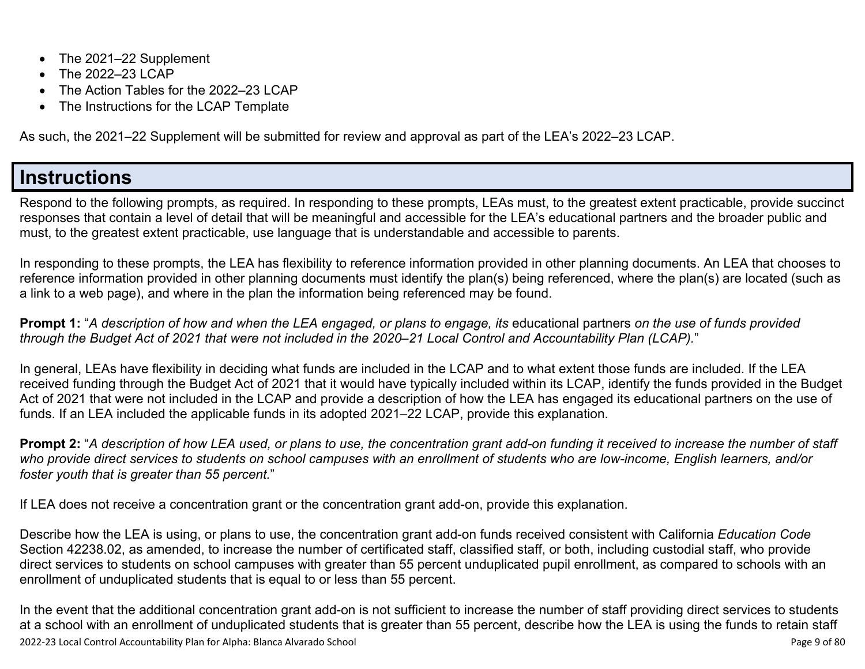- The 2021–22 Supplement
- The 2022-23 LCAP
- The Action Tables for the 2022–23 LCAP
- The Instructions for the LCAP Template

As such, the 2021–22 Supplement will be submitted for review and approval as part of the LEA's 2022–23 LCAP.

### **Instructions**

Respond to the following prompts, as required. In responding to these prompts, LEAs must, to the greatest extent practicable, provide succinct responses that contain a level of detail that will be meaningful and accessible for the LEA's educational partners and the broader public and must, to the greatest extent practicable, use language that is understandable and accessible to parents.

In responding to these prompts, the LEA has flexibility to reference information provided in other planning documents. An LEA that chooses to reference information provided in other planning documents must identify the plan(s) being referenced, where the plan(s) are located (such as a link to a web page), and where in the plan the information being referenced may be found.

**Prompt 1:** "*A description of how and when the LEA engaged, or plans to engage, its* educational partners *on the use of funds provided through the Budget Act of 2021 that were not included in the 2020–21 Local Control and Accountability Plan (LCAP).*"

In general, LEAs have flexibility in deciding what funds are included in the LCAP and to what extent those funds are included. If the LEA received funding through the Budget Act of 2021 that it would have typically included within its LCAP, identify the funds provided in the Budget Act of 2021 that were not included in the LCAP and provide a description of how the LEA has engaged its educational partners on the use of funds. If an LEA included the applicable funds in its adopted 2021–22 LCAP, provide this explanation.

**Prompt 2:** "*A description of how LEA used, or plans to use, the concentration grant add-on funding it received to increase the number of staff who provide direct services to students on school campuses with an enrollment of students who are low-income, English learners, and/or foster youth that is greater than 55 percent.*"

If LEA does not receive a concentration grant or the concentration grant add-on, provide this explanation.

Describe how the LEA is using, or plans to use, the concentration grant add-on funds received consistent with California *Education Code* Section 42238.02, as amended, to increase the number of certificated staff, classified staff, or both, including custodial staff, who provide direct services to students on school campuses with greater than 55 percent unduplicated pupil enrollment, as compared to schools with an enrollment of unduplicated students that is equal to or less than 55 percent.

2022-23 Local Control Accountability Plan for Alpha: Blanca Alvarado School Page 9 of 80 In the event that the additional concentration grant add-on is not sufficient to increase the number of staff providing direct services to students at a school with an enrollment of unduplicated students that is greater than 55 percent, describe how the LEA is using the funds to retain staff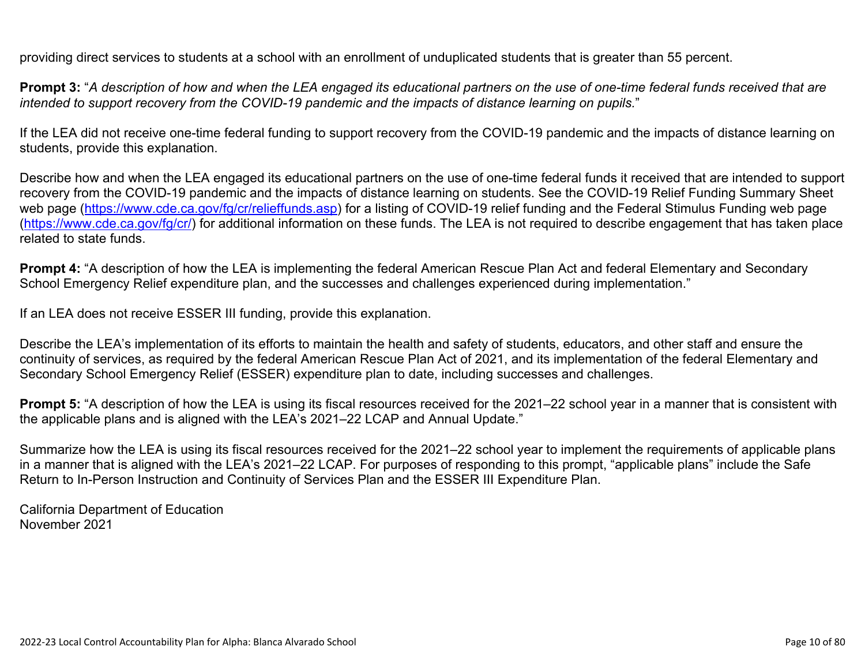providing direct services to students at a school with an enrollment of unduplicated students that is greater than 55 percent.

**Prompt 3:** "*A description of how and when the LEA engaged its educational partners on the use of one-time federal funds received that are intended to support recovery from the COVID-19 pandemic and the impacts of distance learning on pupils.*"

If the LEA did not receive one-time federal funding to support recovery from the COVID-19 pandemic and the impacts of distance learning on students, provide this explanation.

Describe how and when the LEA engaged its educational partners on the use of one-time federal funds it received that are intended to support recovery from the COVID-19 pandemic and the impacts of distance learning on students. See the COVID-19 Relief Funding Summary Sheet web page [\(https://www.cde.ca.gov/fg/cr/relieffunds.asp\)](https://www.cde.ca.gov/fg/cr/relieffunds.asp) for a listing of COVID-19 relief funding and the Federal Stimulus Funding web page (<https://www.cde.ca.gov/fg/cr/>) for additional information on these funds. The LEA is not required to describe engagement that has taken place related to state funds.

**Prompt 4:** "A description of how the LEA is implementing the federal American Rescue Plan Act and federal Elementary and Secondary School Emergency Relief expenditure plan, and the successes and challenges experienced during implementation."

If an LEA does not receive ESSER III funding, provide this explanation.

Describe the LEA's implementation of its efforts to maintain the health and safety of students, educators, and other staff and ensure the continuity of services, as required by the federal American Rescue Plan Act of 2021, and its implementation of the federal Elementary and Secondary School Emergency Relief (ESSER) expenditure plan to date, including successes and challenges.

**Prompt 5:** "A description of how the LEA is using its fiscal resources received for the 2021–22 school year in a manner that is consistent with the applicable plans and is aligned with the LEA's 2021–22 LCAP and Annual Update."

Summarize how the LEA is using its fiscal resources received for the 2021–22 school year to implement the requirements of applicable plans in a manner that is aligned with the LEA's 2021–22 LCAP. For purposes of responding to this prompt, "applicable plans" include the Safe Return to In-Person Instruction and Continuity of Services Plan and the ESSER III Expenditure Plan.

California Department of Education November 2021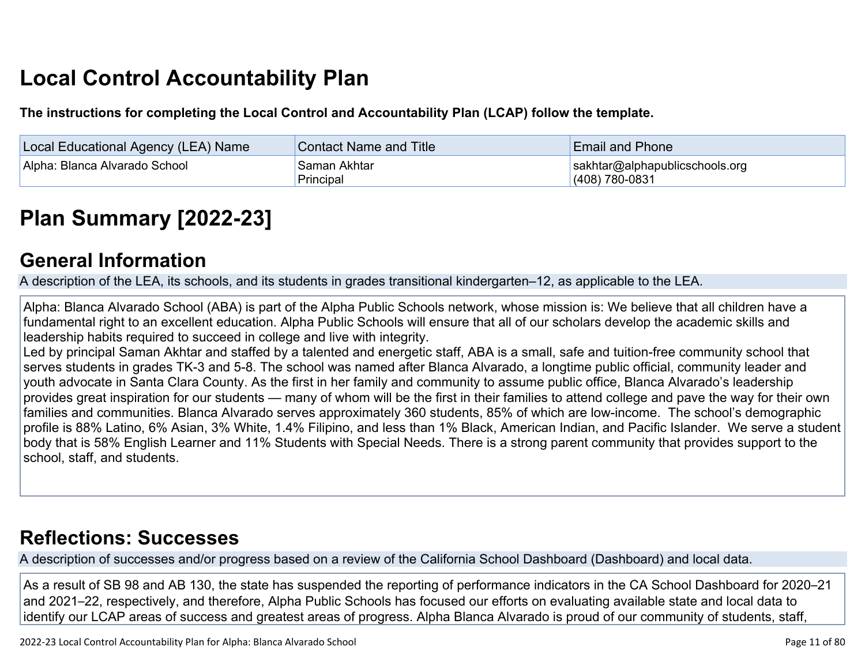# **Local Control Accountability Plan**

**The instructions for completing the Local Control and Accountability Plan (LCAP) follow the template.**

| Local Educational Agency (LEA) Name | <b>Contact Name and Title</b> | <b>Email and Phone</b>                             |
|-------------------------------------|-------------------------------|----------------------------------------------------|
| Alpha: Blanca Alvarado School       | Saman Akhtar<br>Principal     | sakhtar@alphapublicschools.org<br>$(408)$ 780-0831 |

# **[Plan Summary \[2022-23\]](http://www.doc-tracking.com/screenshots/22LCAP/Instructions/22LCAPInstructions.htm#PlanSummary)**

#### **[General Information](http://www.doc-tracking.com/screenshots/22LCAP/Instructions/22LCAPInstructions.htm#generalinformation)**

A description of the LEA, its schools, and its students in grades transitional kindergarten–12, as applicable to the LEA.

Alpha: Blanca Alvarado School (ABA) is part of the Alpha Public Schools network, whose mission is: We believe that all children have a fundamental right to an excellent education. Alpha Public Schools will ensure that all of our scholars develop the academic skills and leadership habits required to succeed in college and live with integrity.

Led by principal Saman Akhtar and staffed by a talented and energetic staff, ABA is a small, safe and tuition-free community school that serves students in grades TK-3 and 5-8. The school was named after Blanca Alvarado, a longtime public official, community leader and youth advocate in Santa Clara County. As the first in her family and community to assume public office, Blanca Alvarado's leadership provides great inspiration for our students — many of whom will be the first in their families to attend college and pave the way for their own families and communities. Blanca Alvarado serves approximately 360 students, 85% of which are low-income. The school's demographic profile is 88% Latino, 6% Asian, 3% White, 1.4% Filipino, and less than 1% Black, American Indian, and Pacific Islander. We serve a student body that is 58% English Learner and 11% Students with Special Needs. There is a strong parent community that provides support to the school, staff, and students.

#### **[Reflections: Successes](http://www.doc-tracking.com/screenshots/22LCAP/Instructions/22LCAPInstructions.htm#ReflectionsSuccesses)**

A description of successes and/or progress based on a review of the California School Dashboard (Dashboard) and local data.

As a result of SB 98 and AB 130, the state has suspended the reporting of performance indicators in the CA School Dashboard for 2020–21 and 2021–22, respectively, and therefore, Alpha Public Schools has focused our efforts on evaluating available state and local data to identify our LCAP areas of success and greatest areas of progress. Alpha Blanca Alvarado is proud of our community of students, staff,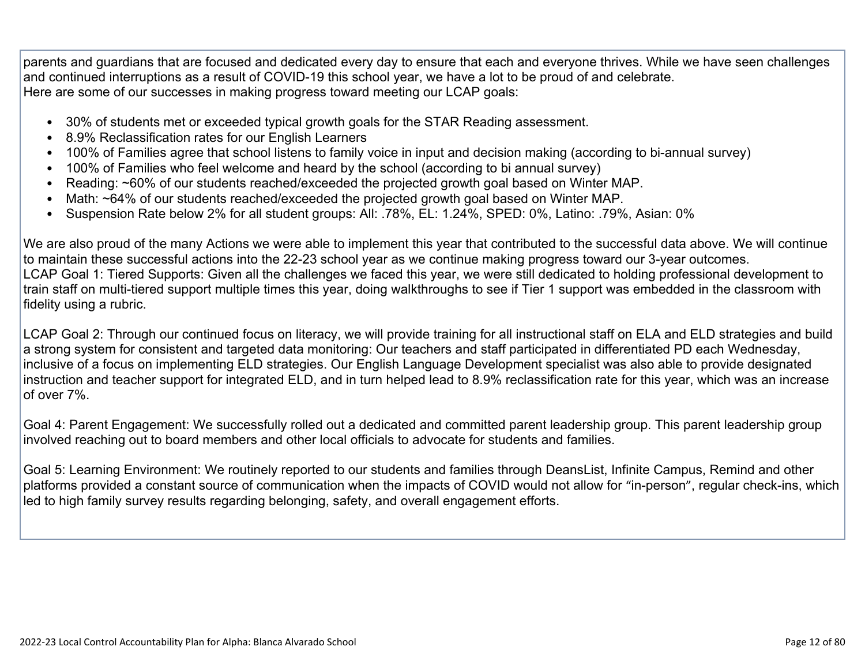parents and guardians that are focused and dedicated every day to ensure that each and everyone thrives. While we have seen challenges and continued interruptions as a result of COVID-19 this school year, we have a lot to be proud of and celebrate. Here are some of our successes in making progress toward meeting our LCAP goals:

- 30% of students met or exceeded typical growth goals for the STAR Reading assessment.
- 8.9% Reclassification rates for our English Learners
- 100% of Families agree that school listens to family voice in input and decision making (according to bi-annual survey)
- 100% of Families who feel welcome and heard by the school (according to bi annual survey)
- Reading: ~60% of our students reached/exceeded the projected growth goal based on Winter MAP.
- Math: ~64% of our students reached/exceeded the projected growth goal based on Winter MAP.
- Suspension Rate below 2% for all student groups: All: .78%, EL: 1.24%, SPED: 0%, Latino: .79%, Asian: 0%

We are also proud of the many Actions we were able to implement this year that contributed to the successful data above. We will continue to maintain these successful actions into the 22-23 school year as we continue making progress toward our 3-year outcomes. LCAP Goal 1: Tiered Supports: Given all the challenges we faced this year, we were still dedicated to holding professional development to train staff on multi-tiered support multiple times this year, doing walkthroughs to see if Tier 1 support was embedded in the classroom with fidelity using a rubric.

LCAP Goal 2: Through our continued focus on literacy, we will provide training for all instructional staff on ELA and ELD strategies and build a strong system for consistent and targeted data monitoring: Our teachers and staff participated in differentiated PD each Wednesday, inclusive of a focus on implementing ELD strategies. Our English Language Development specialist was also able to provide designated instruction and teacher support for integrated ELD, and in turn helped lead to 8.9% reclassification rate for this year, which was an increase of over 7%.

Goal 4: Parent Engagement: We successfully rolled out a dedicated and committed parent leadership group. This parent leadership group involved reaching out to board members and other local officials to advocate for students and families.

Goal 5: Learning Environment: We routinely reported to our students and families through DeansList, Infinite Campus, Remind and other platforms provided a constant source of communication when the impacts of COVID would not allow for "in-person", regular check-ins, which led to high family survey results regarding belonging, safety, and overall engagement efforts.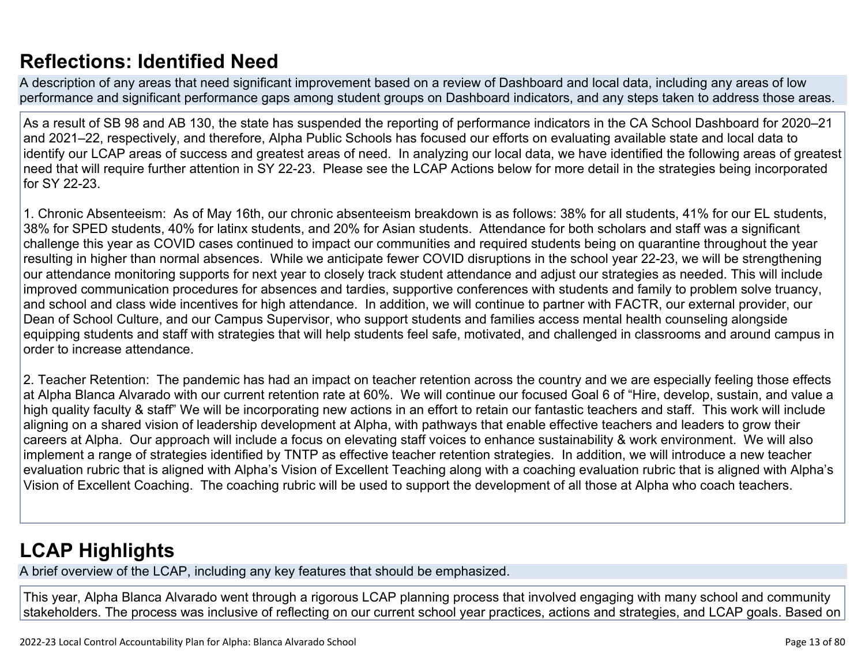## **[Reflections: Identified Need](http://www.doc-tracking.com/screenshots/22LCAP/Instructions/22LCAPInstructions.htm#ReflectionsIdentifiedNeed)**

A description of any areas that need significant improvement based on a review of Dashboard and local data, including any areas of low performance and significant performance gaps among student groups on Dashboard indicators, and any steps taken to address those areas.

As a result of SB 98 and AB 130, the state has suspended the reporting of performance indicators in the CA School Dashboard for 2020–21 and 2021–22, respectively, and therefore, Alpha Public Schools has focused our efforts on evaluating available state and local data to identify our LCAP areas of success and greatest areas of need. In analyzing our local data, we have identified the following areas of greatest need that will require further attention in SY 22-23. Please see the LCAP Actions below for more detail in the strategies being incorporated for SY 22-23.

1. Chronic Absenteeism: As of May 16th, our chronic absenteeism breakdown is as follows: 38% for all students, 41% for our EL students, 38% for SPED students, 40% for latinx students, and 20% for Asian students. Attendance for both scholars and staff was a significant challenge this year as COVID cases continued to impact our communities and required students being on quarantine throughout the year resulting in higher than normal absences. While we anticipate fewer COVID disruptions in the school year 22-23, we will be strengthening our attendance monitoring supports for next year to closely track student attendance and adjust our strategies as needed. This will include improved communication procedures for absences and tardies, supportive conferences with students and family to problem solve truancy, and school and class wide incentives for high attendance. In addition, we will continue to partner with FACTR, our external provider, our Dean of School Culture, and our Campus Supervisor, who support students and families access mental health counseling alongside equipping students and staff with strategies that will help students feel safe, motivated, and challenged in classrooms and around campus in order to increase attendance.

2. Teacher Retention: The pandemic has had an impact on teacher retention across the country and we are especially feeling those effects at Alpha Blanca Alvarado with our current retention rate at 60%. We will continue our focused Goal 6 of "Hire, develop, sustain, and value a high quality faculty & staff" We will be incorporating new actions in an effort to retain our fantastic teachers and staff. This work will include aligning on a shared vision of leadership development at Alpha, with pathways that enable effective teachers and leaders to grow their careers at Alpha. Our approach will include a focus on elevating staff voices to enhance sustainability & work environment. We will also implement a range of strategies identified by TNTP as effective teacher retention strategies. In addition, we will introduce a new teacher evaluation rubric that is aligned with Alpha's Vision of Excellent Teaching along with a coaching evaluation rubric that is aligned with Alpha's Vision of Excellent Coaching. The coaching rubric will be used to support the development of all those at Alpha who coach teachers.

# **[LCAP Highlights](http://www.doc-tracking.com/screenshots/22LCAP/Instructions/22LCAPInstructions.htm#LCAPHighlights)**

A brief overview of the LCAP, including any key features that should be emphasized.

This year, Alpha Blanca Alvarado went through a rigorous LCAP planning process that involved engaging with many school and community stakeholders. The process was inclusive of reflecting on our current school year practices, actions and strategies, and LCAP goals. Based on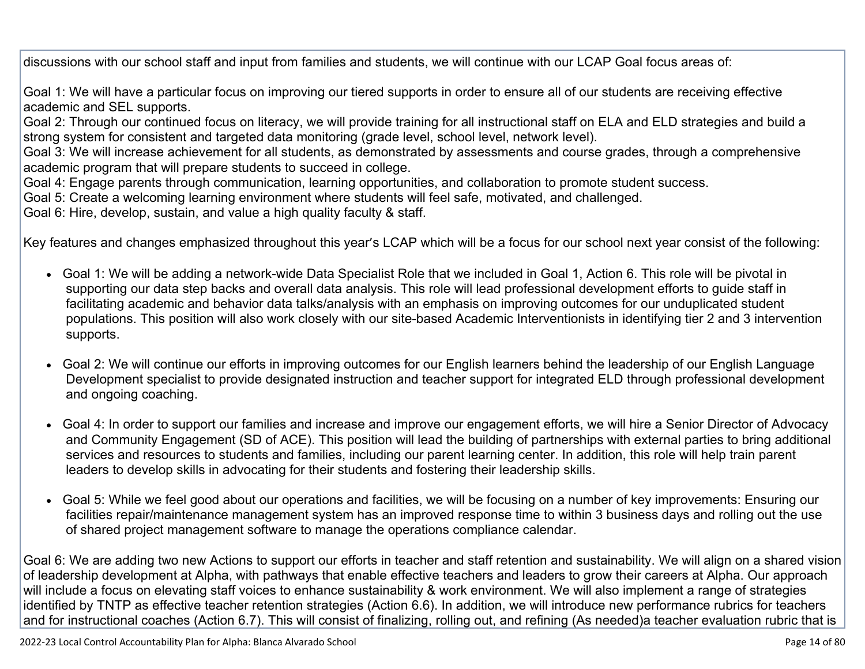discussions with our school staff and input from families and students, we will continue with our LCAP Goal focus areas of:

Goal 1: We will have a particular focus on improving our tiered supports in order to ensure all of our students are receiving effective academic and SEL supports.

Goal 2: Through our continued focus on literacy, we will provide training for all instructional staff on ELA and ELD strategies and build a strong system for consistent and targeted data monitoring (grade level, school level, network level).

Goal 3: We will increase achievement for all students, as demonstrated by assessments and course grades, through a comprehensive academic program that will prepare students to succeed in college.

Goal 4: Engage parents through communication, learning opportunities, and collaboration to promote student success.

Goal 5: Create a welcoming learning environment where students will feel safe, motivated, and challenged.

Goal 6: Hire, develop, sustain, and value a high quality faculty & staff.

Key features and changes emphasized throughout this year's LCAP which will be a focus for our school next year consist of the following:

- Goal 1: We will be adding a network-wide Data Specialist Role that we included in Goal 1, Action 6. This role will be pivotal in supporting our data step backs and overall data analysis. This role will lead professional development efforts to guide staff in facilitating academic and behavior data talks/analysis with an emphasis on improving outcomes for our unduplicated student populations. This position will also work closely with our site-based Academic Interventionists in identifying tier 2 and 3 intervention supports.
- Goal 2: We will continue our efforts in improving outcomes for our English learners behind the leadership of our English Language Development specialist to provide designated instruction and teacher support for integrated ELD through professional development and ongoing coaching.
- Goal 4: In order to support our families and increase and improve our engagement efforts, we will hire a Senior Director of Advocacy and Community Engagement (SD of ACE). This position will lead the building of partnerships with external parties to bring additional services and resources to students and families, including our parent learning center. In addition, this role will help train parent leaders to develop skills in advocating for their students and fostering their leadership skills.
- Goal 5: While we feel good about our operations and facilities, we will be focusing on a number of key improvements: Ensuring our facilities repair/maintenance management system has an improved response time to within 3 business days and rolling out the use of shared project management software to manage the operations compliance calendar.

Goal 6: We are adding two new Actions to support our efforts in teacher and staff retention and sustainability. We will align on a shared vision of leadership development at Alpha, with pathways that enable effective teachers and leaders to grow their careers at Alpha. Our approach will include a focus on elevating staff voices to enhance sustainability & work environment. We will also implement a range of strategies identified by TNTP as effective teacher retention strategies (Action 6.6). In addition, we will introduce new performance rubrics for teachers and for instructional coaches (Action 6.7). This will consist of finalizing, rolling out, and refining (As needed)a teacher evaluation rubric that is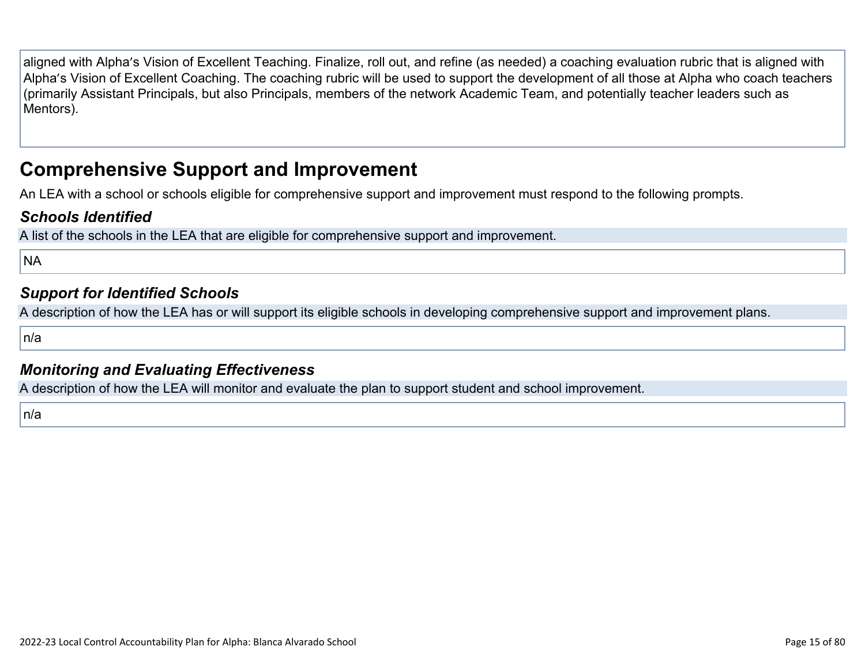aligned with Alpha's Vision of Excellent Teaching. Finalize, roll out, and refine (as needed) a coaching evaluation rubric that is aligned with Alpha's Vision of Excellent Coaching. The coaching rubric will be used to support the development of all those at Alpha who coach teachers (primarily Assistant Principals, but also Principals, members of the network Academic Team, and potentially teacher leaders such as Mentors).

### **Comprehensive Support and Improvement**

An LEA with a school or schools eligible for comprehensive support and improvement must respond to the following prompts.

#### *[Schools Identified](http://www.doc-tracking.com/screenshots/22LCAP/Instructions/22LCAPInstructions.htm#SchoolsIdentified)*

A list of the schools in the LEA that are eligible for comprehensive support and improvement.

**NA** 

#### *[Support for Identified Schools](http://www.doc-tracking.com/screenshots/22LCAP/Instructions/22LCAPInstructions.htm#SupportforIdentifiedSchools)*

A description of how the LEA has or will support its eligible schools in developing comprehensive support and improvement plans.

n/a

#### *[Monitoring and Evaluating Effectiveness](http://www.doc-tracking.com/screenshots/22LCAP/Instructions/22LCAPInstructions.htm#MonitoringandEvaluatingEffectiveness)*

A description of how the LEA will monitor and evaluate the plan to support student and school improvement.

n/a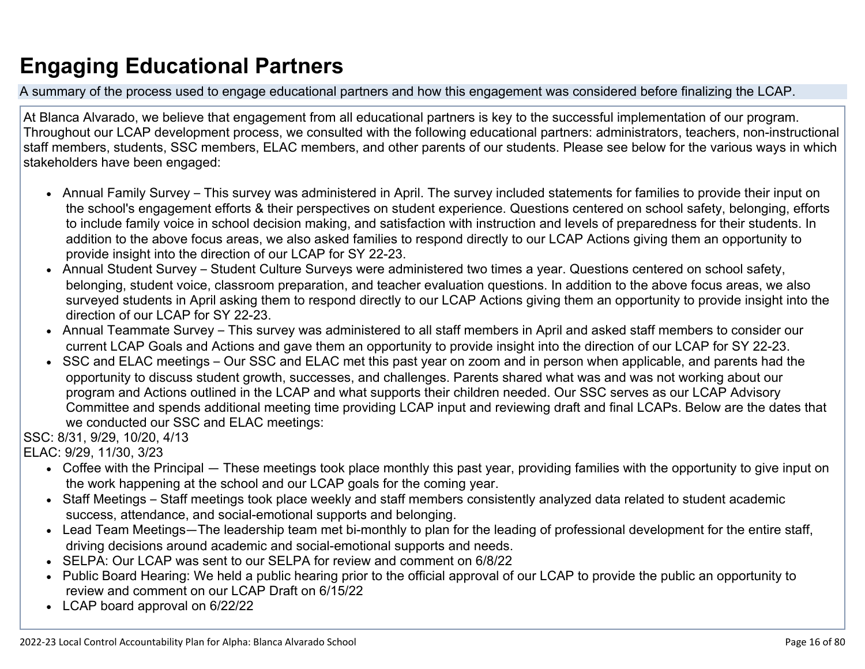# **Engaging Educational Partners**

A summary of the process used to engage educational partners and how this engagement was considered before finalizing the LCAP.

At Blanca Alvarado, we believe that engagement from all educational partners is key to the successful implementation of our program. Throughout our LCAP development process, we consulted with the following educational partners: administrators, teachers, non-instructional staff members, students, SSC members, ELAC members, and other parents of our students. Please see below for the various ways in which stakeholders have been engaged:

- Annual Family Survey This survey was administered in April. The survey included statements for families to provide their input on the school's engagement efforts & their perspectives on student experience. Questions centered on school safety, belonging, efforts to include family voice in school decision making, and satisfaction with instruction and levels of preparedness for their students. In addition to the above focus areas, we also asked families to respond directly to our LCAP Actions giving them an opportunity to provide insight into the direction of our LCAP for SY 22-23.
- Annual Student Survey Student Culture Surveys were administered two times a year. Questions centered on school safety, belonging, student voice, classroom preparation, and teacher evaluation questions. In addition to the above focus areas, we also surveyed students in April asking them to respond directly to our LCAP Actions giving them an opportunity to provide insight into the direction of our LCAP for SY 22-23.
- Annual Teammate Survey This survey was administered to all staff members in April and asked staff members to consider our current LCAP Goals and Actions and gave them an opportunity to provide insight into the direction of our LCAP for SY 22-23.
- SSC and ELAC meetings Our SSC and ELAC met this past year on zoom and in person when applicable, and parents had the opportunity to discuss student growth, successes, and challenges. Parents shared what was and was not working about our program and Actions outlined in the LCAP and what supports their children needed. Our SSC serves as our LCAP Advisory Committee and spends additional meeting time providing LCAP input and reviewing draft and final LCAPs. Below are the dates that we conducted our SSC and ELAC meetings:

SSC: 8/31, 9/29, 10/20, 4/13

ELAC: 9/29, 11/30, 3/23

- Coffee with the Principal These meetings took place monthly this past year, providing families with the opportunity to give input on the work happening at the school and our LCAP goals for the coming year.
- Staff Meetings Staff meetings took place weekly and staff members consistently analyzed data related to student academic success, attendance, and social-emotional supports and belonging.
- Lead Team Meetings—The leadership team met bi-monthly to plan for the leading of professional development for the entire staff, driving decisions around academic and social-emotional supports and needs.
- SELPA: Our LCAP was sent to our SELPA for review and comment on 6/8/22
- Public Board Hearing: We held a public hearing prior to the official approval of our LCAP to provide the public an opportunity to review and comment on our LCAP Draft on 6/15/22
- LCAP board approval on 6/22/22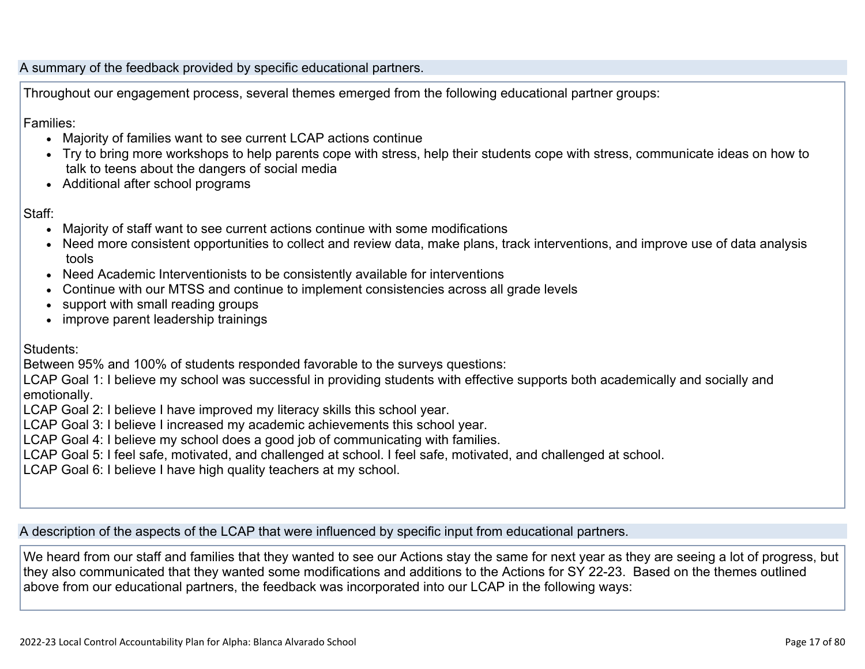A summary of the feedback provided by specific educational partners.

Throughout our engagement process, several themes emerged from the following educational partner groups:

Families:

- Majority of families want to see current LCAP actions continue
- Try to bring more workshops to help parents cope with stress, help their students cope with stress, communicate ideas on how to talk to teens about the dangers of social media
- Additional after school programs

Staff:

- Majority of staff want to see current actions continue with some modifications
- Need more consistent opportunities to collect and review data, make plans, track interventions, and improve use of data analysis tools
- Need Academic Interventionists to be consistently available for interventions
- Continue with our MTSS and continue to implement consistencies across all grade levels
- support with small reading groups
- improve parent leadership trainings

Students:

Between 95% and 100% of students responded favorable to the surveys questions:

LCAP Goal 1: I believe my school was successful in providing students with effective supports both academically and socially and emotionally.

LCAP Goal 2: I believe I have improved my literacy skills this school year.

- LCAP Goal 3: I believe I increased my academic achievements this school year.
- LCAP Goal 4: I believe my school does a good job of communicating with families.
- LCAP Goal 5: I feel safe, motivated, and challenged at school. I feel safe, motivated, and challenged at school.

LCAP Goal 6: I believe I have high quality teachers at my school.

A description of the aspects of the LCAP that were influenced by specific input from educational partners.

We heard from our staff and families that they wanted to see our Actions stay the same for next year as they are seeing a lot of progress, but they also communicated that they wanted some modifications and additions to the Actions for SY 22-23. Based on the themes outlined above from our educational partners, the feedback was incorporated into our LCAP in the following ways: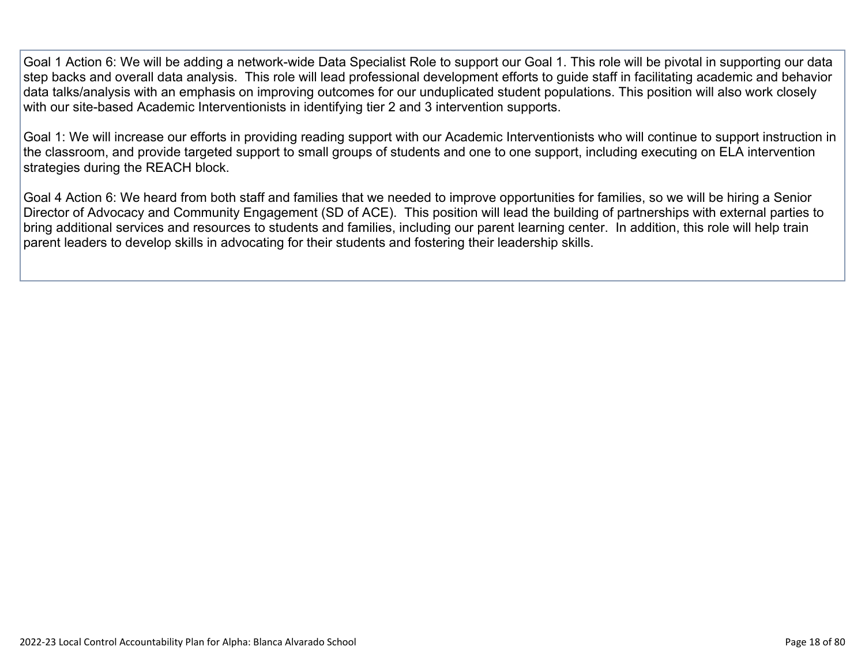Goal 1 Action 6: We will be adding a network-wide Data Specialist Role to support our Goal 1. This role will be pivotal in supporting our data step backs and overall data analysis. This role will lead professional development efforts to guide staff in facilitating academic and behavior data talks/analysis with an emphasis on improving outcomes for our unduplicated student populations. This position will also work closely with our site-based Academic Interventionists in identifying tier 2 and 3 intervention supports.

Goal 1: We will increase our efforts in providing reading support with our Academic Interventionists who will continue to support instruction in the classroom, and provide targeted support to small groups of students and one to one support, including executing on ELA intervention strategies during the REACH block.

Goal 4 Action 6: We heard from both staff and families that we needed to improve opportunities for families, so we will be hiring a Senior Director of Advocacy and Community Engagement (SD of ACE). This position will lead the building of partnerships with external parties to bring additional services and resources to students and families, including our parent learning center. In addition, this role will help train parent leaders to develop skills in advocating for their students and fostering their leadership skills.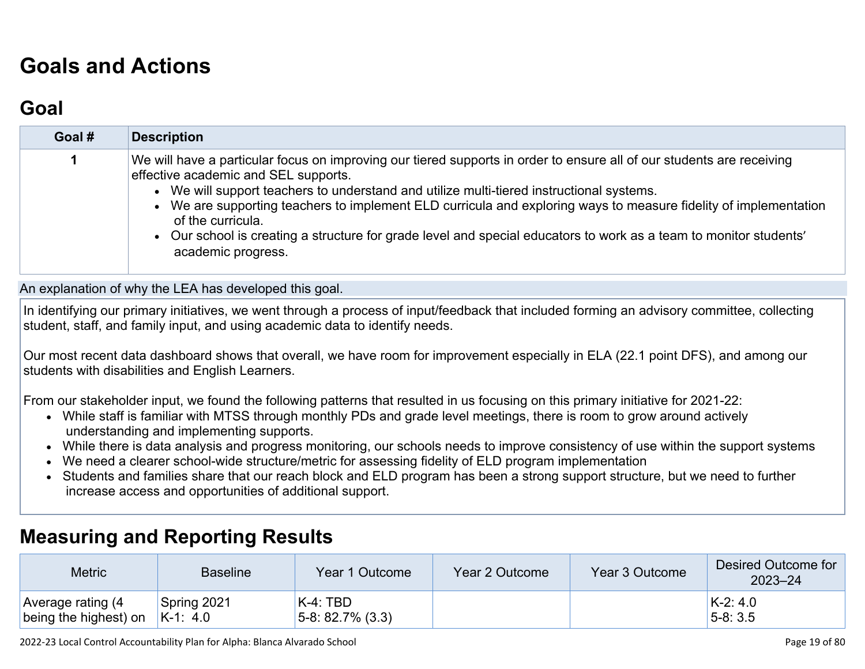# **[Goals and Actions](http://www.doc-tracking.com/screenshots/22LCAP/Instructions/22LCAPInstructions.htm#GoalsandActions)**

## **[Goal](http://www.doc-tracking.com/screenshots/22LCAP/Instructions/22LCAPInstructions.htm#goalDescription)**

| Goal # | <b>Description</b>                                                                                                                                                                                                                                                                                                                                                                                                                                                                                                                            |
|--------|-----------------------------------------------------------------------------------------------------------------------------------------------------------------------------------------------------------------------------------------------------------------------------------------------------------------------------------------------------------------------------------------------------------------------------------------------------------------------------------------------------------------------------------------------|
|        | We will have a particular focus on improving our tiered supports in order to ensure all of our students are receiving<br>effective academic and SEL supports.<br>• We will support teachers to understand and utilize multi-tiered instructional systems.<br>• We are supporting teachers to implement ELD curricula and exploring ways to measure fidelity of implementation<br>of the curricula.<br>• Our school is creating a structure for grade level and special educators to work as a team to monitor students'<br>academic progress. |

An explanation of why the LEA has developed this goal.

In identifying our primary initiatives, we went through a process of input/feedback that included forming an advisory committee, collecting student, staff, and family input, and using academic data to identify needs.

Our most recent data dashboard shows that overall, we have room for improvement especially in ELA (22.1 point DFS), and among our students with disabilities and English Learners.

From our stakeholder input, we found the following patterns that resulted in us focusing on this primary initiative for 2021-22:

- While staff is familiar with MTSS through monthly PDs and grade level meetings, there is room to grow around actively understanding and implementing supports.
- While there is data analysis and progress monitoring, our schools needs to improve consistency of use within the support systems
- We need a clearer school-wide structure/metric for assessing fidelity of ELD program implementation
- Students and families share that our reach block and ELD program has been a strong support structure, but we need to further increase access and opportunities of additional support.

#### **[Measuring and Reporting Results](http://www.doc-tracking.com/screenshots/22LCAP/Instructions/22LCAPInstructions.htm#MeasuringandReportingResults)**

| <b>Metric</b>                              | <b>Baseline</b>           | Year 1 Outcome                     | Year 2 Outcome | Year 3 Outcome | Desired Outcome for<br>$2023 - 24$ |
|--------------------------------------------|---------------------------|------------------------------------|----------------|----------------|------------------------------------|
| Average rating (4<br>being the highest) on | Spring 2021<br>$K-1: 4.0$ | $K-4$ : TBD<br>$5-8: 82.7\% (3.3)$ |                |                | $K-2.4.0$<br>$5-8:3.5$             |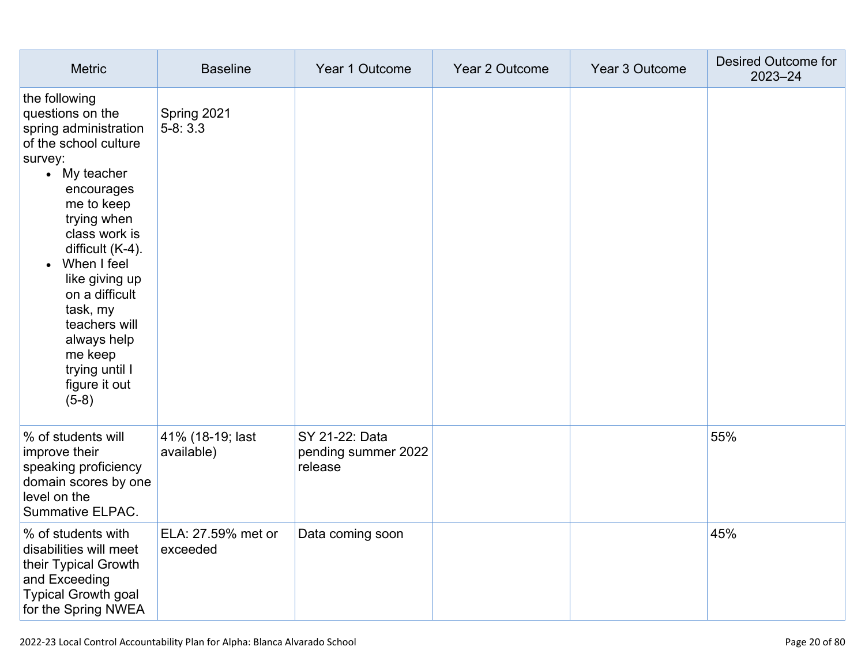| <b>Metric</b>                                                                                                                                                                                                                                                                                                                                            | <b>Baseline</b>                | Year 1 Outcome                                   | Year 2 Outcome | Year 3 Outcome | Desired Outcome for<br>$2023 - 24$ |
|----------------------------------------------------------------------------------------------------------------------------------------------------------------------------------------------------------------------------------------------------------------------------------------------------------------------------------------------------------|--------------------------------|--------------------------------------------------|----------------|----------------|------------------------------------|
| the following<br>questions on the<br>spring administration<br>of the school culture<br>survey:<br>• My teacher<br>encourages<br>me to keep<br>trying when<br>class work is<br>difficult (K-4).<br>• When I feel<br>like giving up<br>on a difficult<br>task, my<br>teachers will<br>always help<br>me keep<br>trying until I<br>figure it out<br>$(5-8)$ | Spring 2021<br>$5-8:3.3$       |                                                  |                |                |                                    |
| % of students will<br>improve their<br>speaking proficiency<br>domain scores by one<br>level on the<br><b>Summative ELPAC.</b>                                                                                                                                                                                                                           | 41% (18-19; last<br>available) | SY 21-22: Data<br>pending summer 2022<br>release |                |                | 55%                                |
| % of students with<br>disabilities will meet<br>their Typical Growth<br>and Exceeding<br><b>Typical Growth goal</b><br>for the Spring NWEA                                                                                                                                                                                                               | ELA: 27.59% met or<br>exceeded | Data coming soon                                 |                |                | 45%                                |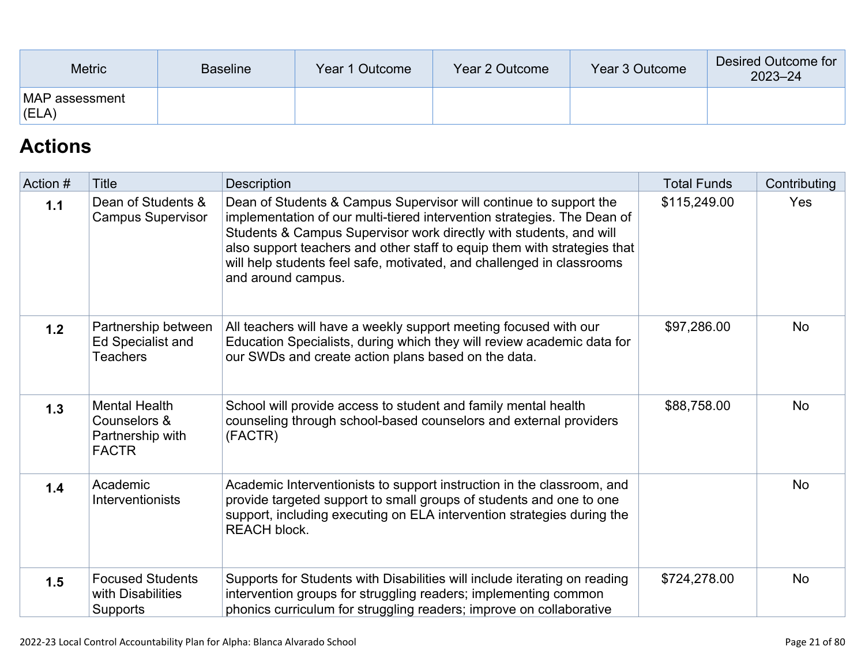| <b>Metric</b>               | <b>Baseline</b> | Year 1 Outcome | Year 2 Outcome | Year 3 Outcome | Desired Outcome for<br>$2023 - 24$ |
|-----------------------------|-----------------|----------------|----------------|----------------|------------------------------------|
| MAP assessment<br>$ $ (ELA) |                 |                |                |                |                                    |

## **[Actions](http://www.doc-tracking.com/screenshots/22LCAP/Instructions/22LCAPInstructions.htm#actions)**

| Action # | Title                                                                    | <b>Description</b>                                                                                                                                                                                                                                                                                                                                                                            | <b>Total Funds</b> | Contributing |
|----------|--------------------------------------------------------------------------|-----------------------------------------------------------------------------------------------------------------------------------------------------------------------------------------------------------------------------------------------------------------------------------------------------------------------------------------------------------------------------------------------|--------------------|--------------|
| 1.1      | Dean of Students &<br><b>Campus Supervisor</b>                           | Dean of Students & Campus Supervisor will continue to support the<br>implementation of our multi-tiered intervention strategies. The Dean of<br>Students & Campus Supervisor work directly with students, and will<br>also support teachers and other staff to equip them with strategies that<br>will help students feel safe, motivated, and challenged in classrooms<br>and around campus. | \$115,249.00       | Yes          |
| 1.2      | Partnership between<br>Ed Specialist and<br>Teachers                     | All teachers will have a weekly support meeting focused with our<br>Education Specialists, during which they will review academic data for<br>our SWDs and create action plans based on the data.                                                                                                                                                                                             | \$97,286.00        | <b>No</b>    |
| $1.3$    | <b>Mental Health</b><br>Counselors &<br>Partnership with<br><b>FACTR</b> | School will provide access to student and family mental health<br>counseling through school-based counselors and external providers<br>(FACTR)                                                                                                                                                                                                                                                | \$88,758.00        | <b>No</b>    |
| 1.4      | Academic<br>Interventionists                                             | Academic Interventionists to support instruction in the classroom, and<br>provide targeted support to small groups of students and one to one<br>support, including executing on ELA intervention strategies during the<br><b>REACH block.</b>                                                                                                                                                |                    | <b>No</b>    |
| 1.5      | <b>Focused Students</b><br>with Disabilities<br>Supports                 | Supports for Students with Disabilities will include iterating on reading<br>intervention groups for struggling readers; implementing common<br>phonics curriculum for struggling readers; improve on collaborative                                                                                                                                                                           | \$724,278.00       | <b>No</b>    |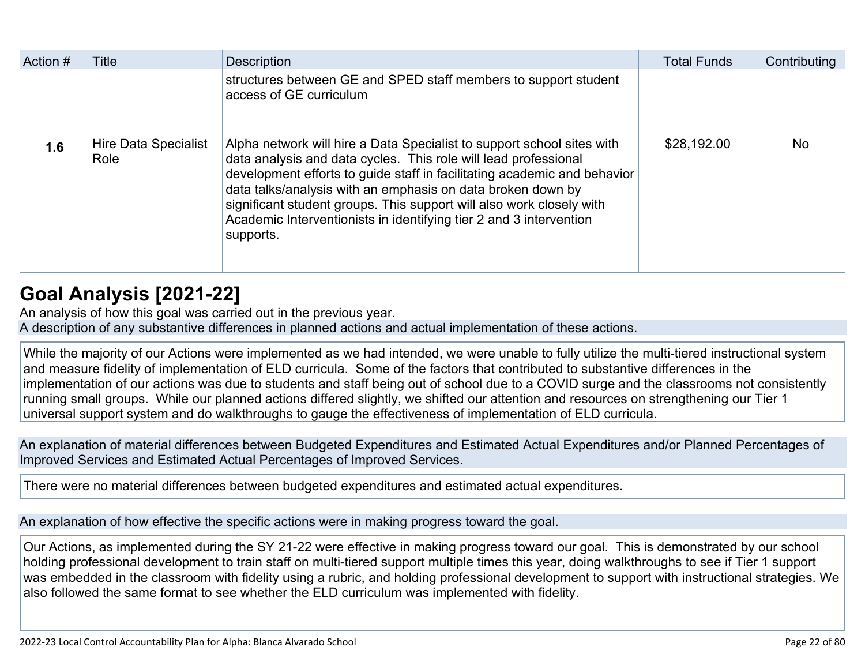| Action # | Title                        | <b>Description</b>                                                                                                                                                                                                                                                                                                                                                                                                                              | <b>Total Funds</b> | Contributing |
|----------|------------------------------|-------------------------------------------------------------------------------------------------------------------------------------------------------------------------------------------------------------------------------------------------------------------------------------------------------------------------------------------------------------------------------------------------------------------------------------------------|--------------------|--------------|
|          |                              | structures between GE and SPED staff members to support student<br>access of GE curriculum                                                                                                                                                                                                                                                                                                                                                      |                    |              |
| 1.6      | Hire Data Specialist<br>Role | Alpha network will hire a Data Specialist to support school sites with<br>data analysis and data cycles. This role will lead professional<br>development efforts to guide staff in facilitating academic and behavior<br>data talks/analysis with an emphasis on data broken down by<br>significant student groups. This support will also work closely with<br>Academic Interventionists in identifying tier 2 and 3 intervention<br>supports. | \$28,192.00        | <b>No</b>    |

## **[Goal Analysis \[2021-22\]](http://www.doc-tracking.com/screenshots/22LCAP/Instructions/22LCAPInstructions.htm#GoalAnalysis)**

An analysis of how this goal was carried out in the previous year.

A description of any substantive differences in planned actions and actual implementation of these actions.

While the majority of our Actions were implemented as we had intended, we were unable to fully utilize the multi-tiered instructional system and measure fidelity of implementation of ELD curricula. Some of the factors that contributed to substantive differences in the implementation of our actions was due to students and staff being out of school due to a COVID surge and the classrooms not consistently running small groups. While our planned actions differed slightly, we shifted our attention and resources on strengthening our Tier 1 universal support system and do walkthroughs to gauge the effectiveness of implementation of ELD curricula.

An explanation of material differences between Budgeted Expenditures and Estimated Actual Expenditures and/or Planned Percentages of Improved Services and Estimated Actual Percentages of Improved Services.

There were no material differences between budgeted expenditures and estimated actual expenditures.

An explanation of how effective the specific actions were in making progress toward the goal.

Our Actions, as implemented during the SY 21-22 were effective in making progress toward our goal. This is demonstrated by our school holding professional development to train staff on multi-tiered support multiple times this year, doing walkthroughs to see if Tier 1 support was embedded in the classroom with fidelity using a rubric, and holding professional development to support with instructional strategies. We also followed the same format to see whether the ELD curriculum was implemented with fidelity.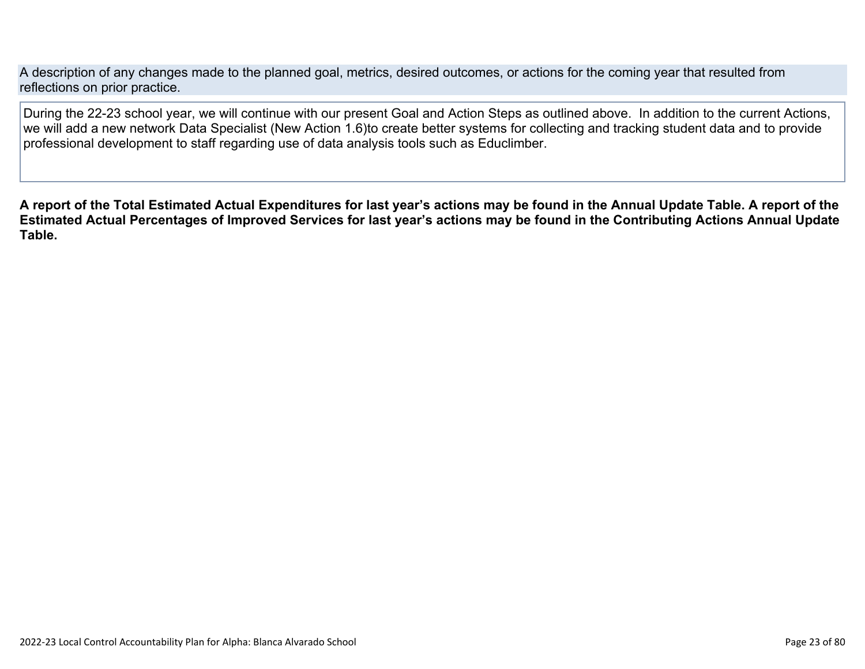A description of any changes made to the planned goal, metrics, desired outcomes, or actions for the coming year that resulted from reflections on prior practice.

During the 22-23 school year, we will continue with our present Goal and Action Steps as outlined above. In addition to the current Actions, we will add a new network Data Specialist (New Action 1.6)to create better systems for collecting and tracking student data and to provide professional development to staff regarding use of data analysis tools such as Educlimber.

**A report of the Total Estimated Actual Expenditures for last year's actions may be found in the Annual Update Table. A report of the Estimated Actual Percentages of Improved Services for last year's actions may be found in the Contributing Actions Annual Update Table.**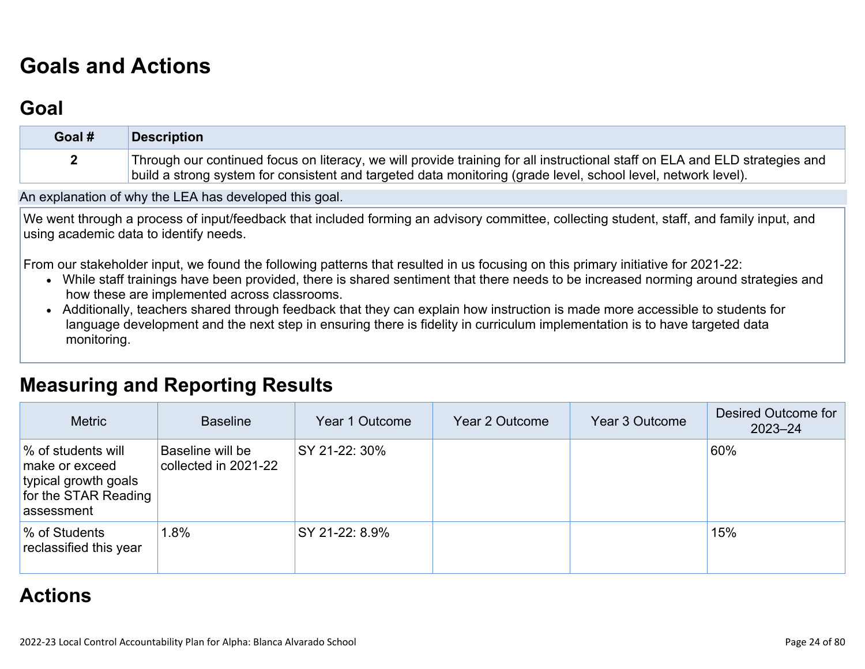# **[Goals and Actions](http://www.doc-tracking.com/screenshots/22LCAP/Instructions/22LCAPInstructions.htm#GoalsandActions)**

## **[Goal](http://www.doc-tracking.com/screenshots/22LCAP/Instructions/22LCAPInstructions.htm#goalDescription)**

| Goal # | Description                                                                                                                                                                                                                                  |
|--------|----------------------------------------------------------------------------------------------------------------------------------------------------------------------------------------------------------------------------------------------|
|        | Through our continued focus on literacy, we will provide training for all instructional staff on ELA and ELD strategies and<br>build a strong system for consistent and targeted data monitoring (grade level, school level, network level). |

An explanation of why the LEA has developed this goal.

We went through a process of input/feedback that included forming an advisory committee, collecting student, staff, and family input, and using academic data to identify needs.

From our stakeholder input, we found the following patterns that resulted in us focusing on this primary initiative for 2021-22:

- While staff trainings have been provided, there is shared sentiment that there needs to be increased norming around strategies and how these are implemented across classrooms.
- Additionally, teachers shared through feedback that they can explain how instruction is made more accessible to students for language development and the next step in ensuring there is fidelity in curriculum implementation is to have targeted data monitoring.

#### **[Measuring and Reporting Results](http://www.doc-tracking.com/screenshots/22LCAP/Instructions/22LCAPInstructions.htm#MeasuringandReportingResults)**

| <b>Metric</b>                                                                                      | <b>Baseline</b>                          | Year 1 Outcome | Year 2 Outcome | Year 3 Outcome | Desired Outcome for<br>$2023 - 24$ |
|----------------------------------------------------------------------------------------------------|------------------------------------------|----------------|----------------|----------------|------------------------------------|
| % of students will<br>make or exceed<br>typical growth goals<br>for the STAR Reading<br>assessment | Baseline will be<br>collected in 2021-22 | SY 21-22: 30%  |                |                | 60%                                |
| % of Students<br>reclassified this year                                                            | $1.8\%$                                  | SY 21-22: 8.9% |                |                | 15%                                |

#### **[Actions](http://www.doc-tracking.com/screenshots/22LCAP/Instructions/22LCAPInstructions.htm#actions)**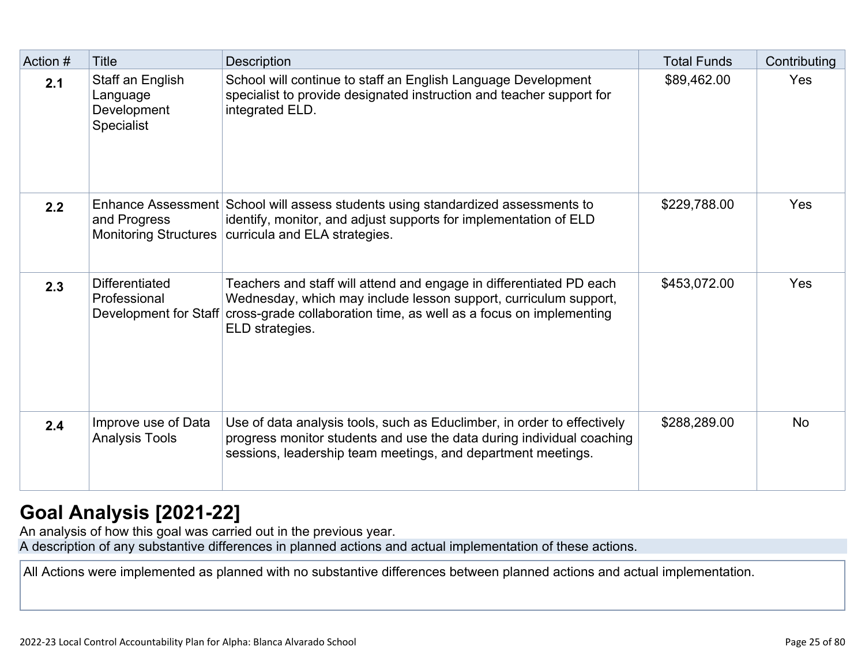| Action # | Title                                                            | Description                                                                                                                                                                                                                                            | <b>Total Funds</b> | Contributing |
|----------|------------------------------------------------------------------|--------------------------------------------------------------------------------------------------------------------------------------------------------------------------------------------------------------------------------------------------------|--------------------|--------------|
| 2.1      | Staff an English<br>Language<br>Development<br><b>Specialist</b> | School will continue to staff an English Language Development<br>specialist to provide designated instruction and teacher support for<br>integrated ELD.                                                                                               | \$89,462.00        | Yes          |
| 2.2      | and Progress<br><b>Monitoring Structures</b>                     | Enhance Assessment School will assess students using standardized assessments to<br>identify, monitor, and adjust supports for implementation of ELD<br>curricula and ELA strategies.                                                                  | \$229,788.00       | Yes          |
| 2.3      | <b>Differentiated</b><br>Professional                            | Teachers and staff will attend and engage in differentiated PD each<br>Wednesday, which may include lesson support, curriculum support,<br>Development for Staff cross-grade collaboration time, as well as a focus on implementing<br>ELD strategies. | \$453,072.00       | Yes          |
| 2.4      | Improve use of Data<br><b>Analysis Tools</b>                     | Use of data analysis tools, such as Educlimber, in order to effectively<br>progress monitor students and use the data during individual coaching<br>sessions, leadership team meetings, and department meetings.                                       | \$288,289.00       | <b>No</b>    |

## **[Goal Analysis \[2021-22\]](http://www.doc-tracking.com/screenshots/22LCAP/Instructions/22LCAPInstructions.htm#GoalAnalysis)**

An analysis of how this goal was carried out in the previous year.

A description of any substantive differences in planned actions and actual implementation of these actions.

All Actions were implemented as planned with no substantive differences between planned actions and actual implementation.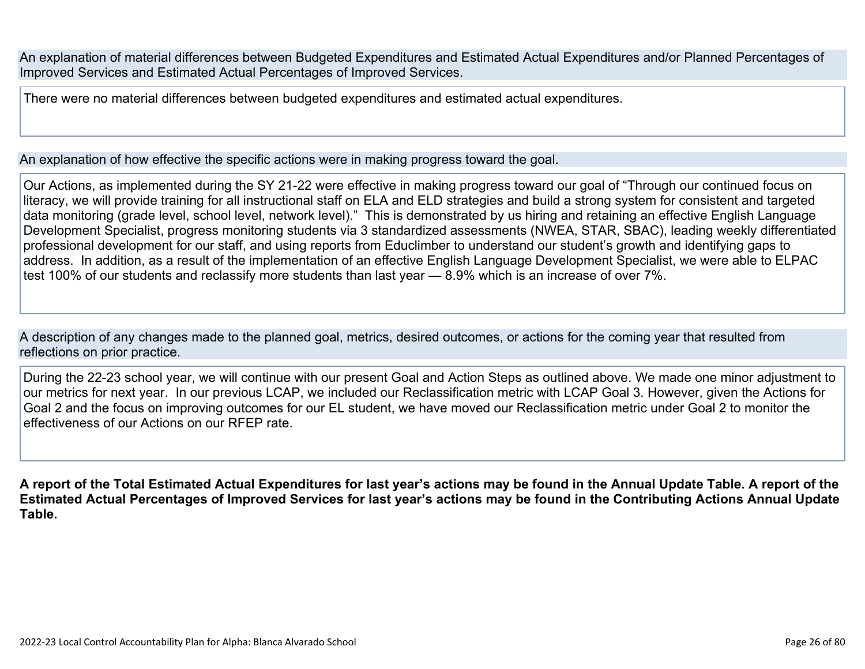An explanation of material differences between Budgeted Expenditures and Estimated Actual Expenditures and/or Planned Percentages of Improved Services and Estimated Actual Percentages of Improved Services.

There were no material differences between budgeted expenditures and estimated actual expenditures.

An explanation of how effective the specific actions were in making progress toward the goal.

Our Actions, as implemented during the SY 21-22 were effective in making progress toward our goal of "Through our continued focus on literacy, we will provide training for all instructional staff on ELA and ELD strategies and build a strong system for consistent and targeted data monitoring (grade level, school level, network level)." This is demonstrated by us hiring and retaining an effective English Language Development Specialist, progress monitoring students via 3 standardized assessments (NWEA, STAR, SBAC), leading weekly differentiated professional development for our staff, and using reports from Educlimber to understand our student's growth and identifying gaps to address. In addition, as a result of the implementation of an effective English Language Development Specialist, we were able to ELPAC test 100% of our students and reclassify more students than last year — 8.9% which is an increase of over 7%.

A description of any changes made to the planned goal, metrics, desired outcomes, or actions for the coming year that resulted from reflections on prior practice.

During the 22-23 school year, we will continue with our present Goal and Action Steps as outlined above. We made one minor adjustment to our metrics for next year. In our previous LCAP, we included our Reclassification metric with LCAP Goal 3. However, given the Actions for Goal 2 and the focus on improving outcomes for our EL student, we have moved our Reclassification metric under Goal 2 to monitor the effectiveness of our Actions on our RFEP rate.

**A report of the Total Estimated Actual Expenditures for last year's actions may be found in the Annual Update Table. A report of the Estimated Actual Percentages of Improved Services for last year's actions may be found in the Contributing Actions Annual Update Table.**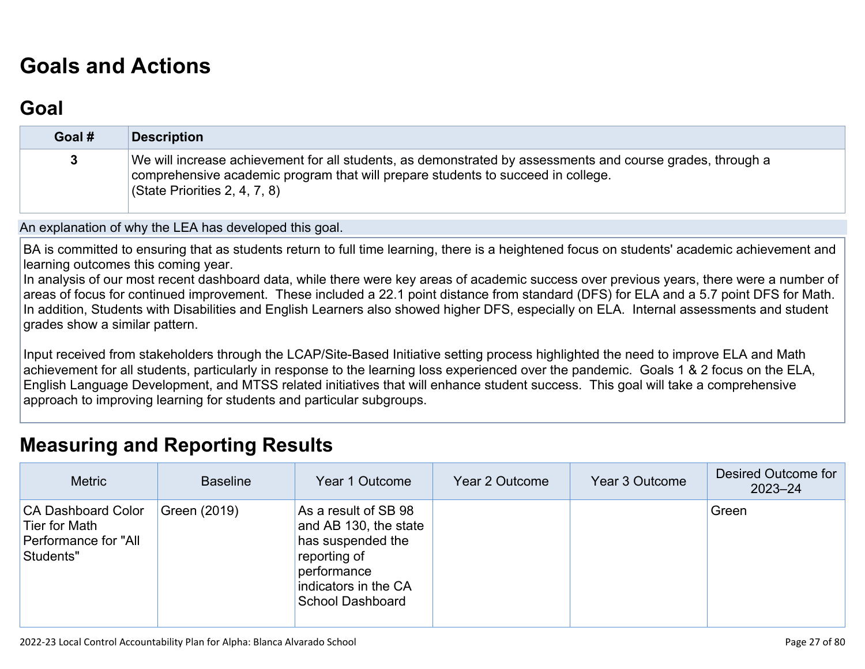# **[Goals and Actions](http://www.doc-tracking.com/screenshots/22LCAP/Instructions/22LCAPInstructions.htm#GoalsandActions)**

### **[Goal](http://www.doc-tracking.com/screenshots/22LCAP/Instructions/22LCAPInstructions.htm#goalDescription)**

| Goal # | <b>Description</b>                                                                                                                                                                                                              |
|--------|---------------------------------------------------------------------------------------------------------------------------------------------------------------------------------------------------------------------------------|
|        | We will increase achievement for all students, as demonstrated by assessments and course grades, through a<br>comprehensive academic program that will prepare students to succeed in college.<br>(State Priorities 2, 4, 7, 8) |

An explanation of why the LEA has developed this goal.

BA is committed to ensuring that as students return to full time learning, there is a heightened focus on students' academic achievement and learning outcomes this coming year.

In analysis of our most recent dashboard data, while there were key areas of academic success over previous years, there were a number of areas of focus for continued improvement. These included a 22.1 point distance from standard (DFS) for ELA and a 5.7 point DFS for Math. In addition, Students with Disabilities and English Learners also showed higher DFS, especially on ELA. Internal assessments and student grades show a similar pattern.

Input received from stakeholders through the LCAP/Site-Based Initiative setting process highlighted the need to improve ELA and Math achievement for all students, particularly in response to the learning loss experienced over the pandemic. Goals 1 & 2 focus on the ELA, English Language Development, and MTSS related initiatives that will enhance student success. This goal will take a comprehensive approach to improving learning for students and particular subgroups.

#### **[Measuring and Reporting Results](http://www.doc-tracking.com/screenshots/22LCAP/Instructions/22LCAPInstructions.htm#MeasuringandReportingResults)**

| <b>Metric</b>                                                                   | <b>Baseline</b> | Year 1 Outcome                                                                                                                                | Year 2 Outcome | Year 3 Outcome | Desired Outcome for<br>$2023 - 24$ |
|---------------------------------------------------------------------------------|-----------------|-----------------------------------------------------------------------------------------------------------------------------------------------|----------------|----------------|------------------------------------|
| <b>CA Dashboard Color</b><br>Tier for Math<br>Performance for "All<br>Students" | Green (2019)    | As a result of SB 98<br>and AB 130, the state<br>has suspended the<br>reporting of<br>performance<br>indicators in the CA<br>School Dashboard |                |                | Green                              |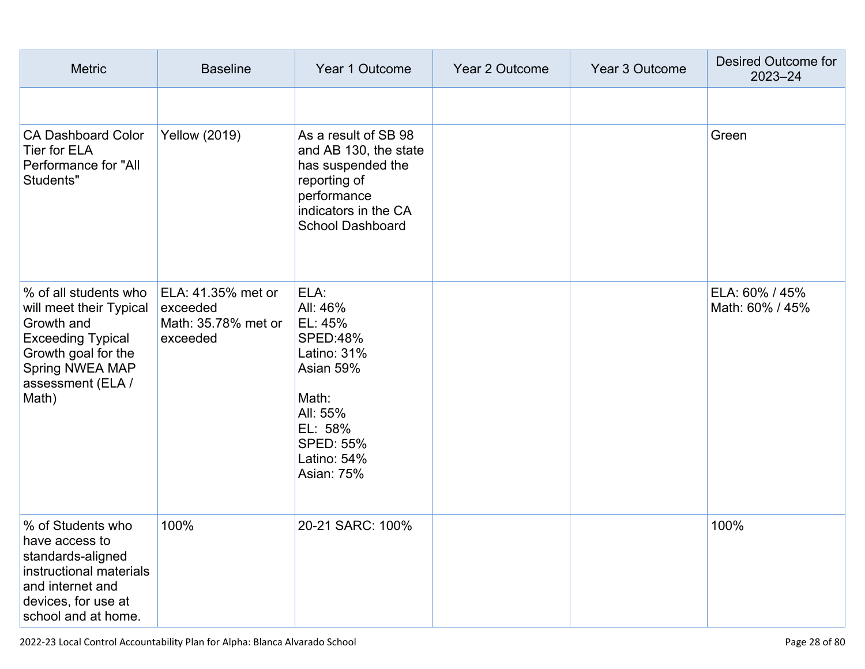| <b>Metric</b>                                                                                                                                                      | <b>Baseline</b>                                                   | Year 1 Outcome                                                                                                                                              | Year 2 Outcome | Year 3 Outcome | Desired Outcome for<br>$2023 - 24$ |
|--------------------------------------------------------------------------------------------------------------------------------------------------------------------|-------------------------------------------------------------------|-------------------------------------------------------------------------------------------------------------------------------------------------------------|----------------|----------------|------------------------------------|
|                                                                                                                                                                    |                                                                   |                                                                                                                                                             |                |                |                                    |
| <b>CA Dashboard Color</b><br>Tier for ELA<br>Performance for "All<br>Students"                                                                                     | <b>Yellow (2019)</b>                                              | As a result of SB 98<br>and AB 130, the state<br>has suspended the<br>reporting of<br>performance<br>indicators in the CA<br><b>School Dashboard</b>        |                |                | Green                              |
| % of all students who<br>will meet their Typical<br>Growth and<br><b>Exceeding Typical</b><br>Growth goal for the<br>Spring NWEA MAP<br>assessment (ELA /<br>Math) | ELA: 41.35% met or<br>exceeded<br>Math: 35.78% met or<br>exceeded | ELA:<br>All: 46%<br>EL: 45%<br><b>SPED:48%</b><br>Latino: 31%<br>Asian 59%<br>Math:<br>All: 55%<br>EL: 58%<br><b>SPED: 55%</b><br>Latino: 54%<br>Asian: 75% |                |                | ELA: 60% / 45%<br>Math: 60% / 45%  |
| % of Students who<br>have access to<br>standards-aligned<br>instructional materials<br>and internet and<br>devices, for use at<br>school and at home.              | 100%                                                              | 20-21 SARC: 100%                                                                                                                                            |                |                | 100%                               |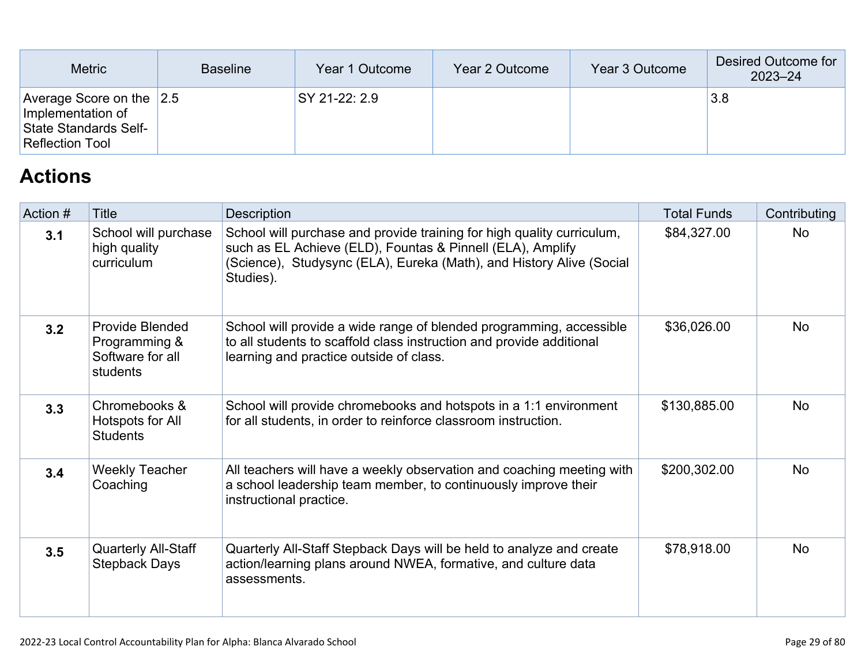| <b>Metric</b>                                                                                        | <b>Baseline</b> | Year 1 Outcome | Year 2 Outcome | Year 3 Outcome | Desired Outcome for<br>$2023 - 24$ |
|------------------------------------------------------------------------------------------------------|-----------------|----------------|----------------|----------------|------------------------------------|
| Average Score on the $ 2.5 $<br>Implementation of<br>State Standards Self-<br><b>Reflection Tool</b> |                 | SY 21-22: 2.9  |                |                | 3.8                                |

## **[Actions](http://www.doc-tracking.com/screenshots/22LCAP/Instructions/22LCAPInstructions.htm#actions)**

| Action # | Title                                                                   | Description                                                                                                                                                                                                               | <b>Total Funds</b> | Contributing |
|----------|-------------------------------------------------------------------------|---------------------------------------------------------------------------------------------------------------------------------------------------------------------------------------------------------------------------|--------------------|--------------|
| 3.1      | School will purchase<br>high quality<br>curriculum                      | School will purchase and provide training for high quality curriculum,<br>such as EL Achieve (ELD), Fountas & Pinnell (ELA), Amplify<br>(Science), Studysync (ELA), Eureka (Math), and History Alive (Social<br>Studies). | \$84,327.00        | <b>No</b>    |
| 3.2      | <b>Provide Blended</b><br>Programming &<br>Software for all<br>students | School will provide a wide range of blended programming, accessible<br>to all students to scaffold class instruction and provide additional<br>learning and practice outside of class.                                    | \$36,026.00        | <b>No</b>    |
| 3.3      | Chromebooks &<br>Hotspots for All<br><b>Students</b>                    | School will provide chromebooks and hotspots in a 1:1 environment<br>for all students, in order to reinforce classroom instruction.                                                                                       | \$130,885.00       | <b>No</b>    |
| 3.4      | <b>Weekly Teacher</b><br>Coaching                                       | All teachers will have a weekly observation and coaching meeting with<br>a school leadership team member, to continuously improve their<br>instructional practice.                                                        | \$200,302.00       | <b>No</b>    |
| 3.5      | <b>Quarterly All-Staff</b><br><b>Stepback Days</b>                      | Quarterly All-Staff Stepback Days will be held to analyze and create<br>action/learning plans around NWEA, formative, and culture data<br>assessments.                                                                    | \$78,918.00        | <b>No</b>    |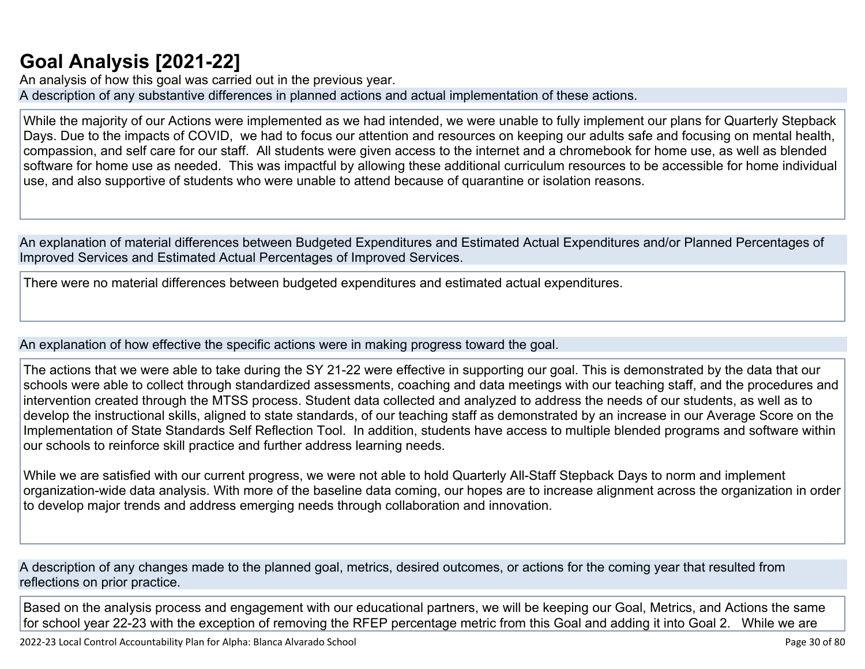## **[Goal Analysis \[2021-22\]](http://www.doc-tracking.com/screenshots/22LCAP/Instructions/22LCAPInstructions.htm#GoalAnalysis)**

An analysis of how this goal was carried out in the previous year. A description of any substantive differences in planned actions and actual implementation of these actions.

While the majority of our Actions were implemented as we had intended, we were unable to fully implement our plans for Quarterly Stepback Days. Due to the impacts of COVID, we had to focus our attention and resources on keeping our adults safe and focusing on mental health, compassion, and self care for our staff. All students were given access to the internet and a chromebook for home use, as well as blended software for home use as needed. This was impactful by allowing these additional curriculum resources to be accessible for home individual use, and also supportive of students who were unable to attend because of quarantine or isolation reasons.

An explanation of material differences between Budgeted Expenditures and Estimated Actual Expenditures and/or Planned Percentages of Improved Services and Estimated Actual Percentages of Improved Services.

There were no material differences between budgeted expenditures and estimated actual expenditures.

An explanation of how effective the specific actions were in making progress toward the goal.

The actions that we were able to take during the SY 21-22 were effective in supporting our goal. This is demonstrated by the data that our schools were able to collect through standardized assessments, coaching and data meetings with our teaching staff, and the procedures and intervention created through the MTSS process. Student data collected and analyzed to address the needs of our students, as well as to develop the instructional skills, aligned to state standards, of our teaching staff as demonstrated by an increase in our Average Score on the Implementation of State Standards Self Reflection Tool. In addition, students have access to multiple blended programs and software within our schools to reinforce skill practice and further address learning needs.

While we are satisfied with our current progress, we were not able to hold Quarterly All-Staff Stepback Days to norm and implement organization-wide data analysis. With more of the baseline data coming, our hopes are to increase alignment across the organization in order to develop major trends and address emerging needs through collaboration and innovation.

A description of any changes made to the planned goal, metrics, desired outcomes, or actions for the coming year that resulted from reflections on prior practice.

Based on the analysis process and engagement with our educational partners, we will be keeping our Goal, Metrics, and Actions the same for school year 22-23 with the exception of removing the RFEP percentage metric from this Goal and adding it into Goal 2. While we are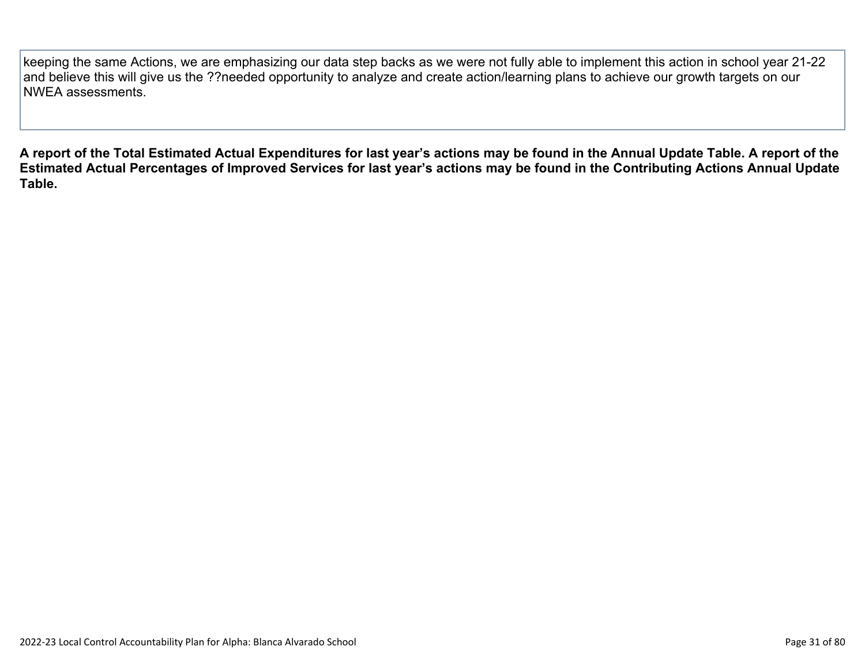keeping the same Actions, we are emphasizing our data step backs as we were not fully able to implement this action in school year 21-22 and believe this will give us the ??needed opportunity to analyze and create action/learning plans to achieve our growth targets on our NWEA assessments.

**A report of the Total Estimated Actual Expenditures for last year's actions may be found in the Annual Update Table. A report of the Estimated Actual Percentages of Improved Services for last year's actions may be found in the Contributing Actions Annual Update Table.**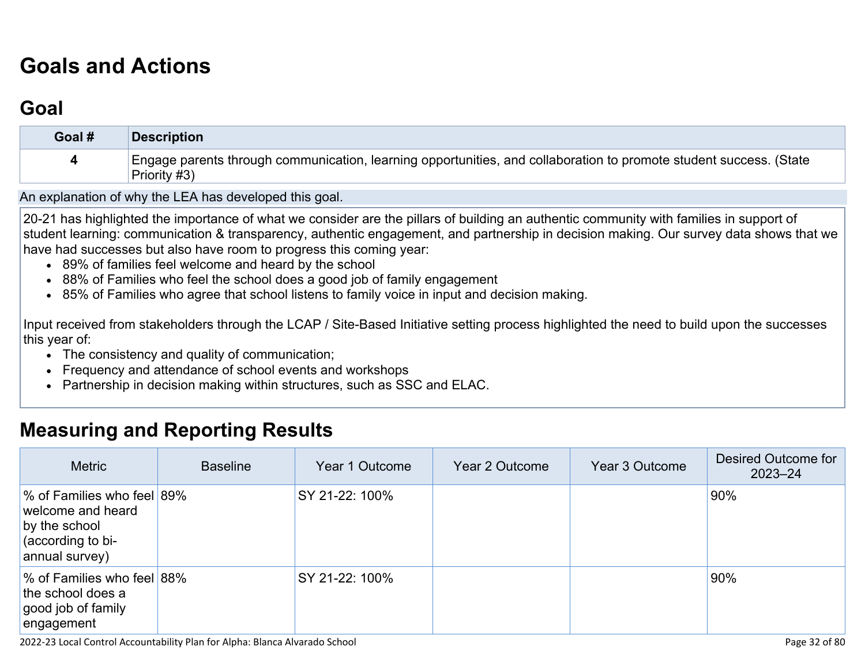# **[Goals and Actions](http://www.doc-tracking.com/screenshots/22LCAP/Instructions/22LCAPInstructions.htm#GoalsandActions)**

## **[Goal](http://www.doc-tracking.com/screenshots/22LCAP/Instructions/22LCAPInstructions.htm#goalDescription)**

| Goal # | <b>Description</b>                                                                                                                 |
|--------|------------------------------------------------------------------------------------------------------------------------------------|
|        | Engage parents through communication, learning opportunities, and collaboration to promote student success. (State<br>Priority #3) |

An explanation of why the LEA has developed this goal.

20-21 has highlighted the importance of what we consider are the pillars of building an authentic community with families in support of student learning: communication & transparency, authentic engagement, and partnership in decision making. Our survey data shows that we have had successes but also have room to progress this coming year:

- 89% of families feel welcome and heard by the school
- 88% of Families who feel the school does a good job of family engagement
- 85% of Families who agree that school listens to family voice in input and decision making.

Input received from stakeholders through the LCAP / Site-Based Initiative setting process highlighted the need to build upon the successes this year of:

- The consistency and quality of communication;
- Frequency and attendance of school events and workshops
- Partnership in decision making within structures, such as SSC and ELAC.

#### **[Measuring and Reporting Results](http://www.doc-tracking.com/screenshots/22LCAP/Instructions/22LCAPInstructions.htm#MeasuringandReportingResults)**

| <b>Metric</b>                                                                                           | <b>Baseline</b> | Year 1 Outcome | Year 2 Outcome | Year 3 Outcome | Desired Outcome for<br>$2023 - 24$ |
|---------------------------------------------------------------------------------------------------------|-----------------|----------------|----------------|----------------|------------------------------------|
| % of Families who feel 89%<br>welcome and heard<br>by the school<br>(according to bi-<br>annual survey) |                 | SY 21-22: 100% |                |                | 90%                                |
| % of Families who feel 88%<br>the school does a<br>good job of family<br>lengagement                    |                 | SY 21-22: 100% |                |                | 90%                                |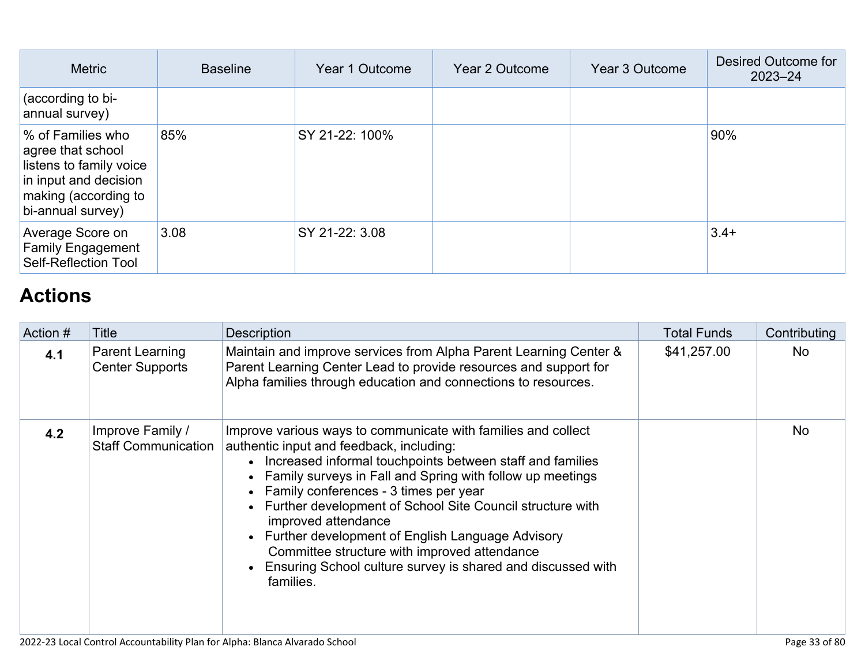| <b>Metric</b>                                                                                                                           | <b>Baseline</b> | Year 1 Outcome | Year 2 Outcome | Year 3 Outcome | Desired Outcome for<br>$2023 - 24$ |
|-----------------------------------------------------------------------------------------------------------------------------------------|-----------------|----------------|----------------|----------------|------------------------------------|
| (according to bi-<br>annual survey)                                                                                                     |                 |                |                |                |                                    |
| % of Families who<br>agree that school<br>listens to family voice<br>in input and decision<br>making (according to<br>bi-annual survey) | 85%             | SY 21-22: 100% |                |                | 90%                                |
| Average Score on<br><b>Family Engagement</b><br><b>Self-Reflection Tool</b>                                                             | 3.08            | SY 21-22: 3.08 |                |                | $3.4+$                             |

# **[Actions](http://www.doc-tracking.com/screenshots/22LCAP/Instructions/22LCAPInstructions.htm#actions)**

| Action # | Title                                          | <b>Description</b>                                                                                                                                                                                                                                                                                                                                                                                                                                                                                                                                           | <b>Total Funds</b> | Contributing |
|----------|------------------------------------------------|--------------------------------------------------------------------------------------------------------------------------------------------------------------------------------------------------------------------------------------------------------------------------------------------------------------------------------------------------------------------------------------------------------------------------------------------------------------------------------------------------------------------------------------------------------------|--------------------|--------------|
| 4.1      | Parent Learning<br><b>Center Supports</b>      | Maintain and improve services from Alpha Parent Learning Center &<br>Parent Learning Center Lead to provide resources and support for<br>Alpha families through education and connections to resources.                                                                                                                                                                                                                                                                                                                                                      | \$41,257.00        | No           |
| 4.2      | Improve Family /<br><b>Staff Communication</b> | Improve various ways to communicate with families and collect<br>authentic input and feedback, including:<br>• Increased informal touchpoints between staff and families<br>• Family surveys in Fall and Spring with follow up meetings<br>• Family conferences - 3 times per year<br>• Further development of School Site Council structure with<br>improved attendance<br>• Further development of English Language Advisory<br>Committee structure with improved attendance<br>• Ensuring School culture survey is shared and discussed with<br>families. |                    | <b>No</b>    |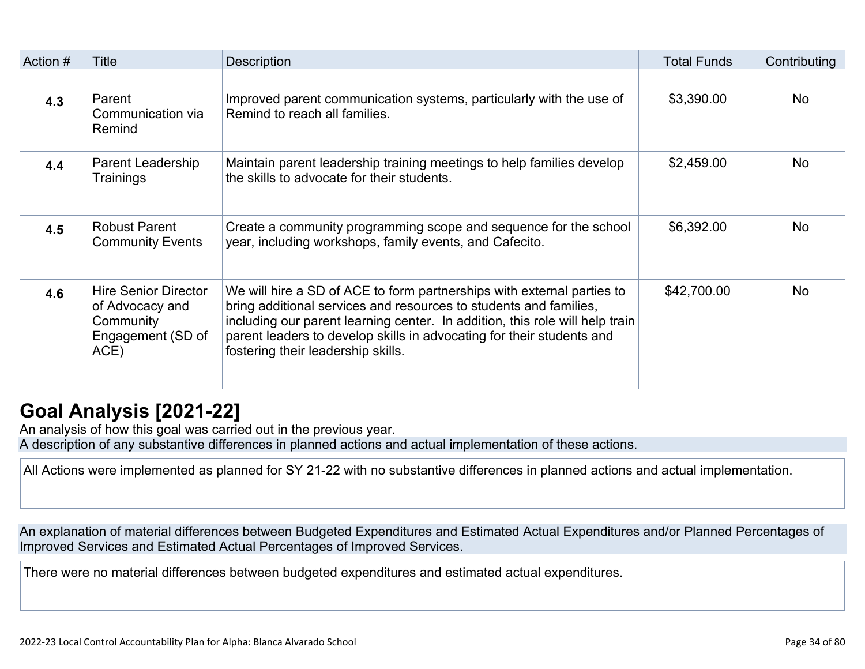| Action # | Title                                                                                    | <b>Description</b>                                                                                                                                                                                                                                                                                                                         | <b>Total Funds</b> | Contributing |
|----------|------------------------------------------------------------------------------------------|--------------------------------------------------------------------------------------------------------------------------------------------------------------------------------------------------------------------------------------------------------------------------------------------------------------------------------------------|--------------------|--------------|
|          |                                                                                          |                                                                                                                                                                                                                                                                                                                                            |                    |              |
| 4.3      | Parent<br>Communication via<br>Remind                                                    | Improved parent communication systems, particularly with the use of<br>Remind to reach all families.                                                                                                                                                                                                                                       | \$3,390.00         | <b>No</b>    |
| 4.4      | Parent Leadership<br>Trainings                                                           | Maintain parent leadership training meetings to help families develop<br>the skills to advocate for their students.                                                                                                                                                                                                                        | \$2,459.00         | <b>No</b>    |
| 4.5      | <b>Robust Parent</b><br><b>Community Events</b>                                          | Create a community programming scope and sequence for the school<br>year, including workshops, family events, and Cafecito.                                                                                                                                                                                                                | \$6,392.00         | <b>No</b>    |
| 4.6      | <b>Hire Senior Director</b><br>of Advocacy and<br>Community<br>Engagement (SD of<br>ACE) | We will hire a SD of ACE to form partnerships with external parties to<br>bring additional services and resources to students and families,<br>including our parent learning center. In addition, this role will help train<br>parent leaders to develop skills in advocating for their students and<br>fostering their leadership skills. | \$42,700.00        | <b>No</b>    |

## **[Goal Analysis \[2021-22\]](http://www.doc-tracking.com/screenshots/22LCAP/Instructions/22LCAPInstructions.htm#GoalAnalysis)**

An analysis of how this goal was carried out in the previous year. A description of any substantive differences in planned actions and actual implementation of these actions.

All Actions were implemented as planned for SY 21-22 with no substantive differences in planned actions and actual implementation.

An explanation of material differences between Budgeted Expenditures and Estimated Actual Expenditures and/or Planned Percentages of Improved Services and Estimated Actual Percentages of Improved Services.

There were no material differences between budgeted expenditures and estimated actual expenditures.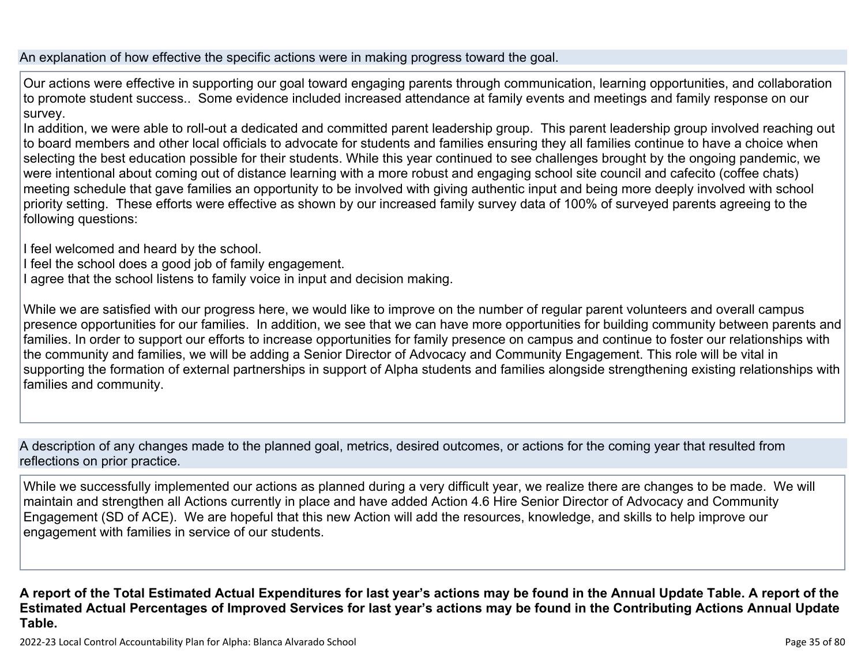An explanation of how effective the specific actions were in making progress toward the goal.

Our actions were effective in supporting our goal toward engaging parents through communication, learning opportunities, and collaboration to promote student success.. Some evidence included increased attendance at family events and meetings and family response on our survey.

In addition, we were able to roll-out a dedicated and committed parent leadership group. This parent leadership group involved reaching out to board members and other local officials to advocate for students and families ensuring they all families continue to have a choice when selecting the best education possible for their students. While this year continued to see challenges brought by the ongoing pandemic, we were intentional about coming out of distance learning with a more robust and engaging school site council and cafecito (coffee chats) meeting schedule that gave families an opportunity to be involved with giving authentic input and being more deeply involved with school priority setting. These efforts were effective as shown by our increased family survey data of 100% of surveyed parents agreeing to the following questions:

I feel welcomed and heard by the school.

- I feel the school does a good job of family engagement.
- I agree that the school listens to family voice in input and decision making.

While we are satisfied with our progress here, we would like to improve on the number of regular parent volunteers and overall campus presence opportunities for our families. In addition, we see that we can have more opportunities for building community between parents and families. In order to support our efforts to increase opportunities for family presence on campus and continue to foster our relationships with the community and families, we will be adding a Senior Director of Advocacy and Community Engagement. This role will be vital in supporting the formation of external partnerships in support of Alpha students and families alongside strengthening existing relationships with families and community.

A description of any changes made to the planned goal, metrics, desired outcomes, or actions for the coming year that resulted from reflections on prior practice.

While we successfully implemented our actions as planned during a very difficult year, we realize there are changes to be made. We will maintain and strengthen all Actions currently in place and have added Action 4.6 Hire Senior Director of Advocacy and Community Engagement (SD of ACE). We are hopeful that this new Action will add the resources, knowledge, and skills to help improve our engagement with families in service of our students.

**A report of the Total Estimated Actual Expenditures for last year's actions may be found in the Annual Update Table. A report of the Estimated Actual Percentages of Improved Services for last year's actions may be found in the Contributing Actions Annual Update Table.**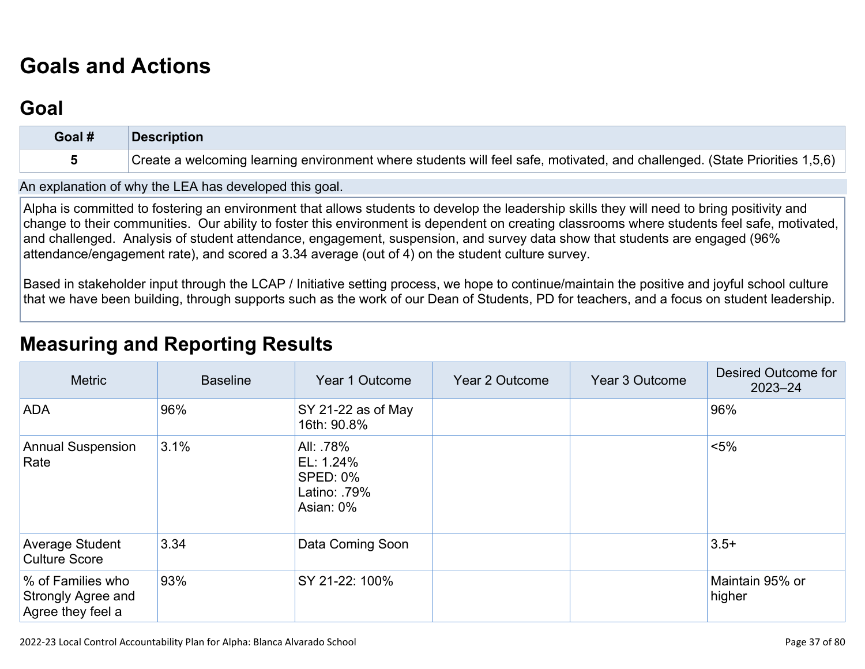# **[Goals and Actions](http://www.doc-tracking.com/screenshots/22LCAP/Instructions/22LCAPInstructions.htm#GoalsandActions)**

### **[Goal](http://www.doc-tracking.com/screenshots/22LCAP/Instructions/22LCAPInstructions.htm#goalDescription)**

| Goal # | <b>Description</b>                                                                                                         |
|--------|----------------------------------------------------------------------------------------------------------------------------|
|        | Create a welcoming learning environment where students will feel safe, motivated, and challenged. (State Priorities 1,5,6) |

An explanation of why the LEA has developed this goal.

Alpha is committed to fostering an environment that allows students to develop the leadership skills they will need to bring positivity and change to their communities. Our ability to foster this environment is dependent on creating classrooms where students feel safe, motivated, and challenged. Analysis of student attendance, engagement, suspension, and survey data show that students are engaged (96% attendance/engagement rate), and scored a 3.34 average (out of 4) on the student culture survey.

Based in stakeholder input through the LCAP / Initiative setting process, we hope to continue/maintain the positive and joyful school culture that we have been building, through supports such as the work of our Dean of Students, PD for teachers, and a focus on student leadership.

### **[Measuring and Reporting Results](http://www.doc-tracking.com/screenshots/22LCAP/Instructions/22LCAPInstructions.htm#MeasuringandReportingResults)**

| <b>Metric</b>                                                | <b>Baseline</b> | Year 1 Outcome                                                        | Year 2 Outcome | Year 3 Outcome | Desired Outcome for<br>$2023 - 24$ |
|--------------------------------------------------------------|-----------------|-----------------------------------------------------------------------|----------------|----------------|------------------------------------|
| <b>ADA</b>                                                   | 96%             | $\sqrt{\text{SY } 21\text{-}22}$ as of May<br>16th: 90.8%             |                |                | 96%                                |
| <b>Annual Suspension</b><br>Rate                             | 3.1%            | All: .78%<br>EL: 1.24%<br><b>SPED: 0%</b><br>Latino: 79%<br>Asian: 0% |                |                | $< 5\%$                            |
| Average Student<br><b>Culture Score</b>                      | 3.34            | Data Coming Soon                                                      |                |                | $3.5+$                             |
| % of Families who<br>Strongly Agree and<br>Agree they feel a | 93%             | SY 21-22: 100%                                                        |                |                | Maintain 95% or<br>higher          |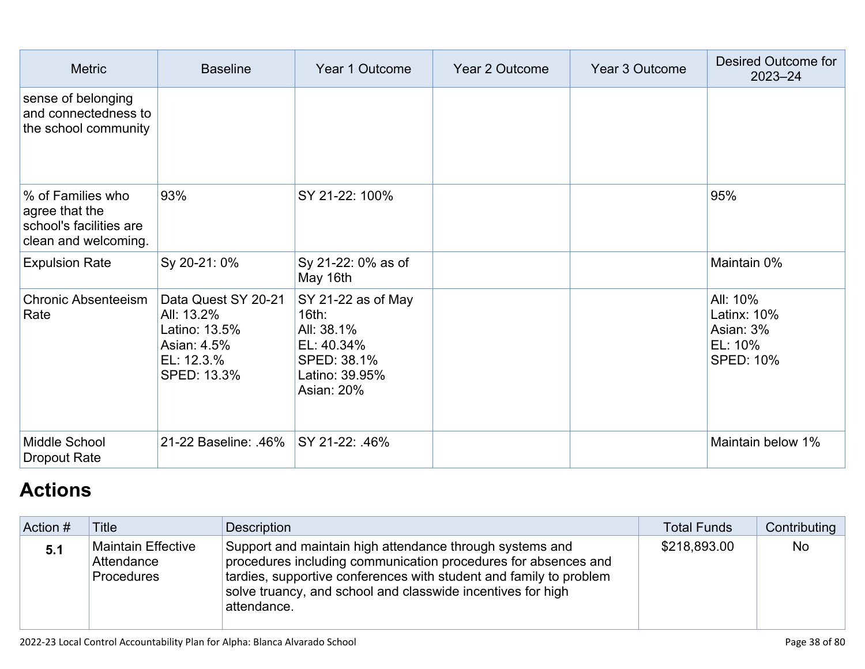| <b>Metric</b>                                                                          | <b>Baseline</b>                                                                                | Year 1 Outcome                                                                                         | Year 2 Outcome | <b>Year 3 Outcome</b> | Desired Outcome for<br>$2023 - 24$                                  |
|----------------------------------------------------------------------------------------|------------------------------------------------------------------------------------------------|--------------------------------------------------------------------------------------------------------|----------------|-----------------------|---------------------------------------------------------------------|
| sense of belonging<br>and connectedness to<br>the school community                     |                                                                                                |                                                                                                        |                |                       |                                                                     |
| % of Families who<br>agree that the<br>school's facilities are<br>clean and welcoming. | 93%                                                                                            | SY 21-22: 100%                                                                                         |                |                       | 95%                                                                 |
| <b>Expulsion Rate</b>                                                                  | Sy 20-21: 0%                                                                                   | Sy 21-22: 0% as of<br>May 16th                                                                         |                |                       | Maintain 0%                                                         |
| <b>Chronic Absenteeism</b><br>Rate                                                     | Data Quest SY 20-21<br>All: 13.2%<br>Latino: 13.5%<br>Asian: 4.5%<br>EL: 12.3.%<br>SPED: 13.3% | SY 21-22 as of May<br>16th:<br>All: 38.1%<br>EL: 40.34%<br>SPED: 38.1%<br>Latino: 39.95%<br>Asian: 20% |                |                       | All: 10%<br>Latinx: 10%<br>Asian: 3%<br>EL: 10%<br><b>SPED: 10%</b> |
| Middle School<br><b>Dropout Rate</b>                                                   | 21-22 Baseline: .46% SY 21-22: .46%                                                            |                                                                                                        |                |                       | Maintain below 1%                                                   |

# **[Actions](http://www.doc-tracking.com/screenshots/22LCAP/Instructions/22LCAPInstructions.htm#actions)**

| Action # | <b>Title</b>                                          | Description                                                                                                                                                                                                                                                                    | <b>Total Funds</b> | Contributing |
|----------|-------------------------------------------------------|--------------------------------------------------------------------------------------------------------------------------------------------------------------------------------------------------------------------------------------------------------------------------------|--------------------|--------------|
| 5.1      | Maintain Effective<br>Attendance<br><b>Procedures</b> | Support and maintain high attendance through systems and<br>procedures including communication procedures for absences and<br>tardies, supportive conferences with student and family to problem<br>solve truancy, and school and classwide incentives for high<br>attendance. | \$218,893.00       | <b>No</b>    |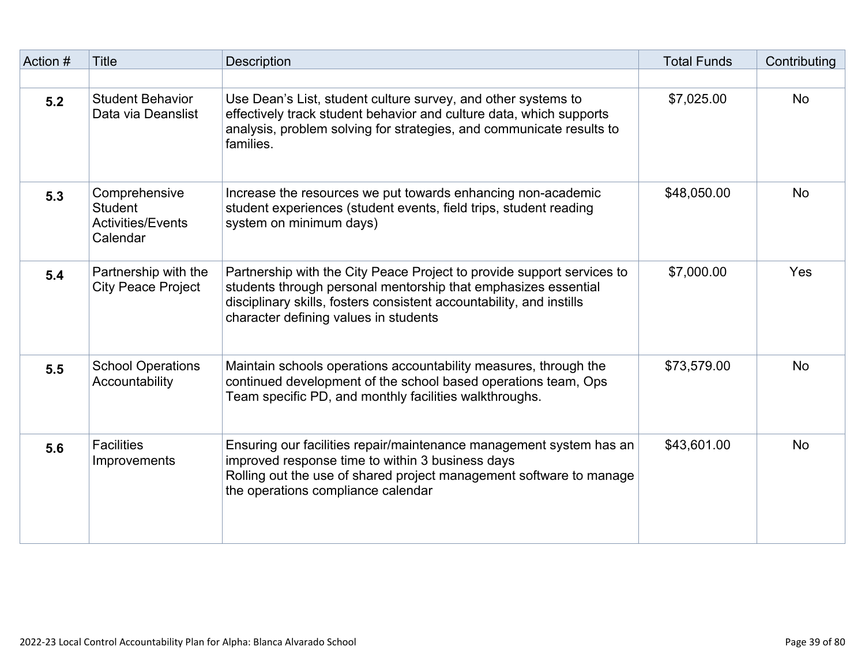| Action # | <b>Title</b>                                                            | <b>Description</b>                                                                                                                                                                                                                                        | <b>Total Funds</b> | Contributing |
|----------|-------------------------------------------------------------------------|-----------------------------------------------------------------------------------------------------------------------------------------------------------------------------------------------------------------------------------------------------------|--------------------|--------------|
|          |                                                                         |                                                                                                                                                                                                                                                           |                    |              |
| 5.2      | <b>Student Behavior</b><br>Data via Deanslist                           | Use Dean's List, student culture survey, and other systems to<br>effectively track student behavior and culture data, which supports<br>analysis, problem solving for strategies, and communicate results to<br>families.                                 | \$7,025.00         | <b>No</b>    |
| 5.3      | Comprehensive<br><b>Student</b><br><b>Activities/Events</b><br>Calendar | Increase the resources we put towards enhancing non-academic<br>student experiences (student events, field trips, student reading<br>system on minimum days)                                                                                              | \$48,050.00        | <b>No</b>    |
| 5.4      | Partnership with the<br><b>City Peace Project</b>                       | Partnership with the City Peace Project to provide support services to<br>students through personal mentorship that emphasizes essential<br>disciplinary skills, fosters consistent accountability, and instills<br>character defining values in students | \$7,000.00         | Yes          |
| 5.5      | <b>School Operations</b><br>Accountability                              | Maintain schools operations accountability measures, through the<br>continued development of the school based operations team, Ops<br>Team specific PD, and monthly facilities walkthroughs.                                                              | \$73,579.00        | <b>No</b>    |
| 5.6      | <b>Facilities</b><br>Improvements                                       | Ensuring our facilities repair/maintenance management system has an<br>improved response time to within 3 business days<br>Rolling out the use of shared project management software to manage<br>the operations compliance calendar                      | \$43,601.00        | <b>No</b>    |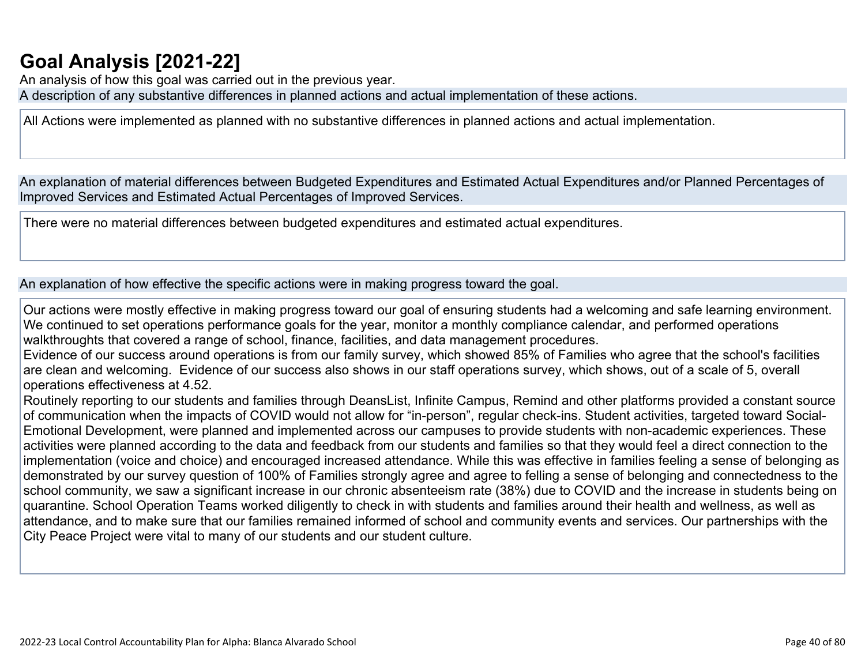## **[Goal Analysis \[2021-22\]](http://www.doc-tracking.com/screenshots/22LCAP/Instructions/22LCAPInstructions.htm#GoalAnalysis)**

An analysis of how this goal was carried out in the previous year. A description of any substantive differences in planned actions and actual implementation of these actions.

All Actions were implemented as planned with no substantive differences in planned actions and actual implementation.

An explanation of material differences between Budgeted Expenditures and Estimated Actual Expenditures and/or Planned Percentages of Improved Services and Estimated Actual Percentages of Improved Services.

There were no material differences between budgeted expenditures and estimated actual expenditures.

An explanation of how effective the specific actions were in making progress toward the goal.

Our actions were mostly effective in making progress toward our goal of ensuring students had a welcoming and safe learning environment. We continued to set operations performance goals for the year, monitor a monthly compliance calendar, and performed operations walkthroughts that covered a range of school, finance, facilities, and data management procedures.

Evidence of our success around operations is from our family survey, which showed 85% of Families who agree that the school's facilities are clean and welcoming. Evidence of our success also shows in our staff operations survey, which shows, out of a scale of 5, overall operations effectiveness at 4.52.

Routinely reporting to our students and families through DeansList, Infinite Campus, Remind and other platforms provided a constant source of communication when the impacts of COVID would not allow for "in-person", regular check-ins. Student activities, targeted toward Social-Emotional Development, were planned and implemented across our campuses to provide students with non-academic experiences. These activities were planned according to the data and feedback from our students and families so that they would feel a direct connection to the implementation (voice and choice) and encouraged increased attendance. While this was effective in families feeling a sense of belonging as demonstrated by our survey question of 100% of Families strongly agree and agree to felling a sense of belonging and connectedness to the school community, we saw a significant increase in our chronic absenteeism rate (38%) due to COVID and the increase in students being on quarantine. School Operation Teams worked diligently to check in with students and families around their health and wellness, as well as attendance, and to make sure that our families remained informed of school and community events and services. Our partnerships with the City Peace Project were vital to many of our students and our student culture.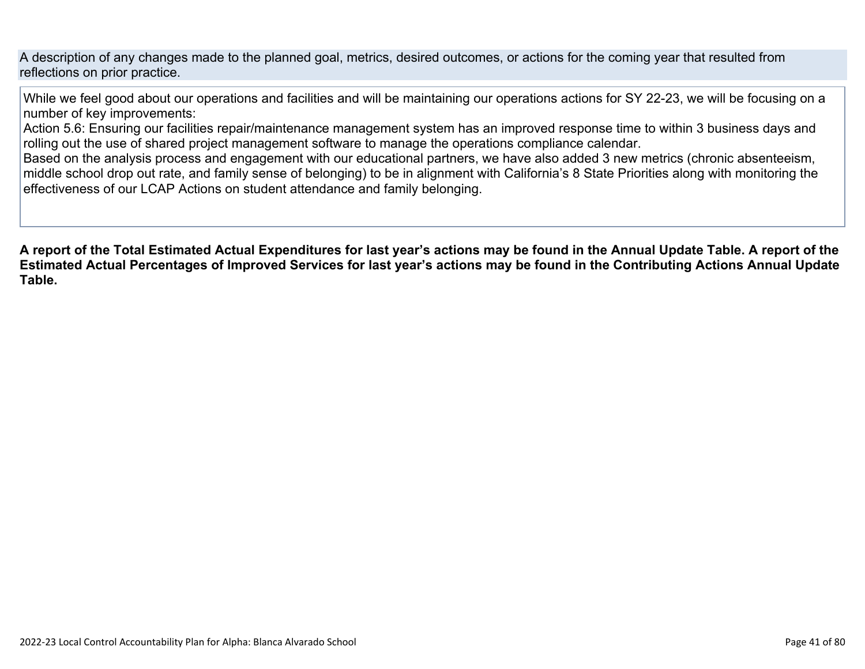A description of any changes made to the planned goal, metrics, desired outcomes, or actions for the coming year that resulted from reflections on prior practice.

While we feel good about our operations and facilities and will be maintaining our operations actions for SY 22-23, we will be focusing on a number of key improvements:

Action 5.6: Ensuring our facilities repair/maintenance management system has an improved response time to within 3 business days and rolling out the use of shared project management software to manage the operations compliance calendar.

Based on the analysis process and engagement with our educational partners, we have also added 3 new metrics (chronic absenteeism, middle school drop out rate, and family sense of belonging) to be in alignment with California's 8 State Priorities along with monitoring the effectiveness of our LCAP Actions on student attendance and family belonging.

**A report of the Total Estimated Actual Expenditures for last year's actions may be found in the Annual Update Table. A report of the Estimated Actual Percentages of Improved Services for last year's actions may be found in the Contributing Actions Annual Update Table.**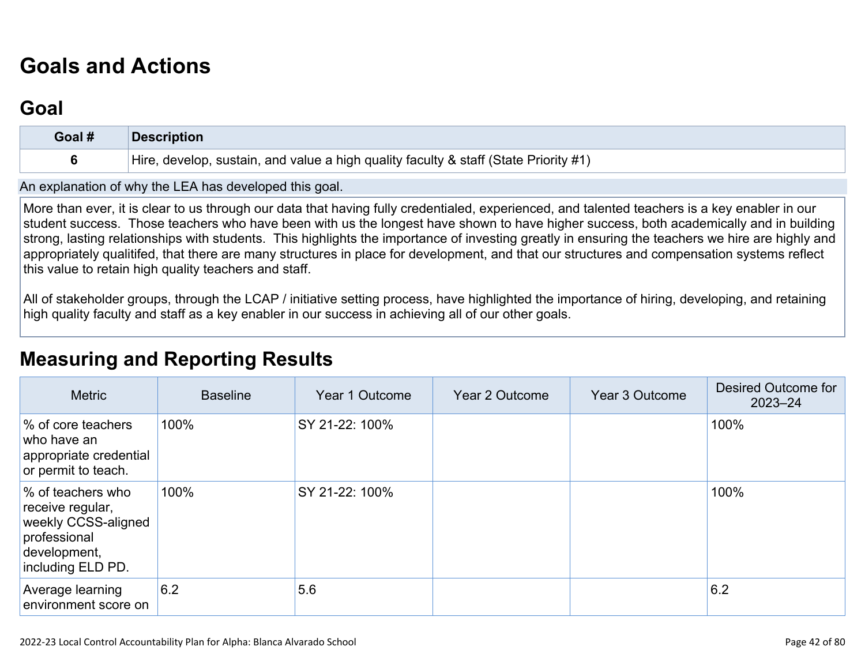# **[Goals and Actions](http://www.doc-tracking.com/screenshots/22LCAP/Instructions/22LCAPInstructions.htm#GoalsandActions)**

### **[Goal](http://www.doc-tracking.com/screenshots/22LCAP/Instructions/22LCAPInstructions.htm#goalDescription)**

| Goal # | <b>Description</b>                                                                   |
|--------|--------------------------------------------------------------------------------------|
|        | Hire, develop, sustain, and value a high quality faculty & staff (State Priority #1) |

An explanation of why the LEA has developed this goal.

More than ever, it is clear to us through our data that having fully credentialed, experienced, and talented teachers is a key enabler in our student success. Those teachers who have been with us the longest have shown to have higher success, both academically and in building strong, lasting relationships with students. This highlights the importance of investing greatly in ensuring the teachers we hire are highly and appropriately qualitifed, that there are many structures in place for development, and that our structures and compensation systems reflect this value to retain high quality teachers and staff.

All of stakeholder groups, through the LCAP / initiative setting process, have highlighted the importance of hiring, developing, and retaining high quality faculty and staff as a key enabler in our success in achieving all of our other goals.

### **[Measuring and Reporting Results](http://www.doc-tracking.com/screenshots/22LCAP/Instructions/22LCAPInstructions.htm#MeasuringandReportingResults)**

| <b>Metric</b>                                                                                                     | <b>Baseline</b> | Year 1 Outcome | Year 2 Outcome | Year 3 Outcome | Desired Outcome for<br>$2023 - 24$ |
|-------------------------------------------------------------------------------------------------------------------|-----------------|----------------|----------------|----------------|------------------------------------|
| % of core teachers<br>who have an<br>appropriate credential<br>or permit to teach.                                | 100%            | SY 21-22: 100% |                |                | 100%                               |
| % of teachers who<br>receive regular,<br>weekly CCSS-aligned<br>professional<br>development,<br>including ELD PD. | 100%            | SY 21-22: 100% |                |                | 100%                               |
| <b>Average learning</b><br>environment score on                                                                   | 6.2             | 5.6            |                |                | 6.2                                |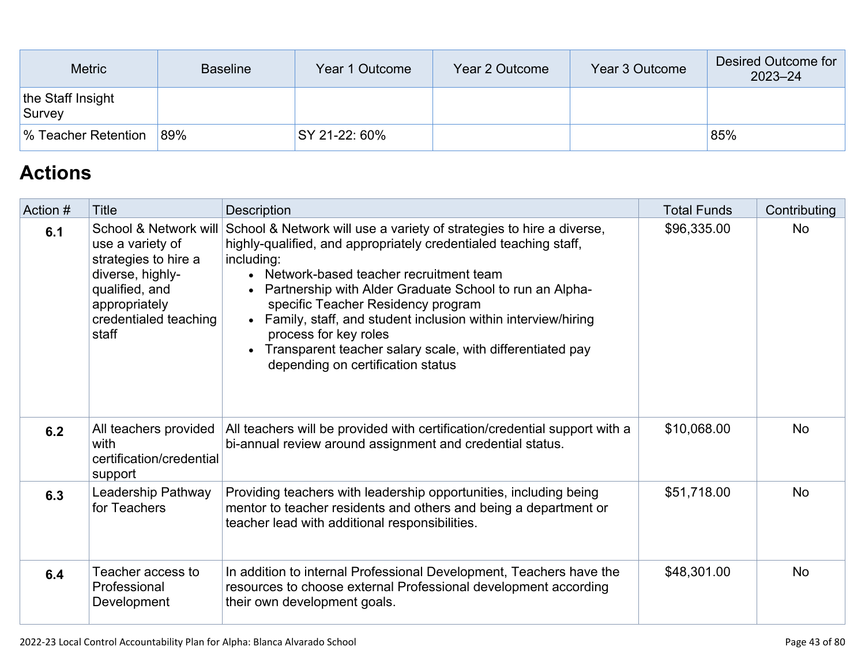| <b>Metric</b>               | <b>Baseline</b> | Year 1 Outcome | Year 2 Outcome | Year 3 Outcome | Desired Outcome for<br>$2023 - 24$ |
|-----------------------------|-----------------|----------------|----------------|----------------|------------------------------------|
| the Staff Insight<br>Survey |                 |                |                |                |                                    |
| │% Teacher Retention        | 89%             | SY 21-22: 60%  |                |                | 85%                                |

## **[Actions](http://www.doc-tracking.com/screenshots/22LCAP/Instructions/22LCAPInstructions.htm#actions)**

| Action # | <b>Title</b>                                                                                                                                               | Description                                                                                                                                                                                                                                                                                                                                                                                                                                                                                        | <b>Total Funds</b> | Contributing |
|----------|------------------------------------------------------------------------------------------------------------------------------------------------------------|----------------------------------------------------------------------------------------------------------------------------------------------------------------------------------------------------------------------------------------------------------------------------------------------------------------------------------------------------------------------------------------------------------------------------------------------------------------------------------------------------|--------------------|--------------|
| 6.1      | School & Network will<br>use a variety of<br>strategies to hire a<br>diverse, highly-<br>qualified, and<br>appropriately<br>credentialed teaching<br>staff | School & Network will use a variety of strategies to hire a diverse,<br>highly-qualified, and appropriately credentialed teaching staff,<br>including:<br>• Network-based teacher recruitment team<br>Partnership with Alder Graduate School to run an Alpha-<br>specific Teacher Residency program<br>• Family, staff, and student inclusion within interview/hiring<br>process for key roles<br>• Transparent teacher salary scale, with differentiated pay<br>depending on certification status | \$96,335.00        | <b>No</b>    |
| 6.2      | All teachers provided<br>with<br>certification/credential<br>support                                                                                       | All teachers will be provided with certification/credential support with a<br>bi-annual review around assignment and credential status.                                                                                                                                                                                                                                                                                                                                                            | \$10,068.00        | <b>No</b>    |
| 6.3      | Leadership Pathway<br>for Teachers                                                                                                                         | Providing teachers with leadership opportunities, including being<br>mentor to teacher residents and others and being a department or<br>teacher lead with additional responsibilities.                                                                                                                                                                                                                                                                                                            | \$51,718.00        | <b>No</b>    |
| 6.4      | Teacher access to<br>Professional<br>Development                                                                                                           | In addition to internal Professional Development, Teachers have the<br>resources to choose external Professional development according<br>their own development goals.                                                                                                                                                                                                                                                                                                                             | \$48,301.00        | <b>No</b>    |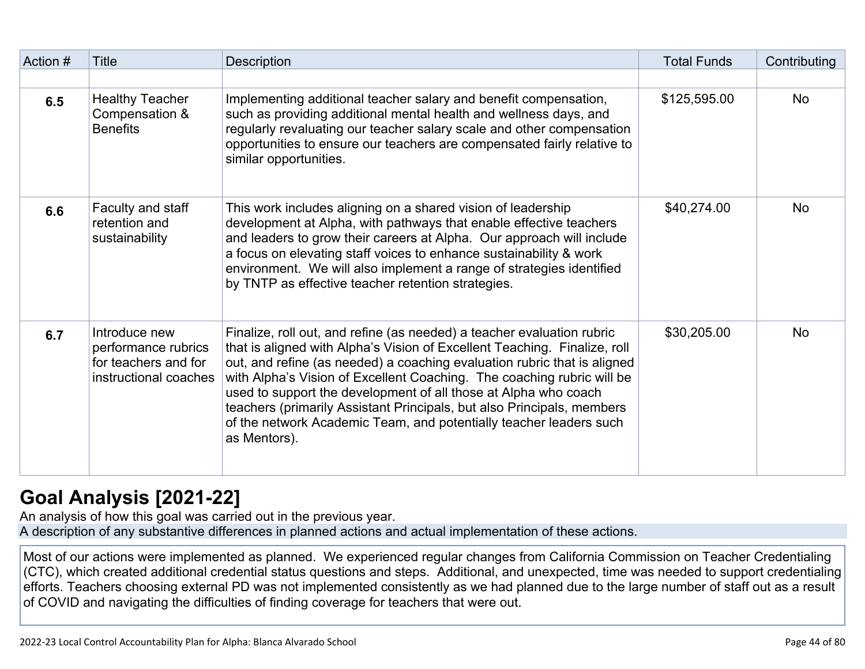| Action # | <b>Title</b>                                                                          | Description                                                                                                                                                                                                                                                                                                                                                                                                                                                                                                                                  | <b>Total Funds</b> | Contributing |
|----------|---------------------------------------------------------------------------------------|----------------------------------------------------------------------------------------------------------------------------------------------------------------------------------------------------------------------------------------------------------------------------------------------------------------------------------------------------------------------------------------------------------------------------------------------------------------------------------------------------------------------------------------------|--------------------|--------------|
|          |                                                                                       |                                                                                                                                                                                                                                                                                                                                                                                                                                                                                                                                              |                    |              |
| 6.5      | <b>Healthy Teacher</b><br>Compensation &<br><b>Benefits</b>                           | Implementing additional teacher salary and benefit compensation,<br>such as providing additional mental health and wellness days, and<br>regularly revaluating our teacher salary scale and other compensation<br>opportunities to ensure our teachers are compensated fairly relative to<br>similar opportunities.                                                                                                                                                                                                                          | \$125,595.00       | <b>No</b>    |
| 6.6      | Faculty and staff<br>retention and<br>sustainability                                  | This work includes aligning on a shared vision of leadership<br>development at Alpha, with pathways that enable effective teachers<br>and leaders to grow their careers at Alpha. Our approach will include<br>a focus on elevating staff voices to enhance sustainability & work<br>environment. We will also implement a range of strategies identified<br>by TNTP as effective teacher retention strategies.                                                                                                                              | \$40,274.00        | <b>No</b>    |
| 6.7      | Introduce new<br>performance rubrics<br>for teachers and for<br>instructional coaches | Finalize, roll out, and refine (as needed) a teacher evaluation rubric<br>that is aligned with Alpha's Vision of Excellent Teaching. Finalize, roll<br>out, and refine (as needed) a coaching evaluation rubric that is aligned<br>with Alpha's Vision of Excellent Coaching. The coaching rubric will be<br>used to support the development of all those at Alpha who coach<br>teachers (primarily Assistant Principals, but also Principals, members<br>of the network Academic Team, and potentially teacher leaders such<br>as Mentors). | \$30,205.00        | <b>No</b>    |

## **[Goal Analysis \[2021-22\]](http://www.doc-tracking.com/screenshots/22LCAP/Instructions/22LCAPInstructions.htm#GoalAnalysis)**

An analysis of how this goal was carried out in the previous year. A description of any substantive differences in planned actions and actual implementation of these actions.

Most of our actions were implemented as planned. We experienced regular changes from California Commission on Teacher Credentialing (CTC), which created additional credential status questions and steps. Additional, and unexpected, time was needed to support credentialing efforts. Teachers choosing external PD was not implemented consistently as we had planned due to the large number of staff out as a result of COVID and navigating the difficulties of finding coverage for teachers that were out.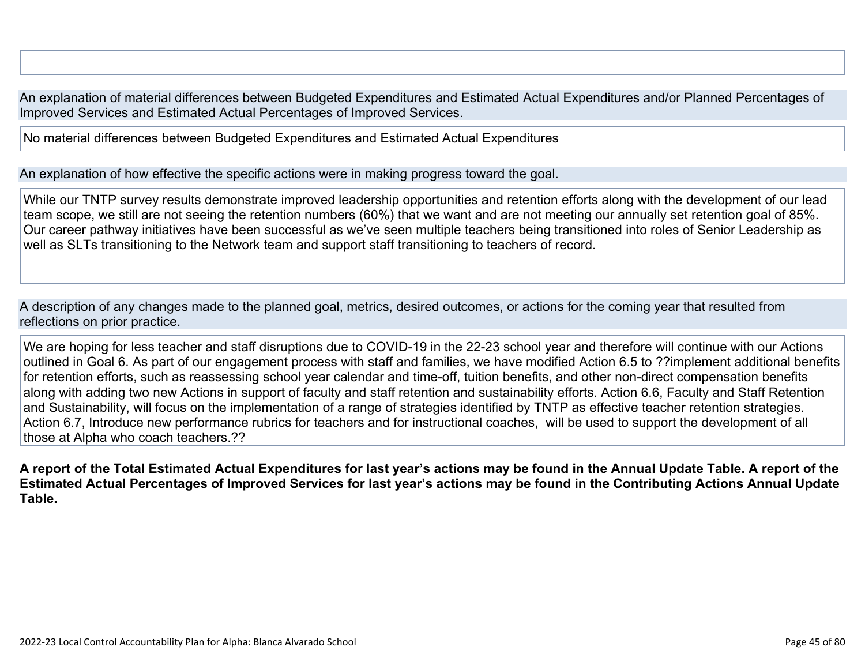An explanation of material differences between Budgeted Expenditures and Estimated Actual Expenditures and/or Planned Percentages of Improved Services and Estimated Actual Percentages of Improved Services.

No material differences between Budgeted Expenditures and Estimated Actual Expenditures

An explanation of how effective the specific actions were in making progress toward the goal.

While our TNTP survey results demonstrate improved leadership opportunities and retention efforts along with the development of our lead team scope, we still are not seeing the retention numbers (60%) that we want and are not meeting our annually set retention goal of 85%. Our career pathway initiatives have been successful as we've seen multiple teachers being transitioned into roles of Senior Leadership as well as SLTs transitioning to the Network team and support staff transitioning to teachers of record.

A description of any changes made to the planned goal, metrics, desired outcomes, or actions for the coming year that resulted from reflections on prior practice.

We are hoping for less teacher and staff disruptions due to COVID-19 in the 22-23 school year and therefore will continue with our Actions outlined in Goal 6. As part of our engagement process with staff and families, we have modified Action 6.5 to ??implement additional benefits for retention efforts, such as reassessing school year calendar and time-off, tuition benefits, and other non-direct compensation benefits along with adding two new Actions in support of faculty and staff retention and sustainability efforts. Action 6.6, Faculty and Staff Retention and Sustainability, will focus on the implementation of a range of strategies identified by TNTP as effective teacher retention strategies. Action 6.7, Introduce new performance rubrics for teachers and for instructional coaches, will be used to support the development of all those at Alpha who coach teachers.??

**A report of the Total Estimated Actual Expenditures for last year's actions may be found in the Annual Update Table. A report of the Estimated Actual Percentages of Improved Services for last year's actions may be found in the Contributing Actions Annual Update Table.**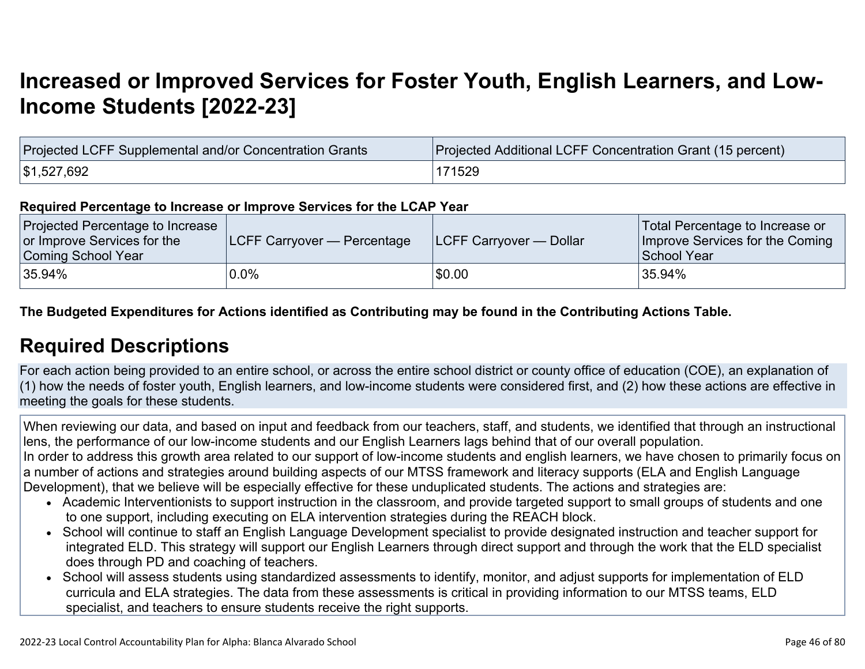# **[Increased or Improved Services for Foster Youth, English Learners, and Low-](http://www.doc-tracking.com/screenshots/22LCAP/Instructions/22LCAPInstructions.htm#IncreasedImprovedServices)[Income Students \[2022-23\]](http://www.doc-tracking.com/screenshots/22LCAP/Instructions/22LCAPInstructions.htm#IncreasedImprovedServices)**

| Projected LCFF Supplemental and/or Concentration Grants | Projected Additional LCFF Concentration Grant (15 percent) |
|---------------------------------------------------------|------------------------------------------------------------|
| \$1,527,692                                             | 171529                                                     |

#### **Required Percentage to Increase or Improve Services for the LCAP Year**

| Projected Percentage to Increase<br>or Improve Services for the<br>Coming School Year | <b>LCFF Carryover — Percentage</b> | <b>LCFF Carryover — Dollar</b> | Total Percentage to Increase or<br>Improve Services for the Coming<br>School Year |
|---------------------------------------------------------------------------------------|------------------------------------|--------------------------------|-----------------------------------------------------------------------------------|
| 35.94%                                                                                | 0.0%                               | \$0.00                         | 35.94%                                                                            |

**The Budgeted Expenditures for Actions identified as Contributing may be found in the Contributing Actions Table.**

### **[Required Descriptions](http://www.doc-tracking.com/screenshots/22LCAP/Instructions/22LCAPInstructions.htm#RequiredDescriptions)**

For each action being provided to an entire school, or across the entire school district or county office of education (COE), an explanation of (1) how the needs of foster youth, English learners, and low-income students were considered first, and (2) how these actions are effective in meeting the goals for these students.

When reviewing our data, and based on input and feedback from our teachers, staff, and students, we identified that through an instructional lens, the performance of our low-income students and our English Learners lags behind that of our overall population. In order to address this growth area related to our support of low-income students and english learners, we have chosen to primarily focus on a number of actions and strategies around building aspects of our MTSS framework and literacy supports (ELA and English Language Development), that we believe will be especially effective for these unduplicated students. The actions and strategies are:

- Academic Interventionists to support instruction in the classroom, and provide targeted support to small groups of students and one to one support, including executing on ELA intervention strategies during the REACH block.
- School will continue to staff an English Language Development specialist to provide designated instruction and teacher support for integrated ELD. This strategy will support our English Learners through direct support and through the work that the ELD specialist does through PD and coaching of teachers.
- School will assess students using standardized assessments to identify, monitor, and adjust supports for implementation of ELD curricula and ELA strategies. The data from these assessments is critical in providing information to our MTSS teams, ELD specialist, and teachers to ensure students receive the right supports.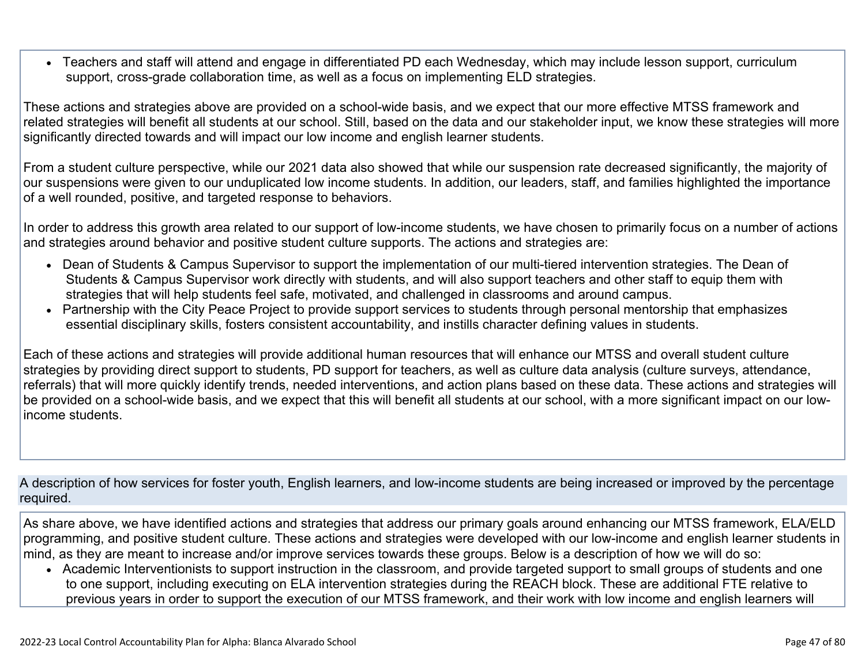• Teachers and staff will attend and engage in differentiated PD each Wednesday, which may include lesson support, curriculum support, cross-grade collaboration time, as well as a focus on implementing ELD strategies.

These actions and strategies above are provided on a school-wide basis, and we expect that our more effective MTSS framework and related strategies will benefit all students at our school. Still, based on the data and our stakeholder input, we know these strategies will more significantly directed towards and will impact our low income and english learner students.

From a student culture perspective, while our 2021 data also showed that while our suspension rate decreased significantly, the majority of our suspensions were given to our unduplicated low income students. In addition, our leaders, staff, and families highlighted the importance of a well rounded, positive, and targeted response to behaviors.

In order to address this growth area related to our support of low-income students, we have chosen to primarily focus on a number of actions and strategies around behavior and positive student culture supports. The actions and strategies are:

- Dean of Students & Campus Supervisor to support the implementation of our multi-tiered intervention strategies. The Dean of Students & Campus Supervisor work directly with students, and will also support teachers and other staff to equip them with strategies that will help students feel safe, motivated, and challenged in classrooms and around campus.
- Partnership with the City Peace Project to provide support services to students through personal mentorship that emphasizes essential disciplinary skills, fosters consistent accountability, and instills character defining values in students.

Each of these actions and strategies will provide additional human resources that will enhance our MTSS and overall student culture strategies by providing direct support to students, PD support for teachers, as well as culture data analysis (culture surveys, attendance, referrals) that will more quickly identify trends, needed interventions, and action plans based on these data. These actions and strategies will be provided on a school-wide basis, and we expect that this will benefit all students at our school, with a more significant impact on our lowincome students.

A description of how services for foster youth, English learners, and low-income students are being increased or improved by the percentage required.

As share above, we have identified actions and strategies that address our primary goals around enhancing our MTSS framework, ELA/ELD programming, and positive student culture. These actions and strategies were developed with our low-income and english learner students in mind, as they are meant to increase and/or improve services towards these groups. Below is a description of how we will do so:

• Academic Interventionists to support instruction in the classroom, and provide targeted support to small groups of students and one to one support, including executing on ELA intervention strategies during the REACH block. These are additional FTE relative to previous years in order to support the execution of our MTSS framework, and their work with low income and english learners will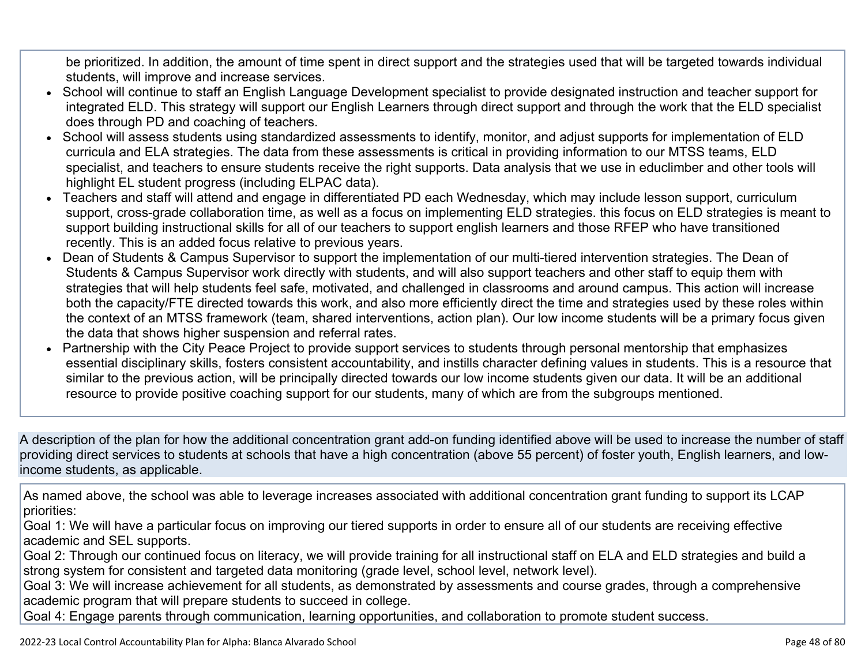be prioritized. In addition, the amount of time spent in direct support and the strategies used that will be targeted towards individual students, will improve and increase services.

- School will continue to staff an English Language Development specialist to provide designated instruction and teacher support for integrated ELD. This strategy will support our English Learners through direct support and through the work that the ELD specialist does through PD and coaching of teachers.
- School will assess students using standardized assessments to identify, monitor, and adjust supports for implementation of ELD curricula and ELA strategies. The data from these assessments is critical in providing information to our MTSS teams, ELD specialist, and teachers to ensure students receive the right supports. Data analysis that we use in educlimber and other tools will highlight EL student progress (including ELPAC data).
- Teachers and staff will attend and engage in differentiated PD each Wednesday, which may include lesson support, curriculum support, cross-grade collaboration time, as well as a focus on implementing ELD strategies. this focus on ELD strategies is meant to support building instructional skills for all of our teachers to support english learners and those RFEP who have transitioned recently. This is an added focus relative to previous years.
- Dean of Students & Campus Supervisor to support the implementation of our multi-tiered intervention strategies. The Dean of Students & Campus Supervisor work directly with students, and will also support teachers and other staff to equip them with strategies that will help students feel safe, motivated, and challenged in classrooms and around campus. This action will increase both the capacity/FTE directed towards this work, and also more efficiently direct the time and strategies used by these roles within the context of an MTSS framework (team, shared interventions, action plan). Our low income students will be a primary focus given the data that shows higher suspension and referral rates.
- Partnership with the City Peace Project to provide support services to students through personal mentorship that emphasizes essential disciplinary skills, fosters consistent accountability, and instills character defining values in students. This is a resource that similar to the previous action, will be principally directed towards our low income students given our data. It will be an additional resource to provide positive coaching support for our students, many of which are from the subgroups mentioned.

A description of the plan for how the additional concentration grant add-on funding identified above will be used to increase the number of staff providing direct services to students at schools that have a high concentration (above 55 percent) of foster youth, English learners, and lowincome students, as applicable.

As named above, the school was able to leverage increases associated with additional concentration grant funding to support its LCAP priorities:

Goal 1: We will have a particular focus on improving our tiered supports in order to ensure all of our students are receiving effective academic and SEL supports.

Goal 2: Through our continued focus on literacy, we will provide training for all instructional staff on ELA and ELD strategies and build a strong system for consistent and targeted data monitoring (grade level, school level, network level).

Goal 3: We will increase achievement for all students, as demonstrated by assessments and course grades, through a comprehensive academic program that will prepare students to succeed in college.

Goal 4: Engage parents through communication, learning opportunities, and collaboration to promote student success.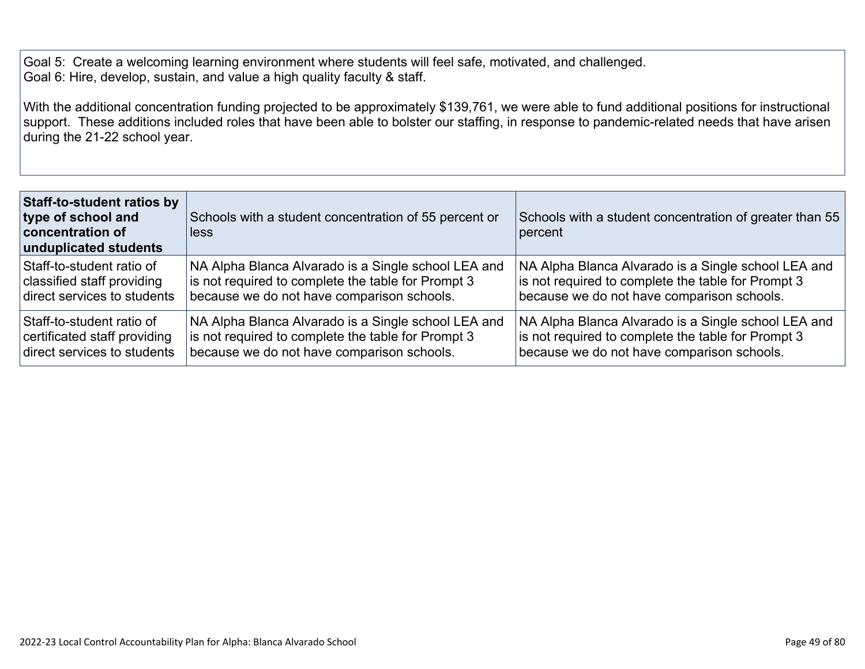Goal 5: Create a welcoming learning environment where students will feel safe, motivated, and challenged. Goal 6: Hire, develop, sustain, and value a high quality faculty & staff.

With the additional concentration funding projected to be approximately \$139,761, we were able to fund additional positions for instructional support. These additions included roles that have been able to bolster our staffing, in response to pandemic-related needs that have arisen during the 21-22 school year.

| <b>Staff-to-student ratios by</b><br>type of school and<br>concentration of<br>unduplicated students | Schools with a student concentration of 55 percent or<br>less | Schools with a student concentration of greater than 55<br>percent |
|------------------------------------------------------------------------------------------------------|---------------------------------------------------------------|--------------------------------------------------------------------|
| Staff-to-student ratio of                                                                            | NA Alpha Blanca Alvarado is a Single school LEA and           | NA Alpha Blanca Alvarado is a Single school LEA and                |
| classified staff providing                                                                           | is not required to complete the table for Prompt 3            | is not required to complete the table for Prompt 3                 |
| direct services to students                                                                          | because we do not have comparison schools.                    | because we do not have comparison schools.                         |
| Staff-to-student ratio of                                                                            | NA Alpha Blanca Alvarado is a Single school LEA and           | NA Alpha Blanca Alvarado is a Single school LEA and                |
| certificated staff providing                                                                         | is not required to complete the table for Prompt 3            | is not required to complete the table for Prompt 3                 |
| direct services to students                                                                          | because we do not have comparison schools.                    | because we do not have comparison schools.                         |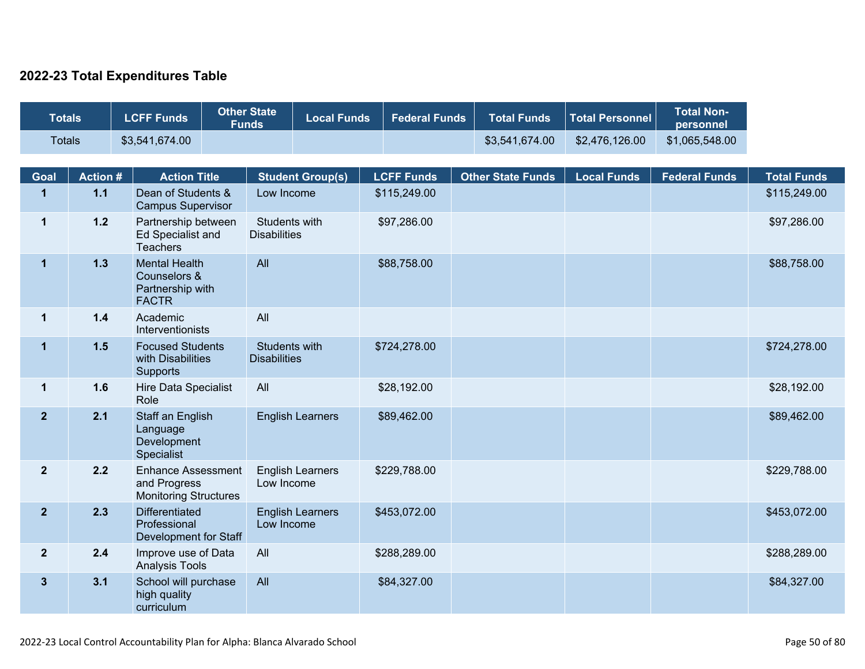### **2022-23 Total Expenditures Table**

| <b>Totals</b>  |                 | <b>LCFF Funds</b>                                                         | <b>Other State</b><br><b>Funds</b>   | <b>Local Funds</b>      | <b>Federal Funds</b> | <b>Total Funds</b>       | <b>Total Personnel</b> | <b>Total Non-</b><br>personnel |                    |
|----------------|-----------------|---------------------------------------------------------------------------|--------------------------------------|-------------------------|----------------------|--------------------------|------------------------|--------------------------------|--------------------|
| <b>Totals</b>  |                 | \$3,541,674.00                                                            |                                      |                         |                      | \$3,541,674.00           | \$2,476,126.00         | \$1,065,548.00                 |                    |
| Goal           | <b>Action #</b> | <b>Action Title</b>                                                       |                                      | <b>Student Group(s)</b> | <b>LCFF Funds</b>    | <b>Other State Funds</b> | <b>Local Funds</b>     | <b>Federal Funds</b>           | <b>Total Funds</b> |
| $\mathbf{1}$   | $1.1$           | Dean of Students &<br><b>Campus Supervisor</b>                            | Low Income                           |                         | \$115,249.00         |                          |                        |                                | \$115,249.00       |
| $\mathbf{1}$   | $1.2$           | Partnership between<br><b>Ed Specialist and</b><br><b>Teachers</b>        | Students with<br><b>Disabilities</b> |                         | \$97,286.00          |                          |                        |                                | \$97,286.00        |
| $\mathbf{1}$   | 1.3             | <b>Mental Health</b><br>Counselors &<br>Partnership with<br><b>FACTR</b>  | All                                  |                         | \$88,758.00          |                          |                        |                                | \$88,758.00        |
| $\mathbf{1}$   | $1.4$           | Academic<br>Interventionists                                              | All                                  |                         |                      |                          |                        |                                |                    |
| $\mathbf 1$    | 1.5             | <b>Focused Students</b><br>with Disabilities<br>Supports                  | Students with<br><b>Disabilities</b> |                         | \$724,278.00         |                          |                        |                                | \$724,278.00       |
| $\mathbf{1}$   | 1.6             | Hire Data Specialist<br>Role                                              | All                                  |                         | \$28,192.00          |                          |                        |                                | \$28,192.00        |
| $\mathbf{2}$   | 2.1             | Staff an English<br>Language<br>Development<br>Specialist                 |                                      | <b>English Learners</b> | \$89,462.00          |                          |                        |                                | \$89,462.00        |
| $2^{\circ}$    | 2.2             | <b>Enhance Assessment</b><br>and Progress<br><b>Monitoring Structures</b> | Low Income                           | <b>English Learners</b> | \$229,788.00         |                          |                        |                                | \$229,788.00       |
| $\overline{2}$ | 2.3             | <b>Differentiated</b><br>Professional<br>Development for Staff            | Low Income                           | <b>English Learners</b> | \$453,072.00         |                          |                        |                                | \$453,072.00       |
| $\overline{2}$ | 2.4             | Improve use of Data<br><b>Analysis Tools</b>                              | All                                  |                         | \$288,289.00         |                          |                        |                                | \$288,289.00       |
| $\mathbf{3}$   | 3.1             | School will purchase<br>high quality<br>curriculum                        | All                                  |                         | \$84,327.00          |                          |                        |                                | \$84,327.00        |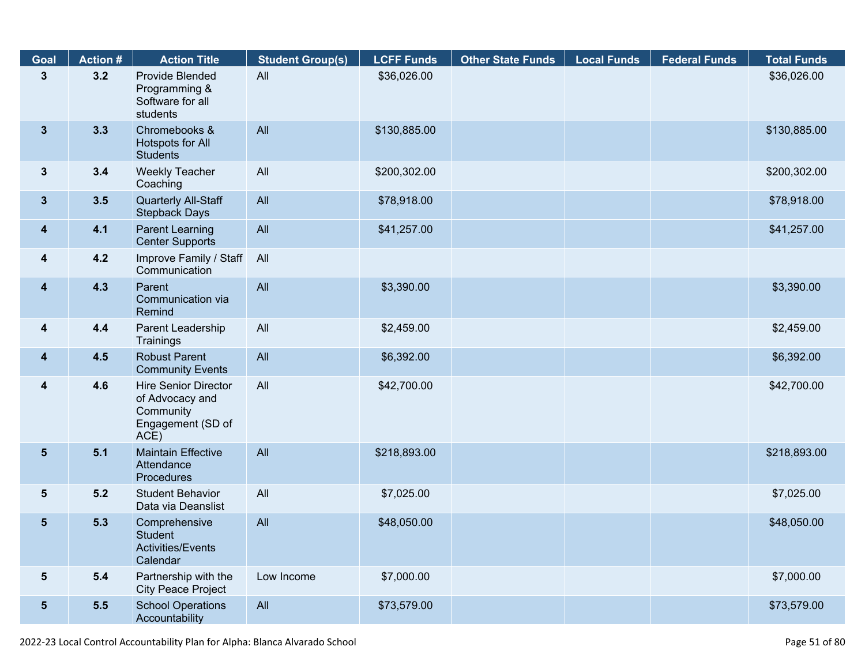| Goal                    | <b>Action #</b> | <b>Action Title</b>                                                                      | <b>Student Group(s)</b> | <b>LCFF Funds</b> | <b>Other State Funds</b> | <b>Local Funds</b> | <b>Federal Funds</b> | <b>Total Funds</b> |
|-------------------------|-----------------|------------------------------------------------------------------------------------------|-------------------------|-------------------|--------------------------|--------------------|----------------------|--------------------|
| $\mathbf{3}$            | 3.2             | Provide Blended<br>Programming &<br>Software for all<br>students                         | All                     | \$36,026.00       |                          |                    |                      | \$36,026.00        |
| 3 <sup>5</sup>          | 3.3             | Chromebooks &<br>Hotspots for All<br><b>Students</b>                                     | All                     | \$130,885.00      |                          |                    |                      | \$130,885.00       |
| $3\phantom{a}$          | 3.4             | <b>Weekly Teacher</b><br>Coaching                                                        | All                     | \$200,302.00      |                          |                    |                      | \$200,302.00       |
| $3\phantom{a}$          | 3.5             | Quarterly All-Staff<br><b>Stepback Days</b>                                              | All                     | \$78,918.00       |                          |                    |                      | \$78,918.00        |
| $\overline{\mathbf{4}}$ | 4.1             | <b>Parent Learning</b><br><b>Center Supports</b>                                         | All                     | \$41,257.00       |                          |                    |                      | \$41,257.00        |
| 4                       | 4.2             | Improve Family / Staff<br>Communication                                                  | All                     |                   |                          |                    |                      |                    |
| $\overline{\mathbf{4}}$ | 4.3             | Parent<br>Communication via<br>Remind                                                    | All                     | \$3,390.00        |                          |                    |                      | \$3,390.00         |
| $\overline{\mathbf{4}}$ | 4.4             | Parent Leadership<br>Trainings                                                           | All                     | \$2,459.00        |                          |                    |                      | \$2,459.00         |
| $\overline{\mathbf{4}}$ | 4.5             | <b>Robust Parent</b><br><b>Community Events</b>                                          | All                     | \$6,392.00        |                          |                    |                      | \$6,392.00         |
| $\overline{\mathbf{4}}$ | 4.6             | <b>Hire Senior Director</b><br>of Advocacy and<br>Community<br>Engagement (SD of<br>ACE) | All                     | \$42,700.00       |                          |                    |                      | \$42,700.00        |
| 5 <sub>5</sub>          | 5.1             | <b>Maintain Effective</b><br>Attendance<br>Procedures                                    | All                     | \$218,893.00      |                          |                    |                      | \$218,893.00       |
| $5\phantom{.0}$         | 5.2             | <b>Student Behavior</b><br>Data via Deanslist                                            | All                     | \$7,025.00        |                          |                    |                      | \$7,025.00         |
| $5\phantom{.0}$         | 5.3             | Comprehensive<br><b>Student</b><br><b>Activities/Events</b><br>Calendar                  | All                     | \$48,050.00       |                          |                    |                      | \$48,050.00        |
| $5\phantom{.0}$         | 5.4             | Partnership with the<br><b>City Peace Project</b>                                        | Low Income              | \$7,000.00        |                          |                    |                      | \$7,000.00         |
| 5 <sub>5</sub>          | 5.5             | <b>School Operations</b><br>Accountability                                               | All                     | \$73,579.00       |                          |                    |                      | \$73,579.00        |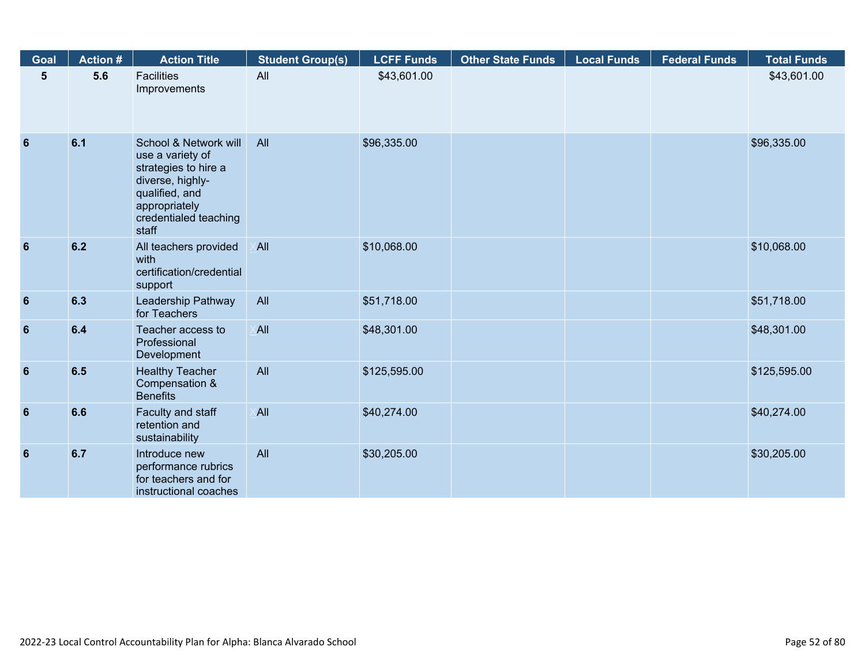| Goal            | <b>Action #</b> | <b>Action Title</b>                                                                                                                                        | <b>Student Group(s)</b> | <b>LCFF Funds</b> | <b>Other State Funds</b> | <b>Local Funds</b> | <b>Federal Funds</b> | <b>Total Funds</b> |
|-----------------|-----------------|------------------------------------------------------------------------------------------------------------------------------------------------------------|-------------------------|-------------------|--------------------------|--------------------|----------------------|--------------------|
| 5               | 5.6             | <b>Facilities</b><br>Improvements                                                                                                                          | All                     | \$43,601.00       |                          |                    |                      | \$43,601.00        |
| $6\phantom{1}6$ | 6.1             | School & Network will<br>use a variety of<br>strategies to hire a<br>diverse, highly-<br>qualified, and<br>appropriately<br>credentialed teaching<br>staff | All                     | \$96,335.00       |                          |                    |                      | \$96,335.00        |
| 6               | 6.2             | All teachers provided<br>with<br>certification/credential<br>support                                                                                       | <b>All</b>              | \$10,068.00       |                          |                    |                      | \$10,068.00        |
| $6\phantom{1}6$ | 6.3             | Leadership Pathway<br>for Teachers                                                                                                                         | All                     | \$51,718.00       |                          |                    |                      | \$51,718.00        |
| $6\phantom{1}6$ | 6.4             | Teacher access to<br>Professional<br>Development                                                                                                           | <b>All</b>              | \$48,301.00       |                          |                    |                      | \$48,301.00        |
| $6\phantom{1}6$ | 6.5             | <b>Healthy Teacher</b><br>Compensation &<br><b>Benefits</b>                                                                                                | All                     | \$125,595.00      |                          |                    |                      | \$125,595.00       |
| 6               | 6.6             | Faculty and staff<br>retention and<br>sustainability                                                                                                       | <b>All</b>              | \$40,274.00       |                          |                    |                      | \$40,274.00        |
| 6               | 6.7             | Introduce new<br>performance rubrics<br>for teachers and for<br>instructional coaches                                                                      | All                     | \$30,205.00       |                          |                    |                      | \$30,205.00        |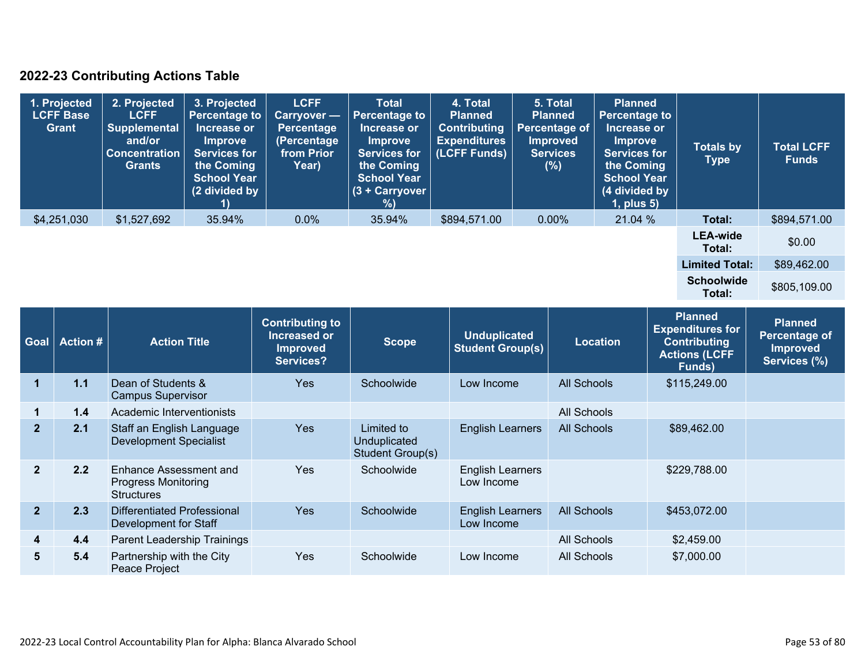### **2022-23 Contributing Actions Table**

| 1. Projected<br><b>LCFF Base</b><br><b>Grant</b> | 2. Projected<br><b>LCFF</b><br><b>Supplemental</b><br>and/or<br><b>Concentration</b><br><b>Grants</b> | 3. Projected<br><b>Percentage to</b><br>Increase or<br><b>Improve</b><br><b>Services for</b><br>the Coming<br><b>School Year</b><br>(2 divided by | <b>LCFF</b><br>Carryover -<br>Percentage<br>(Percentage<br>from Prior<br>Year) | <b>Total</b><br><b>Percentage to</b><br>Increase or<br><b>Improve</b><br><b>Services for</b><br>the Coming<br><b>School Year</b><br>(3 + Carryover<br>%) | 4. Total<br><b>Planned</b><br><b>Contributing</b><br><b>Expenditures</b><br>(LCFF Funds) | 5. Total<br><b>Planned</b><br>Percentage of<br><b>Improved</b><br><b>Services</b><br>(%) | <b>Planned</b><br><b>Percentage to</b><br>Increase or<br><b>Improve</b><br><b>Services for</b><br>the Coming<br><b>School Year</b><br>(4 divided by<br>$1$ , plus $5$ ) | <b>Totals by</b><br><b>Type</b> | <b>Total LCFF</b><br><b>Funds</b> |
|--------------------------------------------------|-------------------------------------------------------------------------------------------------------|---------------------------------------------------------------------------------------------------------------------------------------------------|--------------------------------------------------------------------------------|----------------------------------------------------------------------------------------------------------------------------------------------------------|------------------------------------------------------------------------------------------|------------------------------------------------------------------------------------------|-------------------------------------------------------------------------------------------------------------------------------------------------------------------------|---------------------------------|-----------------------------------|
| \$4,251,030                                      | \$1,527,692                                                                                           | 35.94%                                                                                                                                            | $0.0\%$                                                                        | 35.94%                                                                                                                                                   | \$894,571.00                                                                             | $0.00\%$                                                                                 | 21.04 %                                                                                                                                                                 | Total:                          | \$894,571.00                      |
|                                                  |                                                                                                       |                                                                                                                                                   |                                                                                |                                                                                                                                                          |                                                                                          |                                                                                          |                                                                                                                                                                         | <b>LEA-wide</b><br>Total:       | \$0.00                            |
|                                                  |                                                                                                       |                                                                                                                                                   |                                                                                |                                                                                                                                                          |                                                                                          |                                                                                          |                                                                                                                                                                         | <b>Limited Total:</b>           | \$89,462.00                       |
|                                                  |                                                                                                       |                                                                                                                                                   |                                                                                |                                                                                                                                                          |                                                                                          |                                                                                          |                                                                                                                                                                         | <b>Schoolwide</b><br>Total:     | \$805,109.00                      |

| Goal           | <b>Action #</b> | <b>Action Title</b>                                                       | <b>Contributing to</b><br>Increased or<br><b>Improved</b><br>Services? | <b>Scope</b>                                   | <b>Unduplicated</b><br><b>Student Group(s)</b> | <b>Location</b>    | <b>Planned</b><br><b>Expenditures for</b><br><b>Contributing</b><br><b>Actions (LCFF</b><br>Funds) | <b>Planned</b><br>Percentage of<br><b>Improved</b><br>Services (%) |
|----------------|-----------------|---------------------------------------------------------------------------|------------------------------------------------------------------------|------------------------------------------------|------------------------------------------------|--------------------|----------------------------------------------------------------------------------------------------|--------------------------------------------------------------------|
| H.             | 1.1             | Dean of Students &<br><b>Campus Supervisor</b>                            | <b>Yes</b>                                                             | Schoolwide                                     | Low Income                                     | <b>All Schools</b> | \$115,249.00                                                                                       |                                                                    |
|                | 1.4             | Academic Interventionists                                                 |                                                                        |                                                |                                                | All Schools        |                                                                                                    |                                                                    |
| $\overline{2}$ | 2.1             | Staff an English Language<br><b>Development Specialist</b>                | <b>Yes</b>                                                             | Limited to<br>Unduplicated<br>Student Group(s) | <b>English Learners</b>                        | <b>All Schools</b> | \$89,462.00                                                                                        |                                                                    |
| $\overline{2}$ | 2.2             | Enhance Assessment and<br><b>Progress Monitoring</b><br><b>Structures</b> | <b>Yes</b>                                                             | Schoolwide                                     | <b>English Learners</b><br>Low Income          |                    | \$229,788.00                                                                                       |                                                                    |
| $\overline{2}$ | 2.3             | Differentiated Professional<br>Development for Staff                      | <b>Yes</b>                                                             | Schoolwide                                     | <b>English Learners</b><br>Low Income          | <b>All Schools</b> | \$453,072.00                                                                                       |                                                                    |
| 4              | 4.4             | <b>Parent Leadership Trainings</b>                                        |                                                                        |                                                |                                                | All Schools        | \$2,459.00                                                                                         |                                                                    |
| 5              | 5.4             | Partnership with the City<br>Peace Project                                | <b>Yes</b>                                                             | Schoolwide                                     | Low Income                                     | All Schools        | \$7,000.00                                                                                         |                                                                    |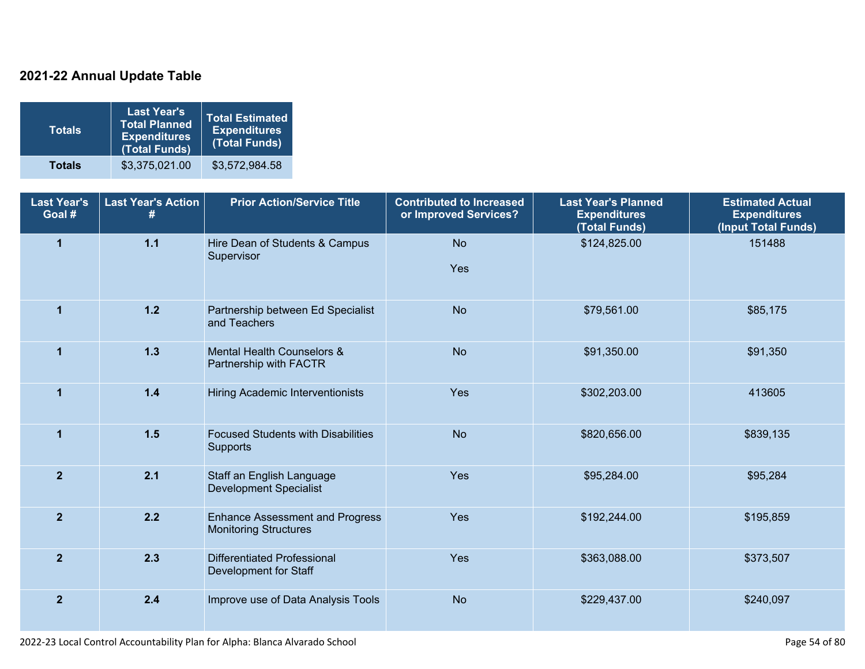### **2021-22 Annual Update Table**

| <b>Totals</b> | <b>Last Year's</b><br><b>Total Planned</b><br><b>Expenditures</b><br>(Total Funds) | Total Estimated<br><b>Expenditures</b><br>(Total Funds) |
|---------------|------------------------------------------------------------------------------------|---------------------------------------------------------|
| <b>Totals</b> | \$3,375,021.00                                                                     | \$3,572,984.58                                          |

| <b>Last Year's</b><br>Goal # | <b>Last Year's Action</b><br># | <b>Prior Action/Service Title</b>                                      | <b>Contributed to Increased</b><br>or Improved Services? | <b>Last Year's Planned</b><br><b>Expenditures</b><br>(Total Funds) | <b>Estimated Actual</b><br><b>Expenditures</b><br>(Input Total Funds) |
|------------------------------|--------------------------------|------------------------------------------------------------------------|----------------------------------------------------------|--------------------------------------------------------------------|-----------------------------------------------------------------------|
| $\overline{1}$               | $1.1$                          | Hire Dean of Students & Campus<br>Supervisor                           | <b>No</b><br>Yes                                         | \$124,825.00                                                       | 151488                                                                |
| $\mathbf{1}$                 | $1.2$                          | Partnership between Ed Specialist<br>and Teachers                      | <b>No</b>                                                | \$79,561.00                                                        | \$85,175                                                              |
| 1                            | $1.3$                          | Mental Health Counselors &<br>Partnership with FACTR                   | <b>No</b>                                                | \$91,350.00                                                        | \$91,350                                                              |
| $\overline{1}$               | $1.4$                          | Hiring Academic Interventionists                                       | Yes                                                      | \$302,203.00                                                       | 413605                                                                |
| $\overline{1}$               | 1.5                            | <b>Focused Students with Disabilities</b><br>Supports                  | <b>No</b>                                                | \$820,656.00                                                       | \$839,135                                                             |
| $\overline{2}$               | 2.1                            | Staff an English Language<br><b>Development Specialist</b>             | Yes                                                      | \$95,284.00                                                        | \$95,284                                                              |
| $\overline{2}$               | 2.2                            | <b>Enhance Assessment and Progress</b><br><b>Monitoring Structures</b> | Yes                                                      | \$192,244.00                                                       | \$195,859                                                             |
| $\overline{2}$               | 2.3                            | <b>Differentiated Professional</b><br>Development for Staff            | Yes                                                      | \$363,088.00                                                       | \$373,507                                                             |
| $\overline{2}$               | 2.4                            | Improve use of Data Analysis Tools                                     | <b>No</b>                                                | \$229,437.00                                                       | \$240,097                                                             |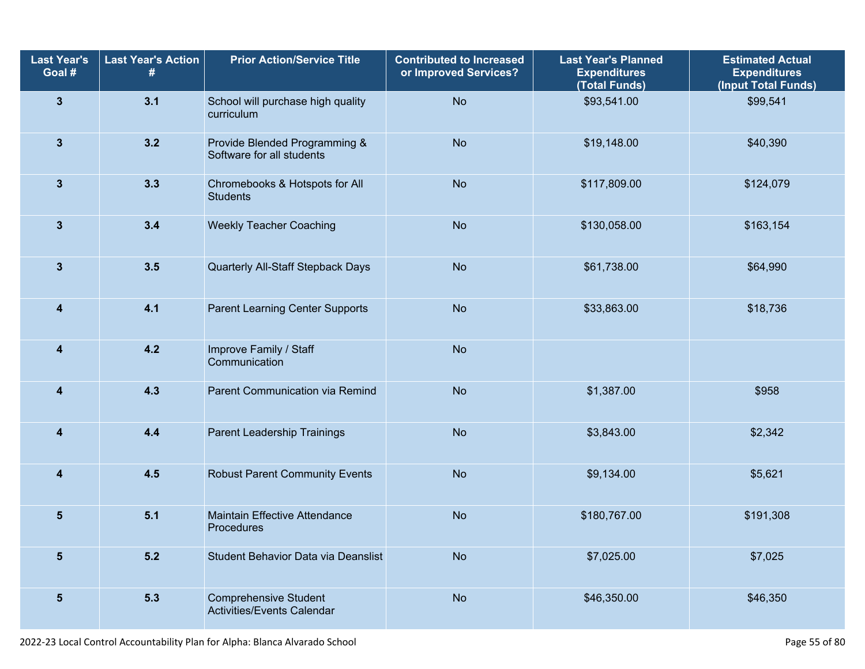| <b>Last Year's</b><br>Goal # | <b>Last Year's Action</b> | <b>Prior Action/Service Title</b>                                 | <b>Contributed to Increased</b><br>or Improved Services? | <b>Last Year's Planned</b><br><b>Expenditures</b><br>(Total Funds) | <b>Estimated Actual</b><br><b>Expenditures</b><br>(Input Total Funds) |
|------------------------------|---------------------------|-------------------------------------------------------------------|----------------------------------------------------------|--------------------------------------------------------------------|-----------------------------------------------------------------------|
| $\mathbf{3}$                 | 3.1                       | School will purchase high quality<br>curriculum                   | <b>No</b>                                                | \$93,541.00                                                        | \$99,541                                                              |
| $\mathbf{3}$                 | 3.2                       | Provide Blended Programming &<br>Software for all students        | <b>No</b>                                                | \$19,148.00                                                        | \$40,390                                                              |
| $\mathbf{3}$                 | 3.3                       | Chromebooks & Hotspots for All<br><b>Students</b>                 | <b>No</b>                                                | \$117,809.00                                                       | \$124,079                                                             |
| $\mathbf{3}$                 | 3.4                       | <b>Weekly Teacher Coaching</b>                                    | <b>No</b>                                                | \$130,058.00                                                       | \$163,154                                                             |
| $\mathbf{3}$                 | 3.5                       | Quarterly All-Staff Stepback Days                                 | <b>No</b>                                                | \$61,738.00                                                        | \$64,990                                                              |
| 4                            | 4.1                       | <b>Parent Learning Center Supports</b>                            | <b>No</b>                                                | \$33,863.00                                                        | \$18,736                                                              |
| 4                            | 4.2                       | Improve Family / Staff<br>Communication                           | <b>No</b>                                                |                                                                    |                                                                       |
| 4                            | 4.3                       | Parent Communication via Remind                                   | <b>No</b>                                                | \$1,387.00                                                         | \$958                                                                 |
| 4                            | 4.4                       | Parent Leadership Trainings                                       | <b>No</b>                                                | \$3,843.00                                                         | \$2,342                                                               |
| 4                            | 4.5                       | <b>Robust Parent Community Events</b>                             | <b>No</b>                                                | \$9,134.00                                                         | \$5,621                                                               |
| 5                            | 5.1                       | <b>Maintain Effective Attendance</b><br>Procedures                | <b>No</b>                                                | \$180,767.00                                                       | \$191,308                                                             |
| $\overline{\mathbf{5}}$      | $5.2$                     | Student Behavior Data via Deanslist                               | <b>No</b>                                                | \$7,025.00                                                         | \$7,025                                                               |
| $\sqrt{5}$                   | $5.3$                     | <b>Comprehensive Student</b><br><b>Activities/Events Calendar</b> | <b>No</b>                                                | \$46,350.00                                                        | \$46,350                                                              |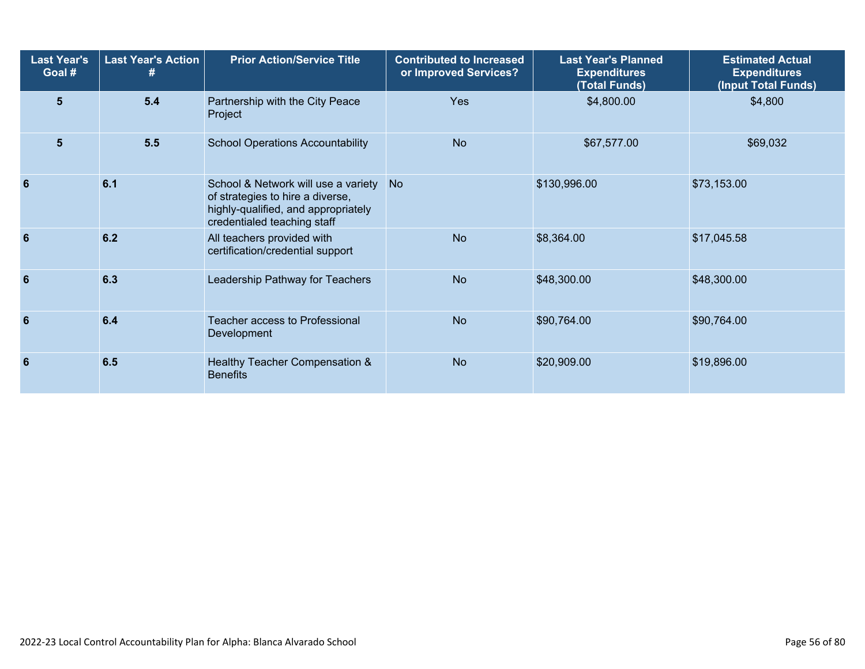| <b>Last Year's</b><br>Goal # | <b>Last Year's Action</b><br>77 | <b>Prior Action/Service Title</b>                                                                                                             | <b>Contributed to Increased</b><br>or Improved Services? | <b>Last Year's Planned</b><br><b>Expenditures</b><br>(Total Funds) | <b>Estimated Actual</b><br><b>Expenditures</b><br>(Input Total Funds) |
|------------------------------|---------------------------------|-----------------------------------------------------------------------------------------------------------------------------------------------|----------------------------------------------------------|--------------------------------------------------------------------|-----------------------------------------------------------------------|
| $5\phantom{1}$               | $5.4$                           | Partnership with the City Peace<br>Project                                                                                                    | <b>Yes</b>                                               | \$4,800.00                                                         | \$4,800                                                               |
| $5\phantom{1}$               | 5.5                             | <b>School Operations Accountability</b>                                                                                                       | <b>No</b>                                                | \$67,577.00                                                        | \$69,032                                                              |
| 6                            | 6.1                             | School & Network will use a variety<br>of strategies to hire a diverse,<br>highly-qualified, and appropriately<br>credentialed teaching staff | <b>No</b>                                                | \$130,996.00                                                       | \$73,153.00                                                           |
| 6                            | 6.2                             | All teachers provided with<br>certification/credential support                                                                                | <b>No</b>                                                | \$8,364.00                                                         | \$17,045.58                                                           |
| 6                            | 6.3                             | Leadership Pathway for Teachers                                                                                                               | <b>No</b>                                                | \$48,300.00                                                        | \$48,300.00                                                           |
| 6                            | 6.4                             | Teacher access to Professional<br>Development                                                                                                 | <b>No</b>                                                | \$90,764.00                                                        | \$90,764.00                                                           |
| 6                            | 6.5                             | Healthy Teacher Compensation &<br><b>Benefits</b>                                                                                             | <b>No</b>                                                | \$20,909.00                                                        | \$19,896.00                                                           |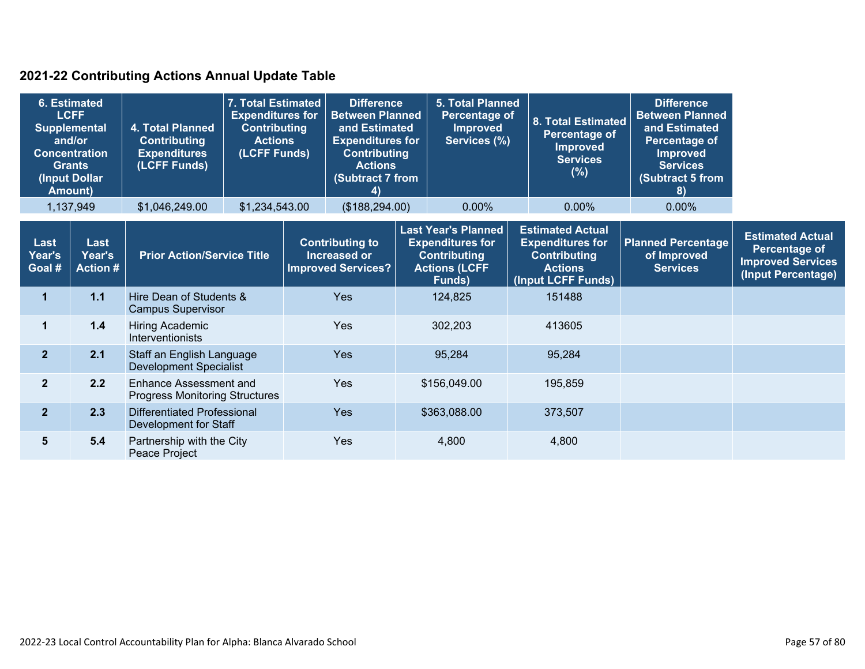### **2021-22 Contributing Actions Annual Update Table**

| and/or                   | <b>6. Estimated</b><br><b>LCFF</b><br><b>Supplemental</b><br><b>Concentration</b><br><b>Grants</b><br>(Input Dollar<br><b>Amount)</b> | 4. Total Planned<br><b>Contributing</b><br><b>Expenditures</b><br>(LCFF Funds) | 7. Total Estimated<br><b>Expenditures for</b><br><b>Contributing</b><br><b>Actions</b><br>(LCFF Funds) | <b>Difference</b><br><b>Between Planned</b><br>and Estimated<br><b>Expenditures for</b><br><b>Contributing</b><br><b>Actions</b><br>(Subtract 7 from<br>4) | <b>5. Total Planned</b><br>Percentage of<br><b>Improved</b><br>Services (%)                                    | 8. Total Estimated<br>Percentage of<br><b>Improved</b><br><b>Services</b><br>$(\%)$                               | <b>Difference</b><br><b>Between Planned</b><br>and Estimated<br><b>Percentage of</b><br><b>Improved</b><br><b>Services</b><br>(Subtract 5 from<br>8) |                                                                                            |
|--------------------------|---------------------------------------------------------------------------------------------------------------------------------------|--------------------------------------------------------------------------------|--------------------------------------------------------------------------------------------------------|------------------------------------------------------------------------------------------------------------------------------------------------------------|----------------------------------------------------------------------------------------------------------------|-------------------------------------------------------------------------------------------------------------------|------------------------------------------------------------------------------------------------------------------------------------------------------|--------------------------------------------------------------------------------------------|
|                          | 1,137,949                                                                                                                             | \$1,046,249.00                                                                 | \$1,234,543.00                                                                                         | (\$188, 294.00)                                                                                                                                            | 0.00%                                                                                                          | 0.00%                                                                                                             | 0.00%                                                                                                                                                |                                                                                            |
| Last<br>Year's<br>Goal # | Last<br>Year's<br><b>Action #</b>                                                                                                     | <b>Prior Action/Service Title</b>                                              |                                                                                                        | <b>Contributing to</b><br>Increased or<br><b>Improved Services?</b>                                                                                        | <b>Last Year's Planned</b><br><b>Expenditures for</b><br><b>Contributing</b><br><b>Actions (LCFF</b><br>Funds) | <b>Estimated Actual</b><br><b>Expenditures for</b><br><b>Contributing</b><br><b>Actions</b><br>(Input LCFF Funds) | <b>Planned Percentage</b><br>of Improved<br><b>Services</b>                                                                                          | <b>Estimated Actual</b><br>Percentage of<br><b>Improved Services</b><br>(Input Percentage) |
| 1                        | $1.1$                                                                                                                                 | Hire Dean of Students &<br><b>Campus Supervisor</b>                            |                                                                                                        | <b>Yes</b>                                                                                                                                                 | 124,825                                                                                                        | 151488                                                                                                            |                                                                                                                                                      |                                                                                            |
| $\mathbf 1$              | 1.4                                                                                                                                   | Hiring Academic<br>Interventionists                                            |                                                                                                        | <b>Yes</b>                                                                                                                                                 | 302,203                                                                                                        | 413605                                                                                                            |                                                                                                                                                      |                                                                                            |
| 2 <sup>1</sup>           | 2.1                                                                                                                                   | Staff an English Language<br><b>Development Specialist</b>                     |                                                                                                        | Yes                                                                                                                                                        | 95,284                                                                                                         | 95,284                                                                                                            |                                                                                                                                                      |                                                                                            |
| 2 <sup>1</sup>           | 2.2                                                                                                                                   | <b>Enhance Assessment and</b><br><b>Progress Monitoring Structures</b>         |                                                                                                        | Yes                                                                                                                                                        | \$156,049.00                                                                                                   | 195,859                                                                                                           |                                                                                                                                                      |                                                                                            |
| 2 <sup>1</sup>           | 2.3                                                                                                                                   | Differentiated Professional<br>Development for Staff                           |                                                                                                        | <b>Yes</b>                                                                                                                                                 | \$363,088.00                                                                                                   | 373,507                                                                                                           |                                                                                                                                                      |                                                                                            |
| 5                        | 5.4                                                                                                                                   | Partnership with the City<br>Peace Project                                     |                                                                                                        | Yes                                                                                                                                                        | 4,800                                                                                                          | 4,800                                                                                                             |                                                                                                                                                      |                                                                                            |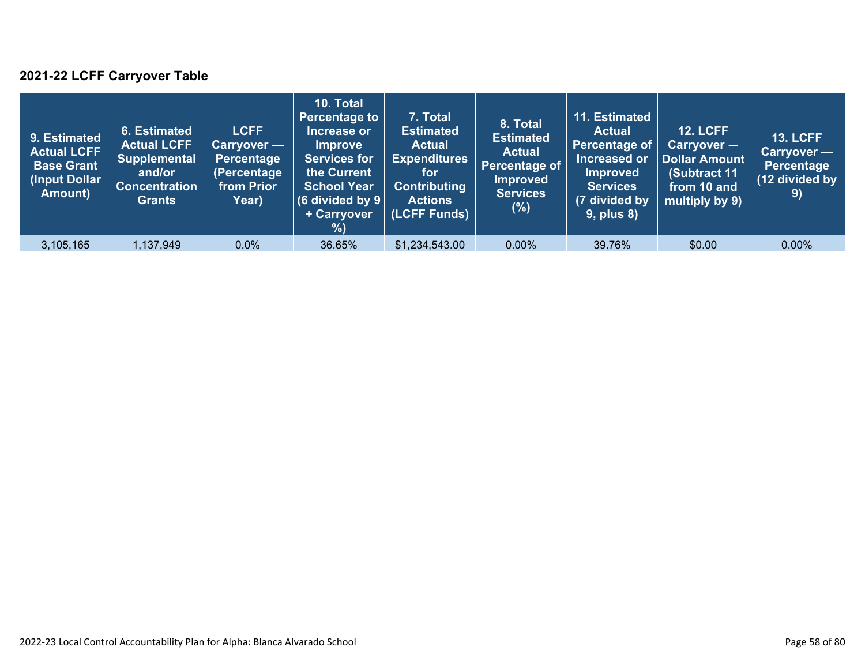### **2021-22 LCFF Carryover Table**

| 9. Estimated<br><b>Actual LCFF</b><br><b>Base Grant</b><br>(Input Dollar<br>Amount) | 6. Estimated<br><b>Actual LCFF</b><br><b>Supplemental</b><br>and/or<br><b>Concentration</b><br><b>Grants</b> | <b>LCFF</b><br>Carryover —<br>Percentage<br>(Percentage<br>from Prior<br>Year) | 10. Total<br><b>Percentage to</b><br>Increase or<br><b>Improve</b><br><b>Services for</b><br>the Current<br><b>School Year</b><br>(6 divided by $9$ $ $<br>+ Carryover<br>% | 7. Total<br><b>Estimated</b><br><b>Actual</b><br><b>Expenditures</b><br>for<br><b>Contributing</b><br><b>Actions</b><br>(LCFF Funds) | 8. Total<br><b>Estimated</b><br><b>Actual</b><br>Percentage of<br><b>Improved</b><br><b>Services</b><br>$(\%)$ | 11. Estimated<br><b>Actual</b><br>Percentage of<br>Increased or<br><b>Improved</b><br><b>Services</b><br>(7 divided by<br><b>9, plus 8)</b> | <b>12. LCFF</b><br>Carryover -<br>Dollar Amount<br>(Subtract 11<br>from 10 and<br>multiply by 9) | <b>13. LCFF</b><br>Carryover —<br>Percentage<br>(12 divided by<br>9) |
|-------------------------------------------------------------------------------------|--------------------------------------------------------------------------------------------------------------|--------------------------------------------------------------------------------|-----------------------------------------------------------------------------------------------------------------------------------------------------------------------------|--------------------------------------------------------------------------------------------------------------------------------------|----------------------------------------------------------------------------------------------------------------|---------------------------------------------------------------------------------------------------------------------------------------------|--------------------------------------------------------------------------------------------------|----------------------------------------------------------------------|
| 3,105,165                                                                           | 1,137,949                                                                                                    | 0.0%                                                                           | 36.65%                                                                                                                                                                      | \$1,234,543.00                                                                                                                       | $0.00\%$                                                                                                       | 39.76%                                                                                                                                      | \$0.00                                                                                           | $0.00\%$                                                             |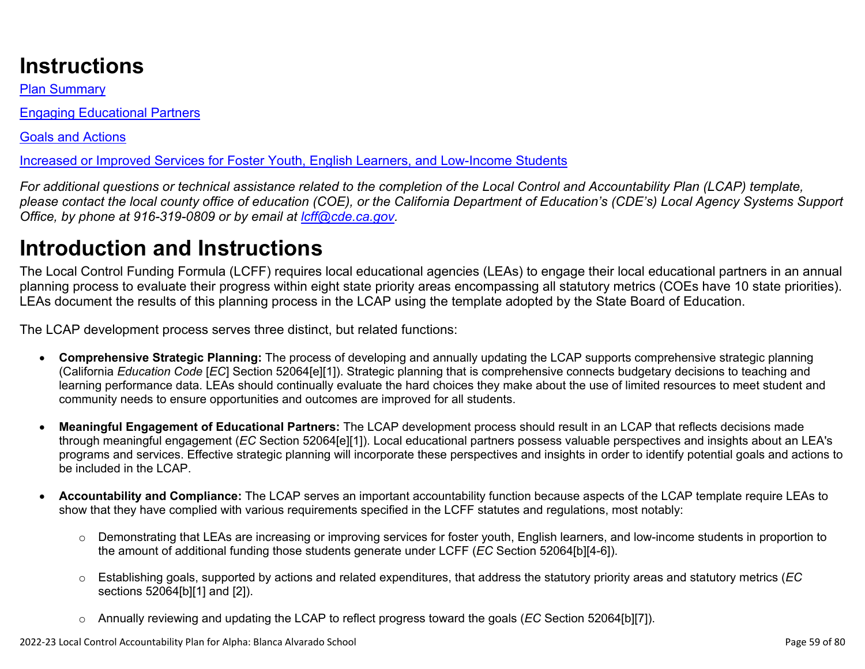# **Instructions**

Plan Summary

Engaging Educational Partners

Goals and Actions

Increased or Improved Services for Foster Youth, English Learners, and Low-Income Students

*For additional questions or technical assistance related to the completion of the Local Control and Accountability Plan (LCAP) template, please contact the local county office of education (COE), or the California Department of Education's (CDE's) Local Agency Systems Support Office, by phone at 916-319-0809 or by email at [lcff@cde.ca.gov](mailto:lcff@cde.ca.gov).*

# **Introduction and Instructions**

The Local Control Funding Formula (LCFF) requires local educational agencies (LEAs) to engage their local educational partners in an annual planning process to evaluate their progress within eight state priority areas encompassing all statutory metrics (COEs have 10 state priorities). LEAs document the results of this planning process in the LCAP using the template adopted by the State Board of Education.

The LCAP development process serves three distinct, but related functions:

- **Comprehensive Strategic Planning:** The process of developing and annually updating the LCAP supports comprehensive strategic planning (California *Education Code* [*EC*] Section 52064[e][1]). Strategic planning that is comprehensive connects budgetary decisions to teaching and learning performance data. LEAs should continually evaluate the hard choices they make about the use of limited resources to meet student and community needs to ensure opportunities and outcomes are improved for all students.
- **Meaningful Engagement of Educational Partners:** The LCAP development process should result in an LCAP that reflects decisions made through meaningful engagement (*EC* Section 52064[e][1]). Local educational partners possess valuable perspectives and insights about an LEA's programs and services. Effective strategic planning will incorporate these perspectives and insights in order to identify potential goals and actions to be included in the LCAP.
- **Accountability and Compliance:** The LCAP serves an important accountability function because aspects of the LCAP template require LEAs to show that they have complied with various requirements specified in the LCFF statutes and regulations, most notably:
	- o Demonstrating that LEAs are increasing or improving services for foster youth, English learners, and low-income students in proportion to the amount of additional funding those students generate under LCFF (*EC* Section 52064[b][4-6]).
	- o Establishing goals, supported by actions and related expenditures, that address the statutory priority areas and statutory metrics (*EC* sections 52064[b][1] and [2]).
	- o Annually reviewing and updating the LCAP to reflect progress toward the goals (*EC* Section 52064[b][7]).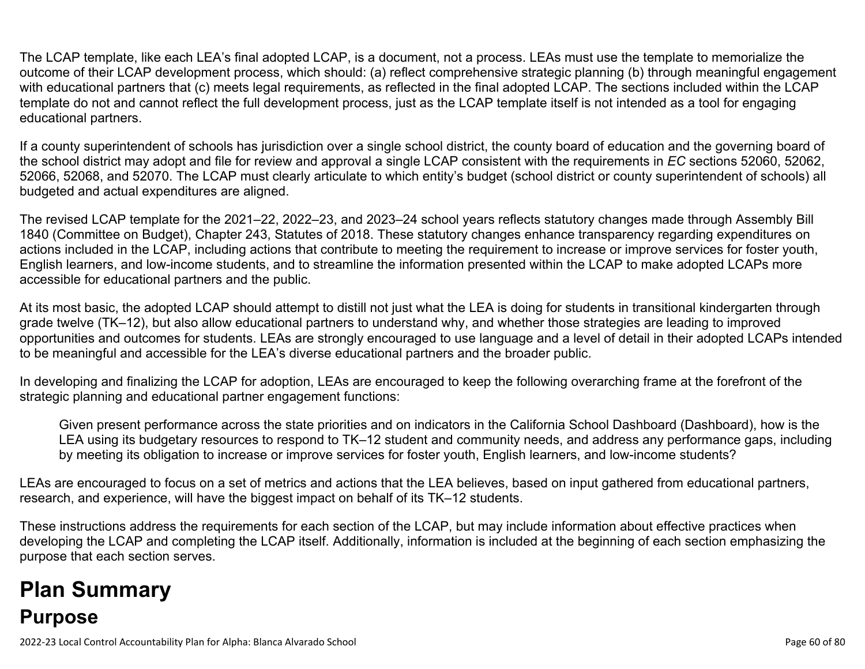The LCAP template, like each LEA's final adopted LCAP, is a document, not a process. LEAs must use the template to memorialize the outcome of their LCAP development process, which should: (a) reflect comprehensive strategic planning (b) through meaningful engagement with educational partners that (c) meets legal requirements, as reflected in the final adopted LCAP. The sections included within the LCAP template do not and cannot reflect the full development process, just as the LCAP template itself is not intended as a tool for engaging educational partners.

If a county superintendent of schools has jurisdiction over a single school district, the county board of education and the governing board of the school district may adopt and file for review and approval a single LCAP consistent with the requirements in *EC* sections 52060, 52062, 52066, 52068, and 52070. The LCAP must clearly articulate to which entity's budget (school district or county superintendent of schools) all budgeted and actual expenditures are aligned.

The revised LCAP template for the 2021–22, 2022–23, and 2023–24 school years reflects statutory changes made through Assembly Bill 1840 (Committee on Budget), Chapter 243, Statutes of 2018. These statutory changes enhance transparency regarding expenditures on actions included in the LCAP, including actions that contribute to meeting the requirement to increase or improve services for foster youth, English learners, and low-income students, and to streamline the information presented within the LCAP to make adopted LCAPs more accessible for educational partners and the public.

At its most basic, the adopted LCAP should attempt to distill not just what the LEA is doing for students in transitional kindergarten through grade twelve (TK–12), but also allow educational partners to understand why, and whether those strategies are leading to improved opportunities and outcomes for students. LEAs are strongly encouraged to use language and a level of detail in their adopted LCAPs intended to be meaningful and accessible for the LEA's diverse educational partners and the broader public.

In developing and finalizing the LCAP for adoption, LEAs are encouraged to keep the following overarching frame at the forefront of the strategic planning and educational partner engagement functions:

Given present performance across the state priorities and on indicators in the California School Dashboard (Dashboard), how is the LEA using its budgetary resources to respond to TK–12 student and community needs, and address any performance gaps, including by meeting its obligation to increase or improve services for foster youth, English learners, and low-income students?

LEAs are encouraged to focus on a set of metrics and actions that the LEA believes, based on input gathered from educational partners, research, and experience, will have the biggest impact on behalf of its TK–12 students.

These instructions address the requirements for each section of the LCAP, but may include information about effective practices when developing the LCAP and completing the LCAP itself. Additionally, information is included at the beginning of each section emphasizing the purpose that each section serves.

# **Plan Summary Purpose**

2022-23 Local Control Accountability Plan for Alpha: Blanca Alvarado School Page 60 of 80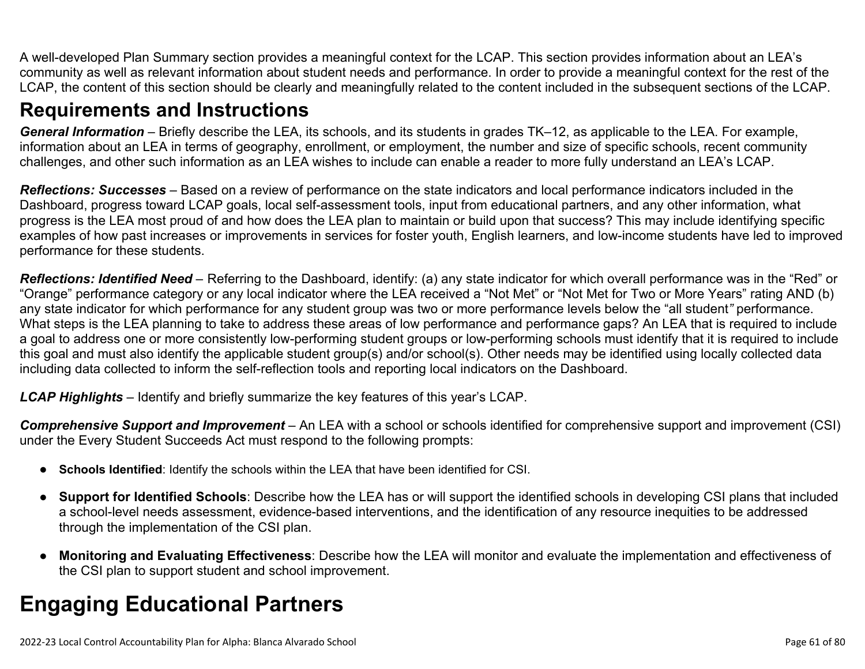A well-developed Plan Summary section provides a meaningful context for the LCAP. This section provides information about an LEA's community as well as relevant information about student needs and performance. In order to provide a meaningful context for the rest of the LCAP, the content of this section should be clearly and meaningfully related to the content included in the subsequent sections of the LCAP.

### **Requirements and Instructions**

*General Information* – Briefly describe the LEA, its schools, and its students in grades TK–12, as applicable to the LEA. For example, information about an LEA in terms of geography, enrollment, or employment, the number and size of specific schools, recent community challenges, and other such information as an LEA wishes to include can enable a reader to more fully understand an LEA's LCAP.

*Reflections: Successes* – Based on a review of performance on the state indicators and local performance indicators included in the Dashboard, progress toward LCAP goals, local self-assessment tools, input from educational partners, and any other information, what progress is the LEA most proud of and how does the LEA plan to maintain or build upon that success? This may include identifying specific examples of how past increases or improvements in services for foster youth, English learners, and low-income students have led to improved performance for these students.

*Reflections: Identified Need* – Referring to the Dashboard, identify: (a) any state indicator for which overall performance was in the "Red" or "Orange" performance category or any local indicator where the LEA received a "Not Met" or "Not Met for Two or More Years" rating AND (b) any state indicator for which performance for any student group was two or more performance levels below the "all student*"* performance. What steps is the LEA planning to take to address these areas of low performance and performance gaps? An LEA that is required to include a goal to address one or more consistently low-performing student groups or low-performing schools must identify that it is required to include this goal and must also identify the applicable student group(s) and/or school(s). Other needs may be identified using locally collected data including data collected to inform the self-reflection tools and reporting local indicators on the Dashboard.

*LCAP Highlights* – Identify and briefly summarize the key features of this year's LCAP.

*Comprehensive Support and Improvement* – An LEA with a school or schools identified for comprehensive support and improvement (CSI) under the Every Student Succeeds Act must respond to the following prompts:

- **Schools Identified**: Identify the schools within the LEA that have been identified for CSI.
- **Support for Identified Schools**: Describe how the LEA has or will support the identified schools in developing CSI plans that included a school-level needs assessment, evidence-based interventions, and the identification of any resource inequities to be addressed through the implementation of the CSI plan.
- **Monitoring and Evaluating Effectiveness**: Describe how the LEA will monitor and evaluate the implementation and effectiveness of the CSI plan to support student and school improvement.

# **Engaging Educational Partners**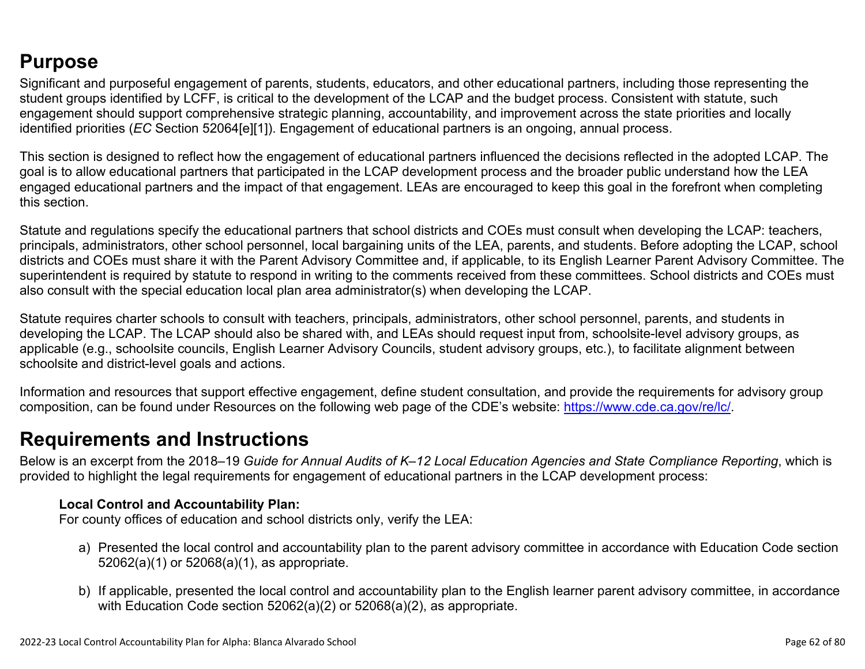### **Purpose**

Significant and purposeful engagement of parents, students, educators, and other educational partners, including those representing the student groups identified by LCFF, is critical to the development of the LCAP and the budget process. Consistent with statute, such engagement should support comprehensive strategic planning, accountability, and improvement across the state priorities and locally identified priorities (*EC* Section 52064[e][1]). Engagement of educational partners is an ongoing, annual process.

This section is designed to reflect how the engagement of educational partners influenced the decisions reflected in the adopted LCAP. The goal is to allow educational partners that participated in the LCAP development process and the broader public understand how the LEA engaged educational partners and the impact of that engagement. LEAs are encouraged to keep this goal in the forefront when completing this section.

Statute and regulations specify the educational partners that school districts and COEs must consult when developing the LCAP: teachers, principals, administrators, other school personnel, local bargaining units of the LEA, parents, and students. Before adopting the LCAP, school districts and COEs must share it with the Parent Advisory Committee and, if applicable, to its English Learner Parent Advisory Committee. The superintendent is required by statute to respond in writing to the comments received from these committees. School districts and COEs must also consult with the special education local plan area administrator(s) when developing the LCAP.

Statute requires charter schools to consult with teachers, principals, administrators, other school personnel, parents, and students in developing the LCAP. The LCAP should also be shared with, and LEAs should request input from, schoolsite-level advisory groups, as applicable (e.g., schoolsite councils, English Learner Advisory Councils, student advisory groups, etc.), to facilitate alignment between schoolsite and district-level goals and actions.

Information and resources that support effective engagement, define student consultation, and provide the requirements for advisory group composition, can be found under Resources on the following web page of the CDE's website: <https://www.cde.ca.gov/re/lc/>.

### **Requirements and Instructions**

Below is an excerpt from the 2018–19 *Guide for Annual Audits of K–12 Local Education Agencies and State Compliance Reporting*, which is provided to highlight the legal requirements for engagement of educational partners in the LCAP development process:

#### **Local Control and Accountability Plan:**

For county offices of education and school districts only, verify the LEA:

- a) Presented the local control and accountability plan to the parent advisory committee in accordance with Education Code section 52062(a)(1) or 52068(a)(1), as appropriate.
- b) If applicable, presented the local control and accountability plan to the English learner parent advisory committee, in accordance with Education Code section 52062(a)(2) or 52068(a)(2), as appropriate.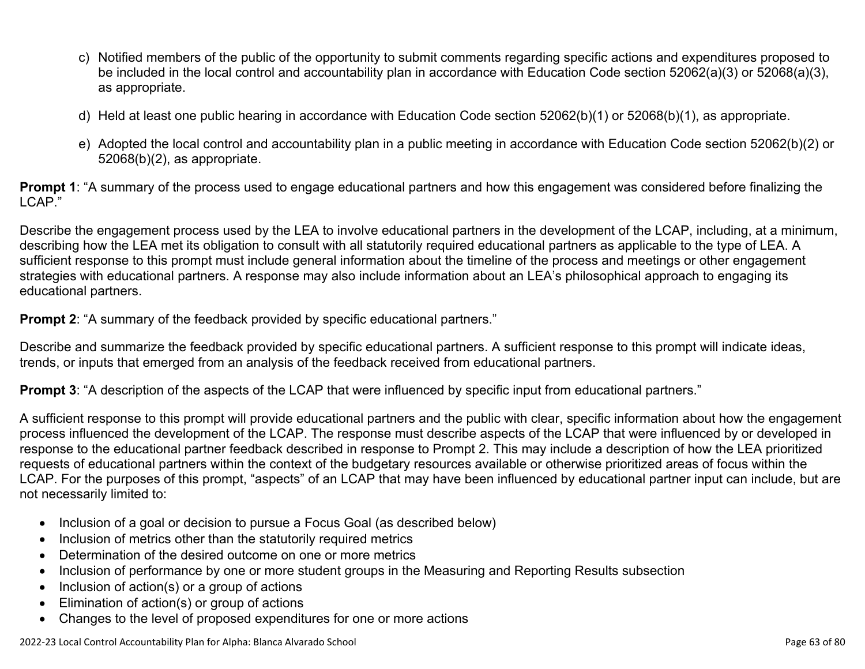- c) Notified members of the public of the opportunity to submit comments regarding specific actions and expenditures proposed to be included in the local control and accountability plan in accordance with Education Code section 52062(a)(3) or 52068(a)(3), as appropriate.
- d) Held at least one public hearing in accordance with Education Code section 52062(b)(1) or 52068(b)(1), as appropriate.
- e) Adopted the local control and accountability plan in a public meeting in accordance with Education Code section 52062(b)(2) or 52068(b)(2), as appropriate.

**Prompt 1**: "A summary of the process used to engage educational partners and how this engagement was considered before finalizing the LCAP."

Describe the engagement process used by the LEA to involve educational partners in the development of the LCAP, including, at a minimum, describing how the LEA met its obligation to consult with all statutorily required educational partners as applicable to the type of LEA. A sufficient response to this prompt must include general information about the timeline of the process and meetings or other engagement strategies with educational partners. A response may also include information about an LEA's philosophical approach to engaging its educational partners.

**Prompt 2:** "A summary of the feedback provided by specific educational partners."

Describe and summarize the feedback provided by specific educational partners. A sufficient response to this prompt will indicate ideas, trends, or inputs that emerged from an analysis of the feedback received from educational partners.

**Prompt 3**: "A description of the aspects of the LCAP that were influenced by specific input from educational partners."

A sufficient response to this prompt will provide educational partners and the public with clear, specific information about how the engagement process influenced the development of the LCAP. The response must describe aspects of the LCAP that were influenced by or developed in response to the educational partner feedback described in response to Prompt 2. This may include a description of how the LEA prioritized requests of educational partners within the context of the budgetary resources available or otherwise prioritized areas of focus within the LCAP. For the purposes of this prompt, "aspects" of an LCAP that may have been influenced by educational partner input can include, but are not necessarily limited to:

- Inclusion of a goal or decision to pursue a Focus Goal (as described below)
- Inclusion of metrics other than the statutorily required metrics
- Determination of the desired outcome on one or more metrics
- Inclusion of performance by one or more student groups in the Measuring and Reporting Results subsection
- Inclusion of action(s) or a group of actions
- Elimination of action(s) or group of actions
- Changes to the level of proposed expenditures for one or more actions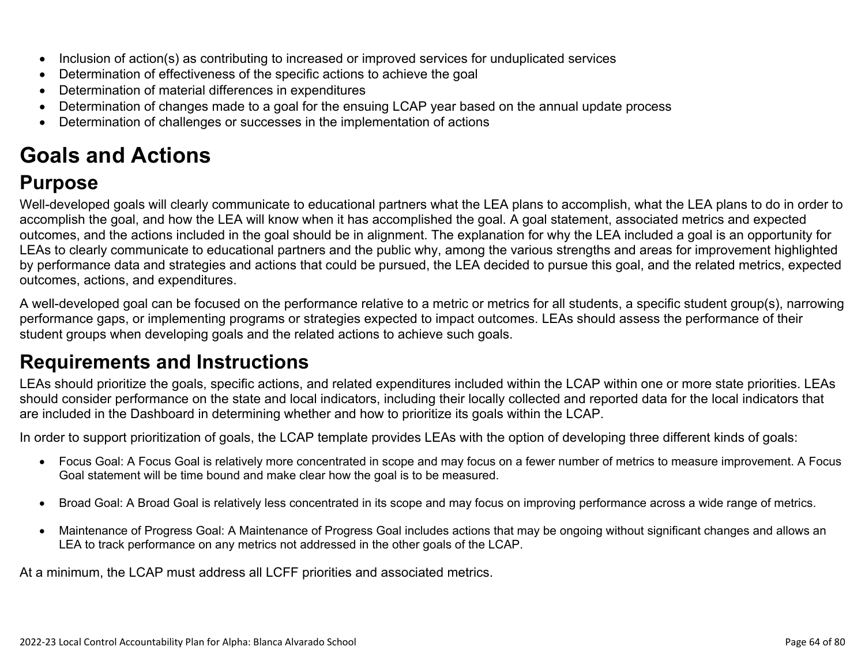- Inclusion of action(s) as contributing to increased or improved services for unduplicated services
- Determination of effectiveness of the specific actions to achieve the goal
- Determination of material differences in expenditures
- Determination of changes made to a goal for the ensuing LCAP year based on the annual update process
- Determination of challenges or successes in the implementation of actions

# **Goals and Actions**

## **Purpose**

Well-developed goals will clearly communicate to educational partners what the LEA plans to accomplish, what the LEA plans to do in order to accomplish the goal, and how the LEA will know when it has accomplished the goal. A goal statement, associated metrics and expected outcomes, and the actions included in the goal should be in alignment. The explanation for why the LEA included a goal is an opportunity for LEAs to clearly communicate to educational partners and the public why, among the various strengths and areas for improvement highlighted by performance data and strategies and actions that could be pursued, the LEA decided to pursue this goal, and the related metrics, expected outcomes, actions, and expenditures.

A well-developed goal can be focused on the performance relative to a metric or metrics for all students, a specific student group(s), narrowing performance gaps, or implementing programs or strategies expected to impact outcomes. LEAs should assess the performance of their student groups when developing goals and the related actions to achieve such goals.

## **Requirements and Instructions**

LEAs should prioritize the goals, specific actions, and related expenditures included within the LCAP within one or more state priorities. LEAs should consider performance on the state and local indicators, including their locally collected and reported data for the local indicators that are included in the Dashboard in determining whether and how to prioritize its goals within the LCAP.

In order to support prioritization of goals, the LCAP template provides LEAs with the option of developing three different kinds of goals:

- Focus Goal: A Focus Goal is relatively more concentrated in scope and may focus on a fewer number of metrics to measure improvement. A Focus Goal statement will be time bound and make clear how the goal is to be measured.
- Broad Goal: A Broad Goal is relatively less concentrated in its scope and may focus on improving performance across a wide range of metrics.
- Maintenance of Progress Goal: A Maintenance of Progress Goal includes actions that may be ongoing without significant changes and allows an LEA to track performance on any metrics not addressed in the other goals of the LCAP.

At a minimum, the LCAP must address all LCFF priorities and associated metrics.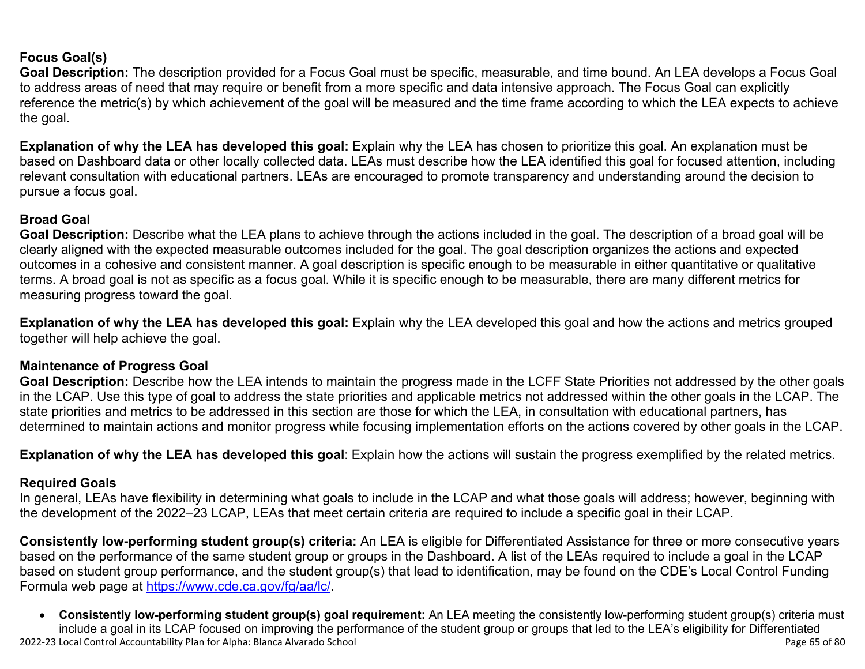#### **Focus Goal(s)**

**Goal Description:** The description provided for a Focus Goal must be specific, measurable, and time bound. An LEA develops a Focus Goal to address areas of need that may require or benefit from a more specific and data intensive approach. The Focus Goal can explicitly reference the metric(s) by which achievement of the goal will be measured and the time frame according to which the LEA expects to achieve the goal.

**Explanation of why the LEA has developed this goal:** Explain why the LEA has chosen to prioritize this goal. An explanation must be based on Dashboard data or other locally collected data. LEAs must describe how the LEA identified this goal for focused attention, including relevant consultation with educational partners. LEAs are encouraged to promote transparency and understanding around the decision to pursue a focus goal.

#### **Broad Goal**

Goal Description: Describe what the LEA plans to achieve through the actions included in the goal. The description of a broad goal will be clearly aligned with the expected measurable outcomes included for the goal. The goal description organizes the actions and expected outcomes in a cohesive and consistent manner. A goal description is specific enough to be measurable in either quantitative or qualitative terms. A broad goal is not as specific as a focus goal. While it is specific enough to be measurable, there are many different metrics for measuring progress toward the goal.

**Explanation of why the LEA has developed this goal:** Explain why the LEA developed this goal and how the actions and metrics grouped together will help achieve the goal.

#### **Maintenance of Progress Goal**

**Goal Description:** Describe how the LEA intends to maintain the progress made in the LCFF State Priorities not addressed by the other goals in the LCAP. Use this type of goal to address the state priorities and applicable metrics not addressed within the other goals in the LCAP. The state priorities and metrics to be addressed in this section are those for which the LEA, in consultation with educational partners, has determined to maintain actions and monitor progress while focusing implementation efforts on the actions covered by other goals in the LCAP.

**Explanation of why the LEA has developed this goal**: Explain how the actions will sustain the progress exemplified by the related metrics.

#### **Required Goals**

In general, LEAs have flexibility in determining what goals to include in the LCAP and what those goals will address; however, beginning with the development of the 2022–23 LCAP, LEAs that meet certain criteria are required to include a specific goal in their LCAP.

**Consistently low-performing student group(s) criteria:** An LEA is eligible for Differentiated Assistance for three or more consecutive years based on the performance of the same student group or groups in the Dashboard. A list of the LEAs required to include a goal in the LCAP based on student group performance, and the student group(s) that lead to identification, may be found on the CDE's Local Control Funding Formula web page at [https://www.cde.ca.gov/fg/aa/lc/.](https://www.cde.ca.gov/fg/aa/lc/)

2022-23 Local Control Accountability Plan for Alpha: Blanca Alvarado School Page 65 of 80 • **Consistently low-performing student group(s) goal requirement:** An LEA meeting the consistently low-performing student group(s) criteria must include a goal in its LCAP focused on improving the performance of the student group or groups that led to the LEA's eligibility for Differentiated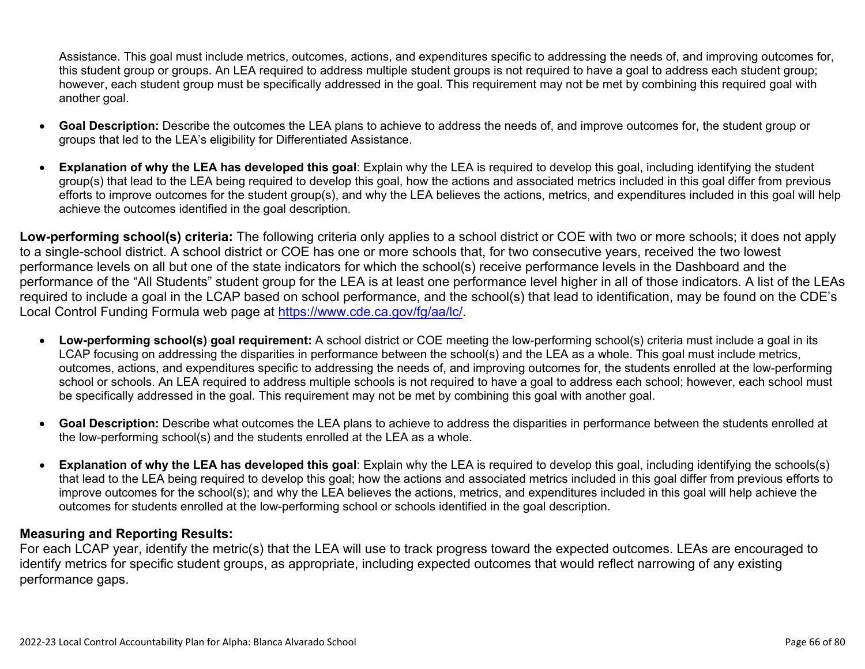Assistance. This goal must include metrics, outcomes, actions, and expenditures specific to addressing the needs of, and improving outcomes for, this student group or groups. An LEA required to address multiple student groups is not required to have a goal to address each student group; however, each student group must be specifically addressed in the goal. This requirement may not be met by combining this required goal with another goal.

- **Goal Description:** Describe the outcomes the LEA plans to achieve to address the needs of, and improve outcomes for, the student group or groups that led to the LEA's eligibility for Differentiated Assistance.
- **Explanation of why the LEA has developed this goal**: Explain why the LEA is required to develop this goal, including identifying the student group(s) that lead to the LEA being required to develop this goal, how the actions and associated metrics included in this goal differ from previous efforts to improve outcomes for the student group(s), and why the LEA believes the actions, metrics, and expenditures included in this goal will help achieve the outcomes identified in the goal description.

**Low-performing school(s) criteria:** The following criteria only applies to a school district or COE with two or more schools; it does not apply to a single-school district. A school district or COE has one or more schools that, for two consecutive years, received the two lowest performance levels on all but one of the state indicators for which the school(s) receive performance levels in the Dashboard and the performance of the "All Students" student group for the LEA is at least one performance level higher in all of those indicators. A list of the LEAs required to include a goal in the LCAP based on school performance, and the school(s) that lead to identification, may be found on the CDE's Local Control Funding Formula web page at [https://www.cde.ca.gov/fg/aa/lc/.](https://www.cde.ca.gov/fg/aa/lc/)

- **Low-performing school(s) goal requirement:** A school district or COE meeting the low-performing school(s) criteria must include a goal in its LCAP focusing on addressing the disparities in performance between the school(s) and the LEA as a whole. This goal must include metrics, outcomes, actions, and expenditures specific to addressing the needs of, and improving outcomes for, the students enrolled at the low-performing school or schools. An LEA required to address multiple schools is not required to have a goal to address each school; however, each school must be specifically addressed in the goal. This requirement may not be met by combining this goal with another goal.
- **Goal Description:** Describe what outcomes the LEA plans to achieve to address the disparities in performance between the students enrolled at the low-performing school(s) and the students enrolled at the LEA as a whole.
- **Explanation of why the LEA has developed this goal**: Explain why the LEA is required to develop this goal, including identifying the schools(s) that lead to the LEA being required to develop this goal; how the actions and associated metrics included in this goal differ from previous efforts to improve outcomes for the school(s); and why the LEA believes the actions, metrics, and expenditures included in this goal will help achieve the outcomes for students enrolled at the low-performing school or schools identified in the goal description.

#### **Measuring and Reporting Results:**

For each LCAP year, identify the metric(s) that the LEA will use to track progress toward the expected outcomes. LEAs are encouraged to identify metrics for specific student groups, as appropriate, including expected outcomes that would reflect narrowing of any existing performance gaps.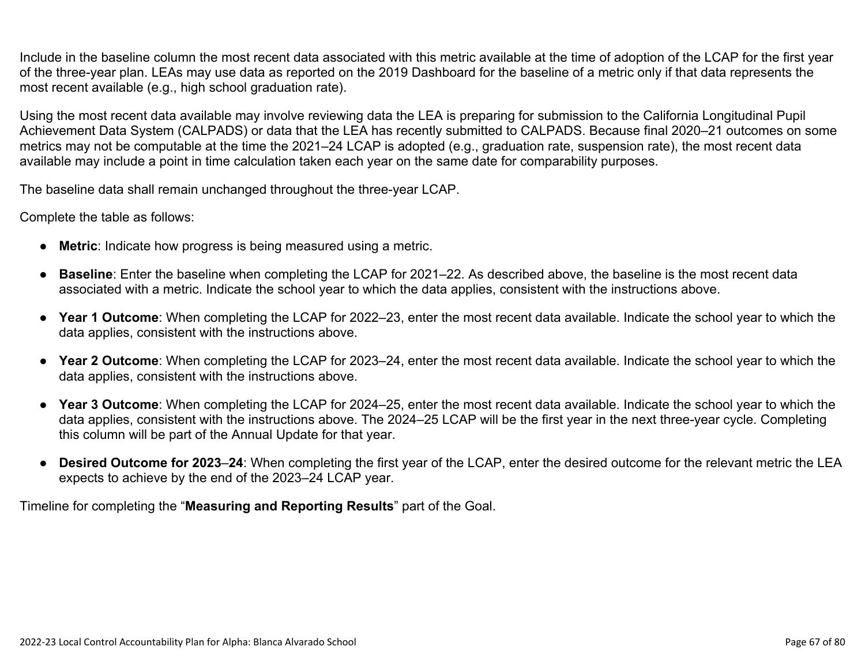Include in the baseline column the most recent data associated with this metric available at the time of adoption of the LCAP for the first year of the three-year plan. LEAs may use data as reported on the 2019 Dashboard for the baseline of a metric only if that data represents the most recent available (e.g., high school graduation rate).

Using the most recent data available may involve reviewing data the LEA is preparing for submission to the California Longitudinal Pupil Achievement Data System (CALPADS) or data that the LEA has recently submitted to CALPADS. Because final 2020–21 outcomes on some metrics may not be computable at the time the 2021–24 LCAP is adopted (e.g., graduation rate, suspension rate), the most recent data available may include a point in time calculation taken each year on the same date for comparability purposes.

The baseline data shall remain unchanged throughout the three-year LCAP.

Complete the table as follows:

- **Metric**: Indicate how progress is being measured using a metric.
- **Baseline**: Enter the baseline when completing the LCAP for 2021–22. As described above, the baseline is the most recent data associated with a metric. Indicate the school year to which the data applies, consistent with the instructions above.
- **Year 1 Outcome**: When completing the LCAP for 2022–23, enter the most recent data available. Indicate the school year to which the data applies, consistent with the instructions above.
- **Year 2 Outcome**: When completing the LCAP for 2023–24, enter the most recent data available. Indicate the school year to which the data applies, consistent with the instructions above.
- **Year 3 Outcome**: When completing the LCAP for 2024–25, enter the most recent data available. Indicate the school year to which the data applies, consistent with the instructions above. The 2024–25 LCAP will be the first year in the next three-year cycle. Completing this column will be part of the Annual Update for that year.
- **Desired Outcome for 2023**–**24**: When completing the first year of the LCAP, enter the desired outcome for the relevant metric the LEA expects to achieve by the end of the 2023–24 LCAP year.

Timeline for completing the "**Measuring and Reporting Results**" part of the Goal.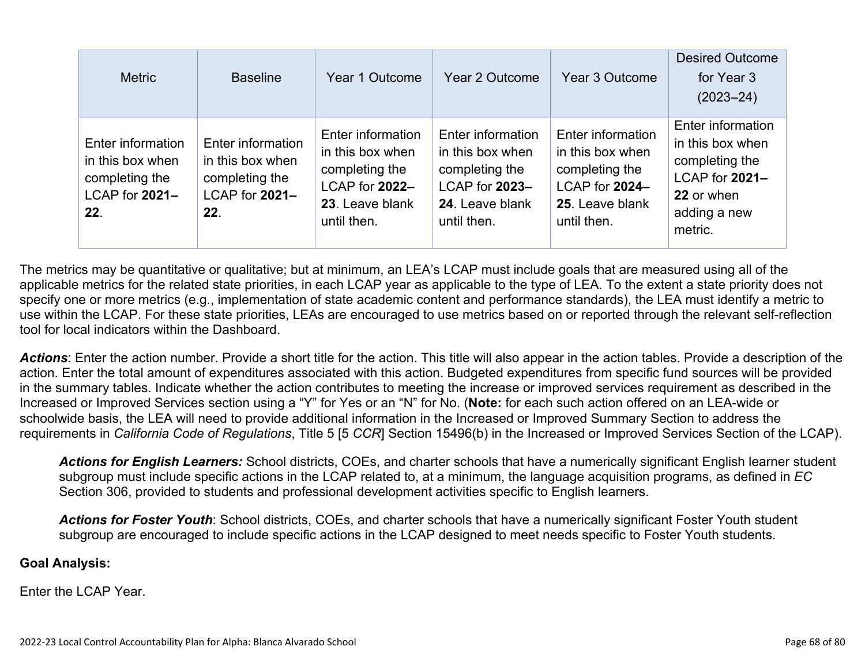| <b>Metric</b>                                                                    | <b>Baseline</b>                                                                  | Year 1 Outcome                                                                                              | Year 2 Outcome                                                                                              | Year 3 Outcome                                                                                              | <b>Desired Outcome</b><br>for Year 3<br>$(2023 - 24)$                                                              |
|----------------------------------------------------------------------------------|----------------------------------------------------------------------------------|-------------------------------------------------------------------------------------------------------------|-------------------------------------------------------------------------------------------------------------|-------------------------------------------------------------------------------------------------------------|--------------------------------------------------------------------------------------------------------------------|
| Enter information<br>in this box when<br>completing the<br>LCAP for 2021-<br>22. | Enter information<br>in this box when<br>completing the<br>LCAP for 2021-<br>22. | Enter information<br>in this box when<br>completing the<br>LCAP for 2022-<br>23. Leave blank<br>until then. | Enter information<br>in this box when<br>completing the<br>LCAP for 2023-<br>24. Leave blank<br>until then. | Enter information<br>in this box when<br>completing the<br>LCAP for 2024-<br>25. Leave blank<br>until then. | Enter information<br>in this box when<br>completing the<br>LCAP for 2021-<br>22 or when<br>adding a new<br>metric. |

The metrics may be quantitative or qualitative; but at minimum, an LEA's LCAP must include goals that are measured using all of the applicable metrics for the related state priorities, in each LCAP year as applicable to the type of LEA. To the extent a state priority does not specify one or more metrics (e.g., implementation of state academic content and performance standards), the LEA must identify a metric to use within the LCAP. For these state priorities, LEAs are encouraged to use metrics based on or reported through the relevant self-reflection tool for local indicators within the Dashboard.

*Actions*: Enter the action number. Provide a short title for the action. This title will also appear in the action tables. Provide a description of the action. Enter the total amount of expenditures associated with this action. Budgeted expenditures from specific fund sources will be provided in the summary tables. Indicate whether the action contributes to meeting the increase or improved services requirement as described in the Increased or Improved Services section using a "Y" for Yes or an "N" for No. (**Note:** for each such action offered on an LEA-wide or schoolwide basis, the LEA will need to provide additional information in the Increased or Improved Summary Section to address the requirements in *California Code of Regulations*, Title 5 [5 *CCR*] Section 15496(b) in the Increased or Improved Services Section of the LCAP).

*Actions for English Learners:* School districts, COEs, and charter schools that have a numerically significant English learner student subgroup must include specific actions in the LCAP related to, at a minimum, the language acquisition programs, as defined in *EC* Section 306, provided to students and professional development activities specific to English learners.

*Actions for Foster Youth*: School districts, COEs, and charter schools that have a numerically significant Foster Youth student subgroup are encouraged to include specific actions in the LCAP designed to meet needs specific to Foster Youth students.

#### **Goal Analysis:**

Enter the LCAP Year.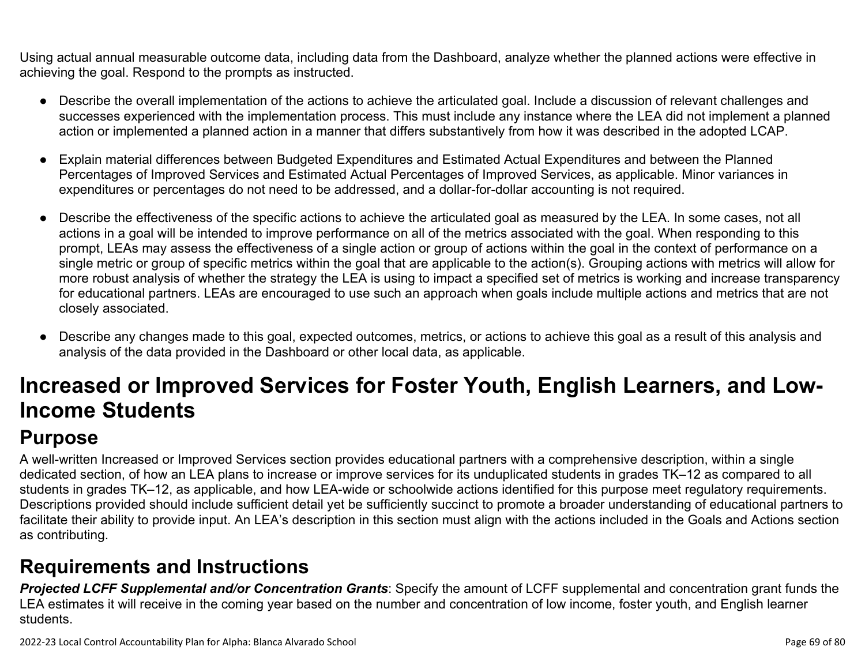Using actual annual measurable outcome data, including data from the Dashboard, analyze whether the planned actions were effective in achieving the goal. Respond to the prompts as instructed.

- Describe the overall implementation of the actions to achieve the articulated goal. Include a discussion of relevant challenges and successes experienced with the implementation process. This must include any instance where the LEA did not implement a planned action or implemented a planned action in a manner that differs substantively from how it was described in the adopted LCAP.
- Explain material differences between Budgeted Expenditures and Estimated Actual Expenditures and between the Planned Percentages of Improved Services and Estimated Actual Percentages of Improved Services, as applicable. Minor variances in expenditures or percentages do not need to be addressed, and a dollar-for-dollar accounting is not required.
- Describe the effectiveness of the specific actions to achieve the articulated goal as measured by the LEA. In some cases, not all actions in a goal will be intended to improve performance on all of the metrics associated with the goal. When responding to this prompt, LEAs may assess the effectiveness of a single action or group of actions within the goal in the context of performance on a single metric or group of specific metrics within the goal that are applicable to the action(s). Grouping actions with metrics will allow for more robust analysis of whether the strategy the LEA is using to impact a specified set of metrics is working and increase transparency for educational partners. LEAs are encouraged to use such an approach when goals include multiple actions and metrics that are not closely associated.
- Describe any changes made to this goal, expected outcomes, metrics, or actions to achieve this goal as a result of this analysis and analysis of the data provided in the Dashboard or other local data, as applicable.

# **Increased or Improved Services for Foster Youth, English Learners, and Low-Income Students**

## **Purpose**

A well-written Increased or Improved Services section provides educational partners with a comprehensive description, within a single dedicated section, of how an LEA plans to increase or improve services for its unduplicated students in grades TK–12 as compared to all students in grades TK–12, as applicable, and how LEA-wide or schoolwide actions identified for this purpose meet regulatory requirements. Descriptions provided should include sufficient detail yet be sufficiently succinct to promote a broader understanding of educational partners to facilitate their ability to provide input. An LEA's description in this section must align with the actions included in the Goals and Actions section as contributing.

## **Requirements and Instructions**

*Projected LCFF Supplemental and/or Concentration Grants*: Specify the amount of LCFF supplemental and concentration grant funds the LEA estimates it will receive in the coming year based on the number and concentration of low income, foster youth, and English learner students.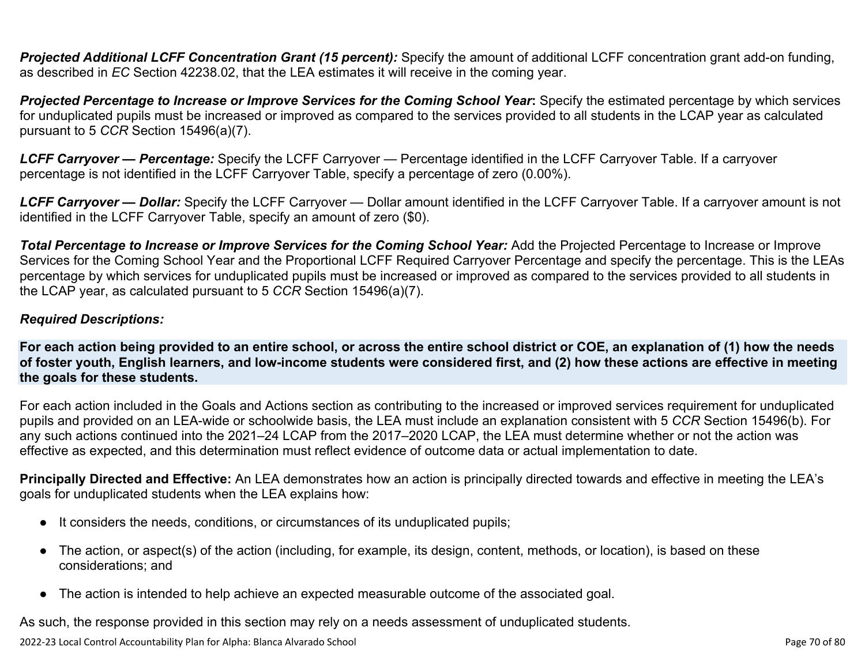**Projected Additional LCFF Concentration Grant (15 percent):** Specify the amount of additional LCFF concentration grant add-on funding, as described in *EC* Section 42238.02, that the LEA estimates it will receive in the coming year.

*Projected Percentage to Increase or Improve Services for the Coming School Year***:** Specify the estimated percentage by which services for unduplicated pupils must be increased or improved as compared to the services provided to all students in the LCAP year as calculated pursuant to 5 *CCR* Section 15496(a)(7).

*LCFF Carryover — Percentage:* Specify the LCFF Carryover — Percentage identified in the LCFF Carryover Table. If a carryover percentage is not identified in the LCFF Carryover Table, specify a percentage of zero (0.00%).

*LCFF Carryover — Dollar:* Specify the LCFF Carryover — Dollar amount identified in the LCFF Carryover Table. If a carryover amount is not identified in the LCFF Carryover Table, specify an amount of zero (\$0).

**Total Percentage to Increase or Improve Services for the Coming School Year:** Add the Projected Percentage to Increase or Improve Services for the Coming School Year and the Proportional LCFF Required Carryover Percentage and specify the percentage. This is the LEAs percentage by which services for unduplicated pupils must be increased or improved as compared to the services provided to all students in the LCAP year, as calculated pursuant to 5 *CCR* Section 15496(a)(7).

#### *Required Descriptions:*

**For each action being provided to an entire school, or across the entire school district or COE, an explanation of (1) how the needs of foster youth, English learners, and low-income students were considered first, and (2) how these actions are effective in meeting the goals for these students.**

For each action included in the Goals and Actions section as contributing to the increased or improved services requirement for unduplicated pupils and provided on an LEA-wide or schoolwide basis, the LEA must include an explanation consistent with 5 *CCR* Section 15496(b). For any such actions continued into the 2021–24 LCAP from the 2017–2020 LCAP, the LEA must determine whether or not the action was effective as expected, and this determination must reflect evidence of outcome data or actual implementation to date.

**Principally Directed and Effective:** An LEA demonstrates how an action is principally directed towards and effective in meeting the LEA's goals for unduplicated students when the LEA explains how:

- It considers the needs, conditions, or circumstances of its unduplicated pupils;
- The action, or aspect(s) of the action (including, for example, its design, content, methods, or location), is based on these considerations; and
- The action is intended to help achieve an expected measurable outcome of the associated goal.

As such, the response provided in this section may rely on a needs assessment of unduplicated students.

2022-23 Local Control Accountability Plan for Alpha: Blanca Alvarado School Page 70 of 80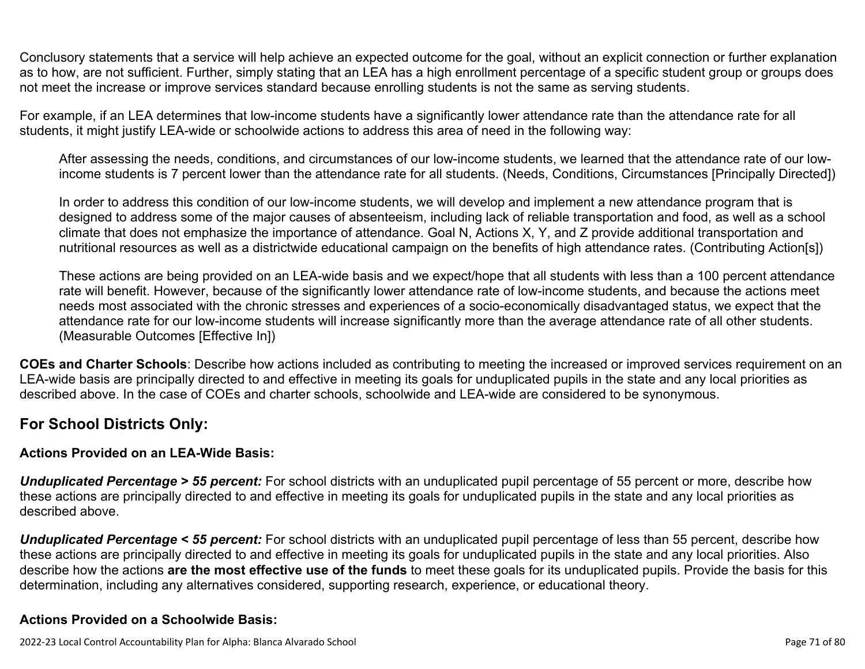Conclusory statements that a service will help achieve an expected outcome for the goal, without an explicit connection or further explanation as to how, are not sufficient. Further, simply stating that an LEA has a high enrollment percentage of a specific student group or groups does not meet the increase or improve services standard because enrolling students is not the same as serving students.

For example, if an LEA determines that low-income students have a significantly lower attendance rate than the attendance rate for all students, it might justify LEA-wide or schoolwide actions to address this area of need in the following way:

After assessing the needs, conditions, and circumstances of our low-income students, we learned that the attendance rate of our lowincome students is 7 percent lower than the attendance rate for all students. (Needs, Conditions, Circumstances [Principally Directed])

In order to address this condition of our low-income students, we will develop and implement a new attendance program that is designed to address some of the major causes of absenteeism, including lack of reliable transportation and food, as well as a school climate that does not emphasize the importance of attendance. Goal N, Actions X, Y, and Z provide additional transportation and nutritional resources as well as a districtwide educational campaign on the benefits of high attendance rates. (Contributing Action[s])

These actions are being provided on an LEA-wide basis and we expect/hope that all students with less than a 100 percent attendance rate will benefit. However, because of the significantly lower attendance rate of low-income students, and because the actions meet needs most associated with the chronic stresses and experiences of a socio-economically disadvantaged status, we expect that the attendance rate for our low-income students will increase significantly more than the average attendance rate of all other students. (Measurable Outcomes [Effective In])

**COEs and Charter Schools**: Describe how actions included as contributing to meeting the increased or improved services requirement on an LEA-wide basis are principally directed to and effective in meeting its goals for unduplicated pupils in the state and any local priorities as described above. In the case of COEs and charter schools, schoolwide and LEA-wide are considered to be synonymous.

#### **For School Districts Only:**

#### **Actions Provided on an LEA-Wide Basis:**

*Unduplicated Percentage > 55 percent:* For school districts with an unduplicated pupil percentage of 55 percent or more, describe how these actions are principally directed to and effective in meeting its goals for unduplicated pupils in the state and any local priorities as described above.

*Unduplicated Percentage < 55 percent:* For school districts with an unduplicated pupil percentage of less than 55 percent, describe how these actions are principally directed to and effective in meeting its goals for unduplicated pupils in the state and any local priorities. Also describe how the actions **are the most effective use of the funds** to meet these goals for its unduplicated pupils. Provide the basis for this determination, including any alternatives considered, supporting research, experience, or educational theory.

#### **Actions Provided on a Schoolwide Basis:**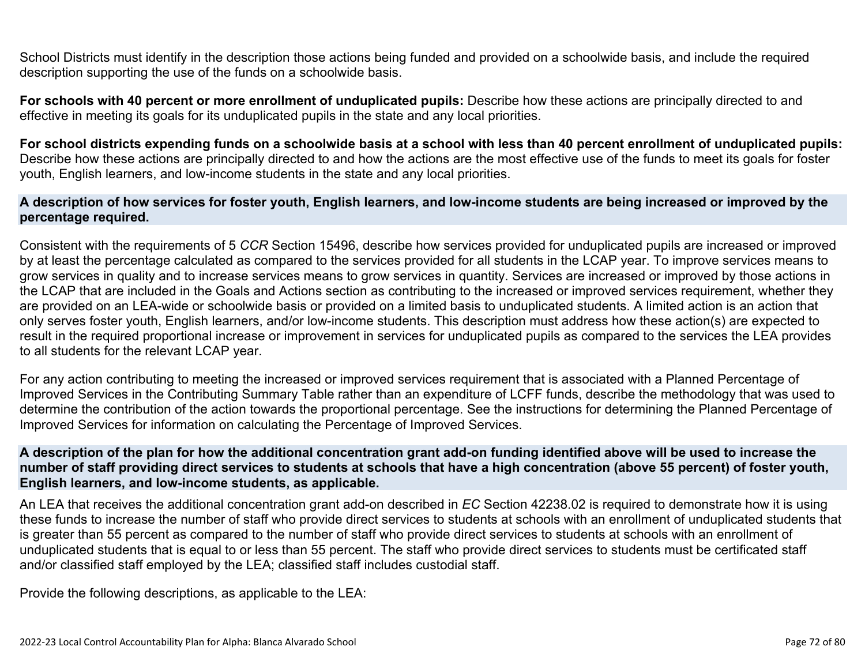School Districts must identify in the description those actions being funded and provided on a schoolwide basis, and include the required description supporting the use of the funds on a schoolwide basis.

**For schools with 40 percent or more enrollment of unduplicated pupils:** Describe how these actions are principally directed to and effective in meeting its goals for its unduplicated pupils in the state and any local priorities.

**For school districts expending funds on a schoolwide basis at a school with less than 40 percent enrollment of unduplicated pupils:** Describe how these actions are principally directed to and how the actions are the most effective use of the funds to meet its goals for foster youth, English learners, and low-income students in the state and any local priorities.

#### **A description of how services for foster youth, English learners, and low-income students are being increased or improved by the percentage required.**

Consistent with the requirements of 5 *CCR* Section 15496, describe how services provided for unduplicated pupils are increased or improved by at least the percentage calculated as compared to the services provided for all students in the LCAP year. To improve services means to grow services in quality and to increase services means to grow services in quantity. Services are increased or improved by those actions in the LCAP that are included in the Goals and Actions section as contributing to the increased or improved services requirement, whether they are provided on an LEA-wide or schoolwide basis or provided on a limited basis to unduplicated students. A limited action is an action that only serves foster youth, English learners, and/or low-income students. This description must address how these action(s) are expected to result in the required proportional increase or improvement in services for unduplicated pupils as compared to the services the LEA provides to all students for the relevant LCAP year.

For any action contributing to meeting the increased or improved services requirement that is associated with a Planned Percentage of Improved Services in the Contributing Summary Table rather than an expenditure of LCFF funds, describe the methodology that was used to determine the contribution of the action towards the proportional percentage. See the instructions for determining the Planned Percentage of Improved Services for information on calculating the Percentage of Improved Services.

#### **A description of the plan for how the additional concentration grant add-on funding identified above will be used to increase the number of staff providing direct services to students at schools that have a high concentration (above 55 percent) of foster youth, English learners, and low-income students, as applicable.**

An LEA that receives the additional concentration grant add-on described in *EC* Section 42238.02 is required to demonstrate how it is using these funds to increase the number of staff who provide direct services to students at schools with an enrollment of unduplicated students that is greater than 55 percent as compared to the number of staff who provide direct services to students at schools with an enrollment of unduplicated students that is equal to or less than 55 percent. The staff who provide direct services to students must be certificated staff and/or classified staff employed by the LEA; classified staff includes custodial staff.

Provide the following descriptions, as applicable to the LEA: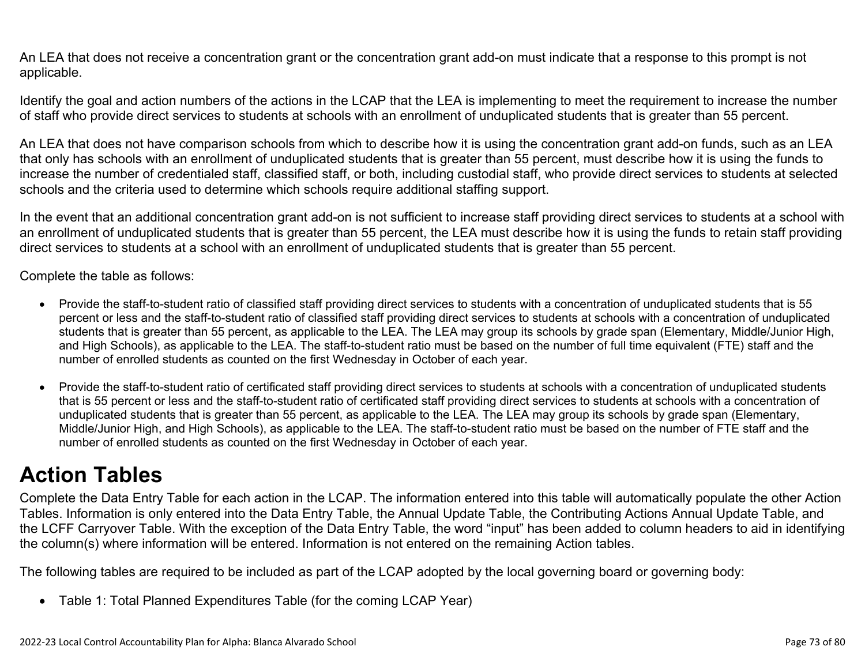An LEA that does not receive a concentration grant or the concentration grant add-on must indicate that a response to this prompt is not applicable.

Identify the goal and action numbers of the actions in the LCAP that the LEA is implementing to meet the requirement to increase the number of staff who provide direct services to students at schools with an enrollment of unduplicated students that is greater than 55 percent.

An LEA that does not have comparison schools from which to describe how it is using the concentration grant add-on funds, such as an LEA that only has schools with an enrollment of unduplicated students that is greater than 55 percent, must describe how it is using the funds to increase the number of credentialed staff, classified staff, or both, including custodial staff, who provide direct services to students at selected schools and the criteria used to determine which schools require additional staffing support.

In the event that an additional concentration grant add-on is not sufficient to increase staff providing direct services to students at a school with an enrollment of unduplicated students that is greater than 55 percent, the LEA must describe how it is using the funds to retain staff providing direct services to students at a school with an enrollment of unduplicated students that is greater than 55 percent.

Complete the table as follows:

- Provide the staff-to-student ratio of classified staff providing direct services to students with a concentration of unduplicated students that is 55 percent or less and the staff-to-student ratio of classified staff providing direct services to students at schools with a concentration of unduplicated students that is greater than 55 percent, as applicable to the LEA. The LEA may group its schools by grade span (Elementary, Middle/Junior High, and High Schools), as applicable to the LEA. The staff-to-student ratio must be based on the number of full time equivalent (FTE) staff and the number of enrolled students as counted on the first Wednesday in October of each year.
- Provide the staff-to-student ratio of certificated staff providing direct services to students at schools with a concentration of unduplicated students that is 55 percent or less and the staff-to-student ratio of certificated staff providing direct services to students at schools with a concentration of unduplicated students that is greater than 55 percent, as applicable to the LEA. The LEA may group its schools by grade span (Elementary, Middle/Junior High, and High Schools), as applicable to the LEA. The staff-to-student ratio must be based on the number of FTE staff and the number of enrolled students as counted on the first Wednesday in October of each year.

# **Action Tables**

Complete the Data Entry Table for each action in the LCAP. The information entered into this table will automatically populate the other Action Tables. Information is only entered into the Data Entry Table, the Annual Update Table, the Contributing Actions Annual Update Table, and the LCFF Carryover Table. With the exception of the Data Entry Table, the word "input" has been added to column headers to aid in identifying the column(s) where information will be entered. Information is not entered on the remaining Action tables.

The following tables are required to be included as part of the LCAP adopted by the local governing board or governing body:

• Table 1: Total Planned Expenditures Table (for the coming LCAP Year)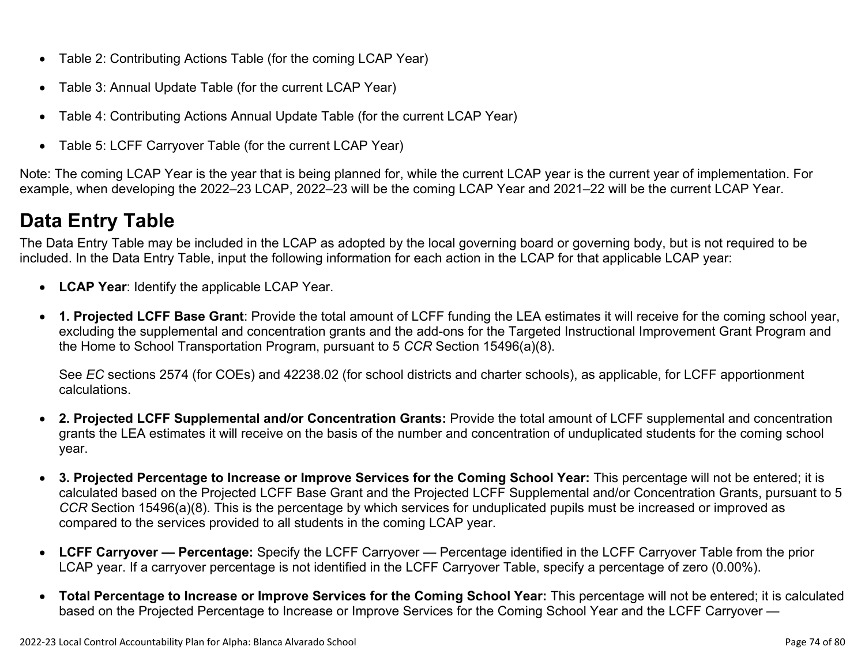- Table 2: Contributing Actions Table (for the coming LCAP Year)
- Table 3: Annual Update Table (for the current LCAP Year)
- Table 4: Contributing Actions Annual Update Table (for the current LCAP Year)
- Table 5: LCFF Carryover Table (for the current LCAP Year)

Note: The coming LCAP Year is the year that is being planned for, while the current LCAP year is the current year of implementation. For example, when developing the 2022–23 LCAP, 2022–23 will be the coming LCAP Year and 2021–22 will be the current LCAP Year.

# **Data Entry Table**

The Data Entry Table may be included in the LCAP as adopted by the local governing board or governing body, but is not required to be included. In the Data Entry Table, input the following information for each action in the LCAP for that applicable LCAP year:

- **LCAP Year**: Identify the applicable LCAP Year.
- **1. Projected LCFF Base Grant**: Provide the total amount of LCFF funding the LEA estimates it will receive for the coming school year, excluding the supplemental and concentration grants and the add-ons for the Targeted Instructional Improvement Grant Program and the Home to School Transportation Program, pursuant to 5 *CCR* Section 15496(a)(8).

See *EC* sections 2574 (for COEs) and 42238.02 (for school districts and charter schools), as applicable, for LCFF apportionment calculations.

- **2. Projected LCFF Supplemental and/or Concentration Grants:** Provide the total amount of LCFF supplemental and concentration grants the LEA estimates it will receive on the basis of the number and concentration of unduplicated students for the coming school year.
- **3. Projected Percentage to Increase or Improve Services for the Coming School Year:** This percentage will not be entered; it is calculated based on the Projected LCFF Base Grant and the Projected LCFF Supplemental and/or Concentration Grants, pursuant to 5 *CCR* Section 15496(a)(8). This is the percentage by which services for unduplicated pupils must be increased or improved as compared to the services provided to all students in the coming LCAP year.
- **LCFF Carryover Percentage:** Specify the LCFF Carryover Percentage identified in the LCFF Carryover Table from the prior LCAP year. If a carryover percentage is not identified in the LCFF Carryover Table, specify a percentage of zero (0.00%).
- **Total Percentage to Increase or Improve Services for the Coming School Year:** This percentage will not be entered; it is calculated based on the Projected Percentage to Increase or Improve Services for the Coming School Year and the LCFF Carryover —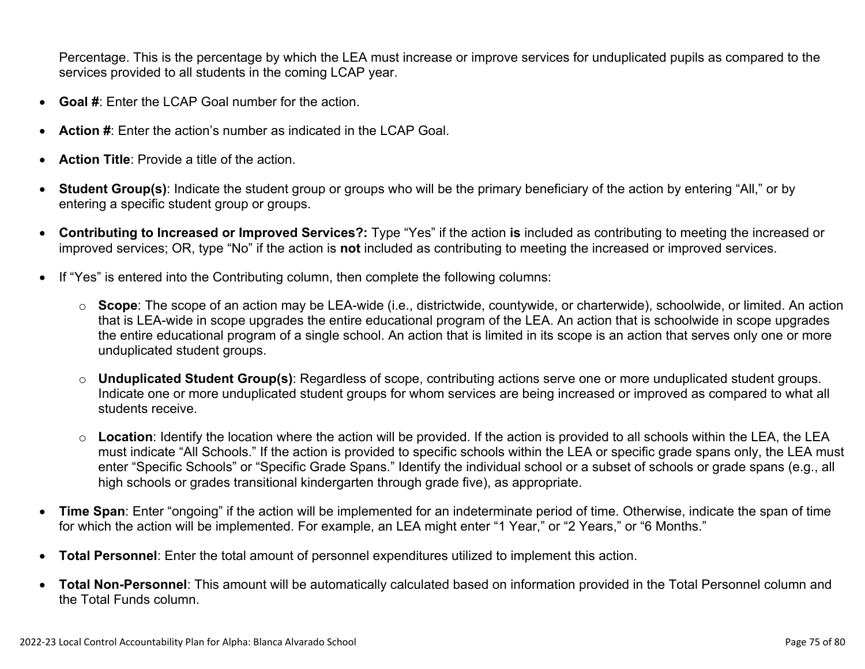Percentage. This is the percentage by which the LEA must increase or improve services for unduplicated pupils as compared to the services provided to all students in the coming LCAP year.

- **Goal #**: Enter the LCAP Goal number for the action.
- **Action #**: Enter the action's number as indicated in the LCAP Goal.
- **Action Title**: Provide a title of the action.
- **Student Group(s)**: Indicate the student group or groups who will be the primary beneficiary of the action by entering "All," or by entering a specific student group or groups.
- **Contributing to Increased or Improved Services?:** Type "Yes" if the action **is** included as contributing to meeting the increased or improved services; OR, type "No" if the action is **not** included as contributing to meeting the increased or improved services.
- If "Yes" is entered into the Contributing column, then complete the following columns:
	- o **Scope**: The scope of an action may be LEA-wide (i.e., districtwide, countywide, or charterwide), schoolwide, or limited. An action that is LEA-wide in scope upgrades the entire educational program of the LEA. An action that is schoolwide in scope upgrades the entire educational program of a single school. An action that is limited in its scope is an action that serves only one or more unduplicated student groups.
	- o **Unduplicated Student Group(s)**: Regardless of scope, contributing actions serve one or more unduplicated student groups. Indicate one or more unduplicated student groups for whom services are being increased or improved as compared to what all students receive.
	- o **Location**: Identify the location where the action will be provided. If the action is provided to all schools within the LEA, the LEA must indicate "All Schools." If the action is provided to specific schools within the LEA or specific grade spans only, the LEA must enter "Specific Schools" or "Specific Grade Spans." Identify the individual school or a subset of schools or grade spans (e.g., all high schools or grades transitional kindergarten through grade five), as appropriate.
- **Time Span**: Enter "ongoing" if the action will be implemented for an indeterminate period of time. Otherwise, indicate the span of time for which the action will be implemented. For example, an LEA might enter "1 Year," or "2 Years," or "6 Months."
- **Total Personnel**: Enter the total amount of personnel expenditures utilized to implement this action.
- **Total Non-Personnel**: This amount will be automatically calculated based on information provided in the Total Personnel column and the Total Funds column.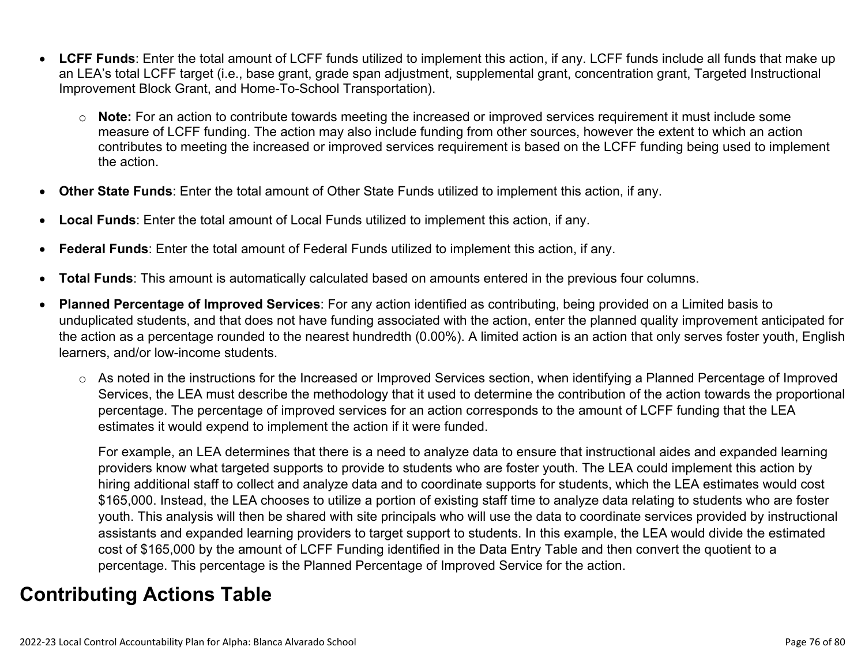- **LCFF Funds**: Enter the total amount of LCFF funds utilized to implement this action, if any. LCFF funds include all funds that make up an LEA's total LCFF target (i.e., base grant, grade span adjustment, supplemental grant, concentration grant, Targeted Instructional Improvement Block Grant, and Home-To-School Transportation).
	- o **Note:** For an action to contribute towards meeting the increased or improved services requirement it must include some measure of LCFF funding. The action may also include funding from other sources, however the extent to which an action contributes to meeting the increased or improved services requirement is based on the LCFF funding being used to implement the action.
- **Other State Funds**: Enter the total amount of Other State Funds utilized to implement this action, if any.
- **Local Funds**: Enter the total amount of Local Funds utilized to implement this action, if any.
- **Federal Funds**: Enter the total amount of Federal Funds utilized to implement this action, if any.
- **Total Funds**: This amount is automatically calculated based on amounts entered in the previous four columns.
- **Planned Percentage of Improved Services**: For any action identified as contributing, being provided on a Limited basis to unduplicated students, and that does not have funding associated with the action, enter the planned quality improvement anticipated for the action as a percentage rounded to the nearest hundredth (0.00%). A limited action is an action that only serves foster youth, English learners, and/or low-income students.
	- o As noted in the instructions for the Increased or Improved Services section, when identifying a Planned Percentage of Improved Services, the LEA must describe the methodology that it used to determine the contribution of the action towards the proportional percentage. The percentage of improved services for an action corresponds to the amount of LCFF funding that the LEA estimates it would expend to implement the action if it were funded.

For example, an LEA determines that there is a need to analyze data to ensure that instructional aides and expanded learning providers know what targeted supports to provide to students who are foster youth. The LEA could implement this action by hiring additional staff to collect and analyze data and to coordinate supports for students, which the LEA estimates would cost \$165,000. Instead, the LEA chooses to utilize a portion of existing staff time to analyze data relating to students who are foster youth. This analysis will then be shared with site principals who will use the data to coordinate services provided by instructional assistants and expanded learning providers to target support to students. In this example, the LEA would divide the estimated cost of \$165,000 by the amount of LCFF Funding identified in the Data Entry Table and then convert the quotient to a percentage. This percentage is the Planned Percentage of Improved Service for the action.

### **Contributing Actions Table**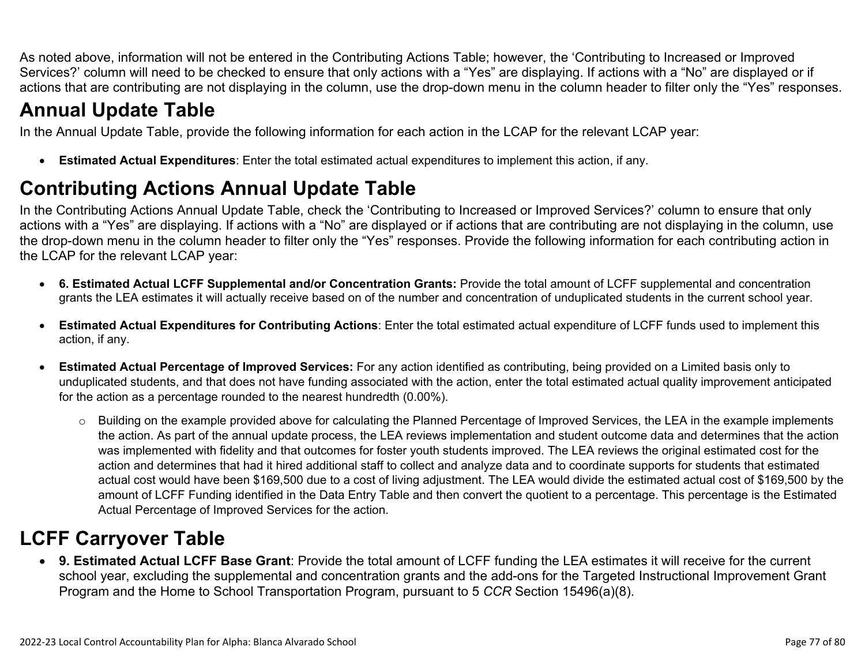As noted above, information will not be entered in the Contributing Actions Table; however, the 'Contributing to Increased or Improved Services?' column will need to be checked to ensure that only actions with a "Yes" are displaying. If actions with a "No" are displayed or if actions that are contributing are not displaying in the column, use the drop-down menu in the column header to filter only the "Yes" responses.

# **Annual Update Table**

In the Annual Update Table, provide the following information for each action in the LCAP for the relevant LCAP year:

• **Estimated Actual Expenditures**: Enter the total estimated actual expenditures to implement this action, if any.

## **Contributing Actions Annual Update Table**

In the Contributing Actions Annual Update Table, check the 'Contributing to Increased or Improved Services?' column to ensure that only actions with a "Yes" are displaying. If actions with a "No" are displayed or if actions that are contributing are not displaying in the column, use the drop-down menu in the column header to filter only the "Yes" responses. Provide the following information for each contributing action in the LCAP for the relevant LCAP year:

- **6. Estimated Actual LCFF Supplemental and/or Concentration Grants:** Provide the total amount of LCFF supplemental and concentration grants the LEA estimates it will actually receive based on of the number and concentration of unduplicated students in the current school year.
- **Estimated Actual Expenditures for Contributing Actions**: Enter the total estimated actual expenditure of LCFF funds used to implement this action, if any.
- **Estimated Actual Percentage of Improved Services:** For any action identified as contributing, being provided on a Limited basis only to unduplicated students, and that does not have funding associated with the action, enter the total estimated actual quality improvement anticipated for the action as a percentage rounded to the nearest hundredth (0.00%).
	- o Building on the example provided above for calculating the Planned Percentage of Improved Services, the LEA in the example implements the action. As part of the annual update process, the LEA reviews implementation and student outcome data and determines that the action was implemented with fidelity and that outcomes for foster youth students improved. The LEA reviews the original estimated cost for the action and determines that had it hired additional staff to collect and analyze data and to coordinate supports for students that estimated actual cost would have been \$169,500 due to a cost of living adjustment. The LEA would divide the estimated actual cost of \$169,500 by the amount of LCFF Funding identified in the Data Entry Table and then convert the quotient to a percentage. This percentage is the Estimated Actual Percentage of Improved Services for the action.

## **LCFF Carryover Table**

• **9. Estimated Actual LCFF Base Grant**: Provide the total amount of LCFF funding the LEA estimates it will receive for the current school year, excluding the supplemental and concentration grants and the add-ons for the Targeted Instructional Improvement Grant Program and the Home to School Transportation Program, pursuant to 5 *CCR* Section 15496(a)(8).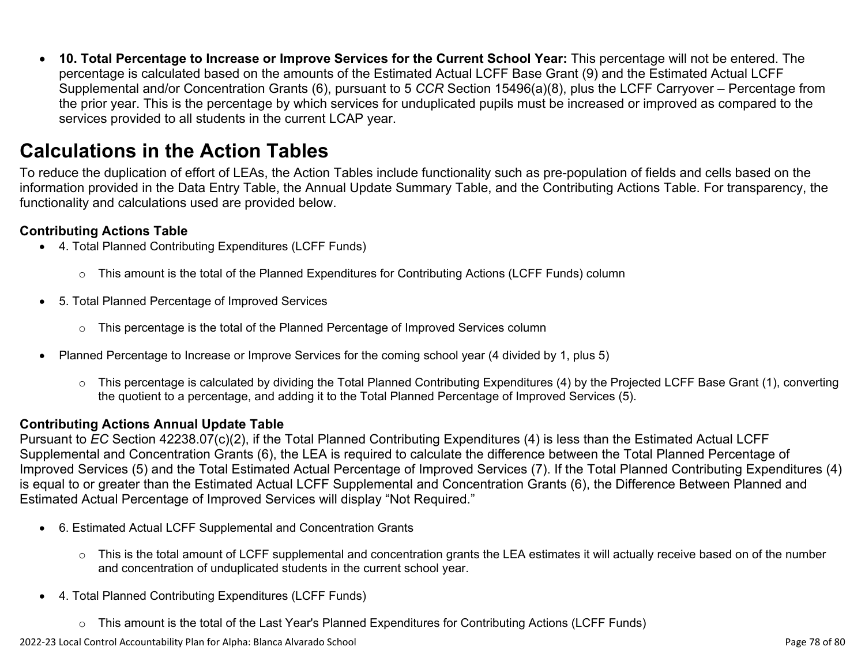• **10. Total Percentage to Increase or Improve Services for the Current School Year:** This percentage will not be entered. The percentage is calculated based on the amounts of the Estimated Actual LCFF Base Grant (9) and the Estimated Actual LCFF Supplemental and/or Concentration Grants (6), pursuant to 5 *CCR* Section 15496(a)(8), plus the LCFF Carryover – Percentage from the prior year. This is the percentage by which services for unduplicated pupils must be increased or improved as compared to the services provided to all students in the current LCAP year.

### **Calculations in the Action Tables**

To reduce the duplication of effort of LEAs, the Action Tables include functionality such as pre-population of fields and cells based on the information provided in the Data Entry Table, the Annual Update Summary Table, and the Contributing Actions Table. For transparency, the functionality and calculations used are provided below.

#### **Contributing Actions Table**

- 4. Total Planned Contributing Expenditures (LCFF Funds)
	- $\circ$  This amount is the total of the Planned Expenditures for Contributing Actions (LCFF Funds) column
- 5. Total Planned Percentage of Improved Services
	- $\circ$  This percentage is the total of the Planned Percentage of Improved Services column
- Planned Percentage to Increase or Improve Services for the coming school year (4 divided by 1, plus 5)
	- o This percentage is calculated by dividing the Total Planned Contributing Expenditures (4) by the Projected LCFF Base Grant (1), converting the quotient to a percentage, and adding it to the Total Planned Percentage of Improved Services (5).

#### **Contributing Actions Annual Update Table**

Pursuant to *EC* Section 42238.07(c)(2), if the Total Planned Contributing Expenditures (4) is less than the Estimated Actual LCFF Supplemental and Concentration Grants (6), the LEA is required to calculate the difference between the Total Planned Percentage of Improved Services (5) and the Total Estimated Actual Percentage of Improved Services (7). If the Total Planned Contributing Expenditures (4) is equal to or greater than the Estimated Actual LCFF Supplemental and Concentration Grants (6), the Difference Between Planned and Estimated Actual Percentage of Improved Services will display "Not Required."

- 6. Estimated Actual LCFF Supplemental and Concentration Grants
	- o This is the total amount of LCFF supplemental and concentration grants the LEA estimates it will actually receive based on of the number and concentration of unduplicated students in the current school year.
- 4. Total Planned Contributing Expenditures (LCFF Funds)
	- $\circ$  This amount is the total of the Last Year's Planned Expenditures for Contributing Actions (LCFF Funds)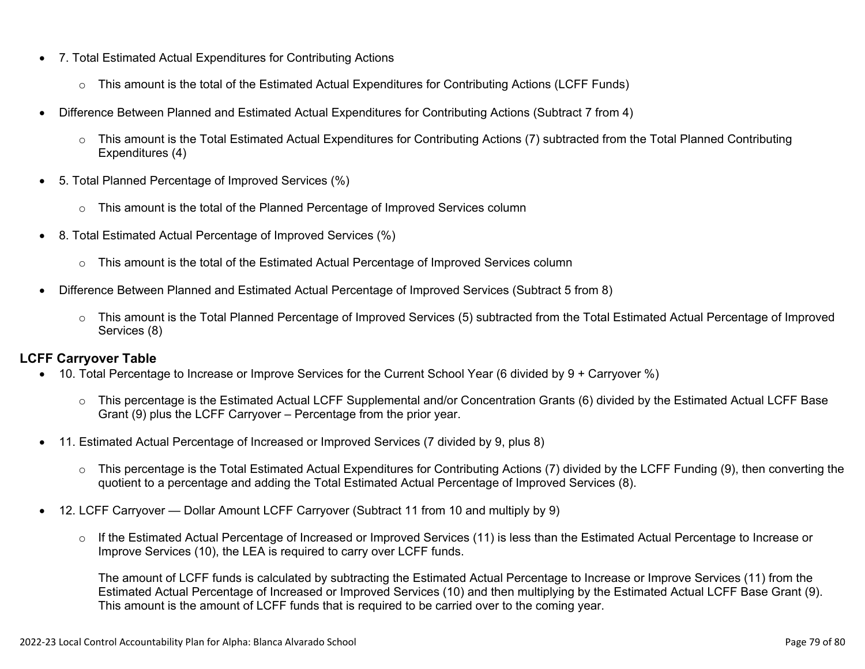- 7. Total Estimated Actual Expenditures for Contributing Actions
	- o This amount is the total of the Estimated Actual Expenditures for Contributing Actions (LCFF Funds)
- Difference Between Planned and Estimated Actual Expenditures for Contributing Actions (Subtract 7 from 4)
	- $\circ$  This amount is the Total Estimated Actual Expenditures for Contributing Actions (7) subtracted from the Total Planned Contributing Expenditures (4)
- 5. Total Planned Percentage of Improved Services (%)
	- $\circ$  This amount is the total of the Planned Percentage of Improved Services column
- 8. Total Estimated Actual Percentage of Improved Services (%)
	- o This amount is the total of the Estimated Actual Percentage of Improved Services column
- Difference Between Planned and Estimated Actual Percentage of Improved Services (Subtract 5 from 8)
	- o This amount is the Total Planned Percentage of Improved Services (5) subtracted from the Total Estimated Actual Percentage of Improved Services (8)

#### **LCFF Carryover Table**

- 10. Total Percentage to Increase or Improve Services for the Current School Year (6 divided by 9 + Carryover %)
	- $\circ$  This percentage is the Estimated Actual LCFF Supplemental and/or Concentration Grants (6) divided by the Estimated Actual LCFF Base Grant (9) plus the LCFF Carryover – Percentage from the prior year.
- 11. Estimated Actual Percentage of Increased or Improved Services (7 divided by 9, plus 8)
	- o This percentage is the Total Estimated Actual Expenditures for Contributing Actions (7) divided by the LCFF Funding (9), then converting the quotient to a percentage and adding the Total Estimated Actual Percentage of Improved Services (8).
- 12. LCFF Carryover Dollar Amount LCFF Carryover (Subtract 11 from 10 and multiply by 9)
	- $\circ$  If the Estimated Actual Percentage of Increased or Improved Services (11) is less than the Estimated Actual Percentage to Increase or Improve Services (10), the LEA is required to carry over LCFF funds.

The amount of LCFF funds is calculated by subtracting the Estimated Actual Percentage to Increase or Improve Services (11) from the Estimated Actual Percentage of Increased or Improved Services (10) and then multiplying by the Estimated Actual LCFF Base Grant (9). This amount is the amount of LCFF funds that is required to be carried over to the coming year.